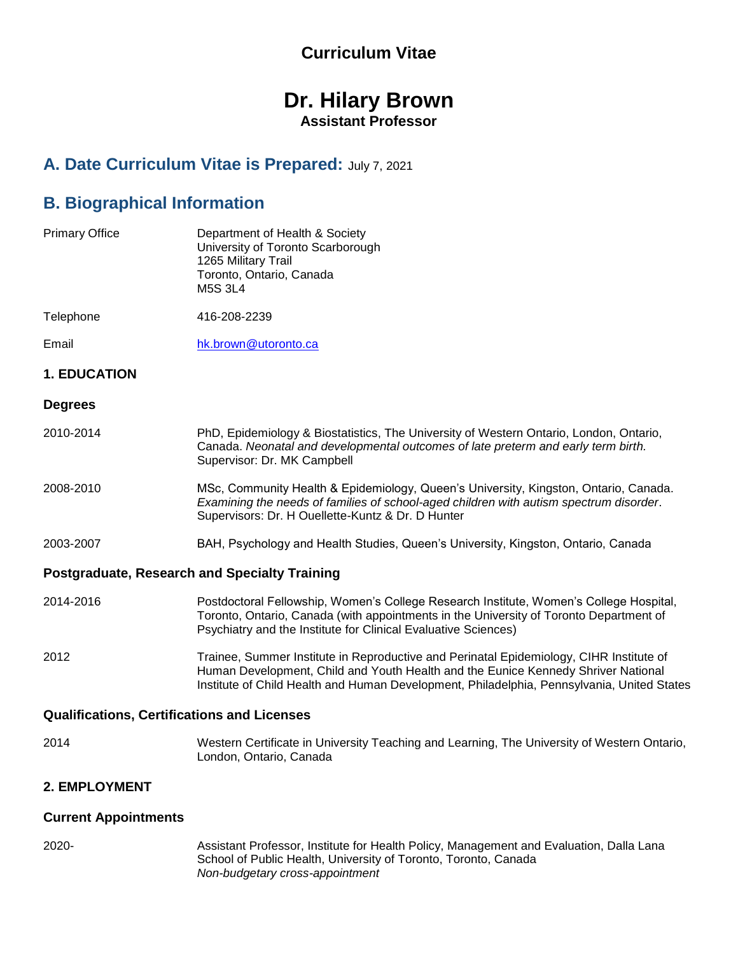# **Curriculum Vitae**

# **Dr. Hilary Brown Assistant Professor**

# **A. Date Curriculum Vitae is Prepared:** July 7, 2021

# **B. Biographical Information**

| <b>Primary Office</b>                              | Department of Health & Society<br>University of Toronto Scarborough<br>1265 Military Trail<br>Toronto, Ontario, Canada<br><b>M5S 3L4</b>                                                                                                                                   |
|----------------------------------------------------|----------------------------------------------------------------------------------------------------------------------------------------------------------------------------------------------------------------------------------------------------------------------------|
| Telephone                                          | 416-208-2239                                                                                                                                                                                                                                                               |
| Email                                              | hk.brown@utoronto.ca                                                                                                                                                                                                                                                       |
| <b>1. EDUCATION</b>                                |                                                                                                                                                                                                                                                                            |
| <b>Degrees</b>                                     |                                                                                                                                                                                                                                                                            |
| 2010-2014                                          | PhD, Epidemiology & Biostatistics, The University of Western Ontario, London, Ontario,<br>Canada. Neonatal and developmental outcomes of late preterm and early term birth.<br>Supervisor: Dr. MK Campbell                                                                 |
| 2008-2010                                          | MSc, Community Health & Epidemiology, Queen's University, Kingston, Ontario, Canada.<br>Examining the needs of families of school-aged children with autism spectrum disorder.<br>Supervisors: Dr. H Ouellette-Kuntz & Dr. D Hunter                                        |
| 2003-2007                                          | BAH, Psychology and Health Studies, Queen's University, Kingston, Ontario, Canada                                                                                                                                                                                          |
|                                                    | <b>Postgraduate, Research and Specialty Training</b>                                                                                                                                                                                                                       |
| 2014-2016                                          | Postdoctoral Fellowship, Women's College Research Institute, Women's College Hospital,<br>Toronto, Ontario, Canada (with appointments in the University of Toronto Department of<br>Psychiatry and the Institute for Clinical Evaluative Sciences)                         |
| 2012                                               | Trainee, Summer Institute in Reproductive and Perinatal Epidemiology, CIHR Institute of<br>Human Development, Child and Youth Health and the Eunice Kennedy Shriver National<br>Institute of Child Health and Human Development, Philadelphia, Pennsylvania, United States |
| <b>Qualifications, Certifications and Licenses</b> |                                                                                                                                                                                                                                                                            |
| 2014                                               | Western Certificate in University Teaching and Learning, The University of Western Ontario,<br>London, Ontario, Canada                                                                                                                                                     |
| 2. EMPLOYMENT                                      |                                                                                                                                                                                                                                                                            |
| <b>Current Appointments</b>                        |                                                                                                                                                                                                                                                                            |

- 
- 2020- Assistant Professor, Institute for Health Policy, Management and Evaluation, Dalla Lana School of Public Health, University of Toronto, Toronto, Canada *Non-budgetary cross-appointment*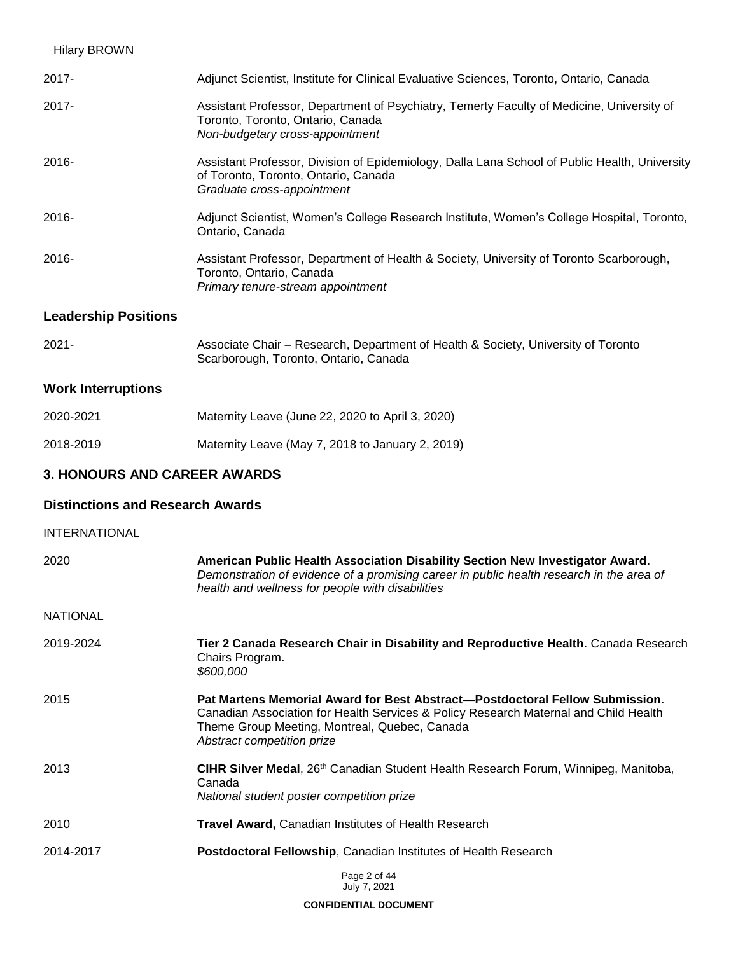| <b>Hilary BROWN</b>         |                                                                                                                                                                     |
|-----------------------------|---------------------------------------------------------------------------------------------------------------------------------------------------------------------|
| 2017-                       | Adjunct Scientist, Institute for Clinical Evaluative Sciences, Toronto, Ontario, Canada                                                                             |
| 2017-                       | Assistant Professor, Department of Psychiatry, Temerty Faculty of Medicine, University of<br>Toronto, Toronto, Ontario, Canada<br>Non-budgetary cross-appointment   |
| 2016-                       | Assistant Professor, Division of Epidemiology, Dalla Lana School of Public Health, University<br>of Toronto, Toronto, Ontario, Canada<br>Graduate cross-appointment |
| 2016-                       | Adjunct Scientist, Women's College Research Institute, Women's College Hospital, Toronto,<br>Ontario, Canada                                                        |
| 2016-                       | Assistant Professor, Department of Health & Society, University of Toronto Scarborough,<br>Toronto, Ontario, Canada<br>Primary tenure-stream appointment            |
| <b>Leadership Positions</b> |                                                                                                                                                                     |

| 2021- | Associate Chair - Research, Department of Health & Society, University of Toronto |
|-------|-----------------------------------------------------------------------------------|
|       | Scarborough, Toronto, Ontario, Canada                                             |

# **Work Interruptions**

| 2020-2021 | Maternity Leave (June 22, 2020 to April 3, 2020) |
|-----------|--------------------------------------------------|
| 2018-2019 | Maternity Leave (May 7, 2018 to January 2, 2019) |

# **3. HONOURS AND CAREER AWARDS**

# **Distinctions and Research Awards**

| <b>INTERNATIONAL</b> |                                                                                                                                                                                                                                                     |
|----------------------|-----------------------------------------------------------------------------------------------------------------------------------------------------------------------------------------------------------------------------------------------------|
| 2020                 | American Public Health Association Disability Section New Investigator Award.<br>Demonstration of evidence of a promising career in public health research in the area of<br>health and wellness for people with disabilities                       |
| <b>NATIONAL</b>      |                                                                                                                                                                                                                                                     |
| 2019-2024            | Tier 2 Canada Research Chair in Disability and Reproductive Health. Canada Research<br>Chairs Program.<br>\$600,000                                                                                                                                 |
| 2015                 | Pat Martens Memorial Award for Best Abstract—Postdoctoral Fellow Submission.<br>Canadian Association for Health Services & Policy Research Maternal and Child Health<br>Theme Group Meeting, Montreal, Quebec, Canada<br>Abstract competition prize |
| 2013                 | CIHR Silver Medal, 26th Canadian Student Health Research Forum, Winnipeg, Manitoba,<br>Canada<br>National student poster competition prize                                                                                                          |
| 2010                 | <b>Travel Award, Canadian Institutes of Health Research</b>                                                                                                                                                                                         |
| 2014-2017            | <b>Postdoctoral Fellowship, Canadian Institutes of Health Research</b>                                                                                                                                                                              |
|                      | Page 2 of 44<br>July 7, 2021                                                                                                                                                                                                                        |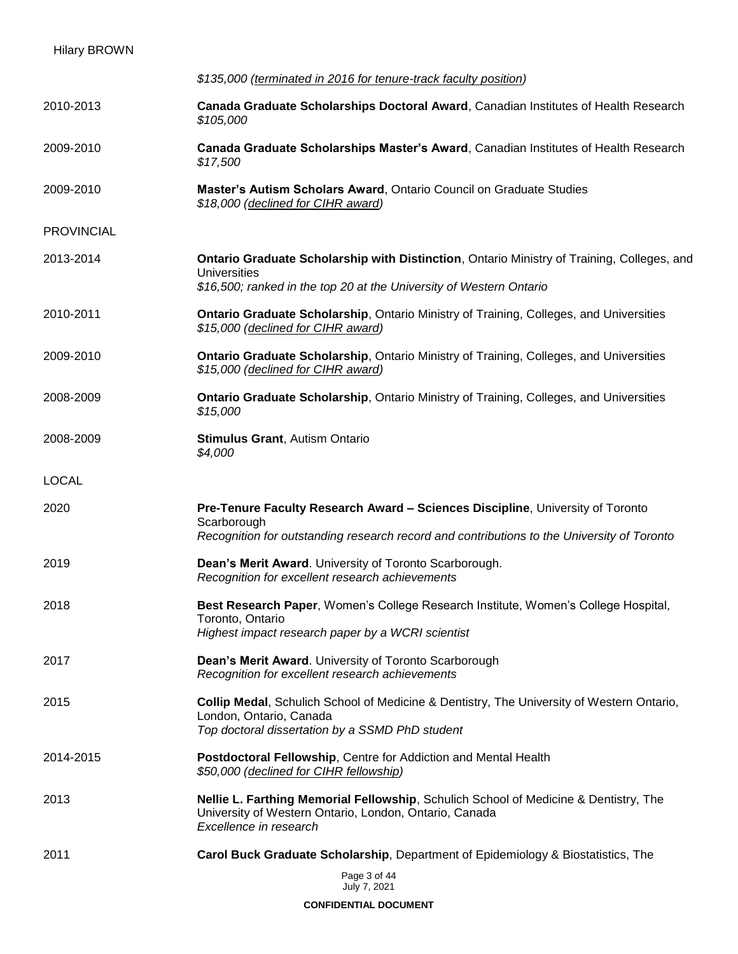| <b>Hilary BROWN</b> |                                                                                                                                                                                             |
|---------------------|---------------------------------------------------------------------------------------------------------------------------------------------------------------------------------------------|
|                     | \$135,000 (terminated in 2016 for tenure-track faculty position)                                                                                                                            |
| 2010-2013           | Canada Graduate Scholarships Doctoral Award, Canadian Institutes of Health Research<br>\$105,000                                                                                            |
| 2009-2010           | Canada Graduate Scholarships Master's Award, Canadian Institutes of Health Research<br>\$17,500                                                                                             |
| 2009-2010           | Master's Autism Scholars Award, Ontario Council on Graduate Studies<br>\$18,000 (declined for CIHR award)                                                                                   |
| <b>PROVINCIAL</b>   |                                                                                                                                                                                             |
| 2013-2014           | Ontario Graduate Scholarship with Distinction, Ontario Ministry of Training, Colleges, and<br>Universities<br>\$16,500; ranked in the top 20 at the University of Western Ontario           |
| 2010-2011           | <b>Ontario Graduate Scholarship, Ontario Ministry of Training, Colleges, and Universities</b><br>\$15,000 (declined for CIHR award)                                                         |
| 2009-2010           | <b>Ontario Graduate Scholarship, Ontario Ministry of Training, Colleges, and Universities</b><br>\$15,000 (declined for CIHR award)                                                         |
| 2008-2009           | <b>Ontario Graduate Scholarship, Ontario Ministry of Training, Colleges, and Universities</b><br>\$15,000                                                                                   |
| 2008-2009           | <b>Stimulus Grant, Autism Ontario</b><br>\$4,000                                                                                                                                            |
| <b>LOCAL</b>        |                                                                                                                                                                                             |
| 2020                | Pre-Tenure Faculty Research Award - Sciences Discipline, University of Toronto<br>Scarborough<br>Recognition for outstanding research record and contributions to the University of Toronto |
| 2019                | Dean's Merit Award. University of Toronto Scarborough.<br>Recognition for excellent research achievements                                                                                   |
| 2018                | Best Research Paper, Women's College Research Institute, Women's College Hospital,<br>Toronto, Ontario<br>Highest impact research paper by a WCRI scientist                                 |
| 2017                | Dean's Merit Award. University of Toronto Scarborough<br>Recognition for excellent research achievements                                                                                    |
| 2015                | Collip Medal, Schulich School of Medicine & Dentistry, The University of Western Ontario,<br>London, Ontario, Canada<br>Top doctoral dissertation by a SSMD PhD student                     |
| 2014-2015           | Postdoctoral Fellowship, Centre for Addiction and Mental Health<br>\$50,000 (declined for CIHR fellowship)                                                                                  |
| 2013                | Nellie L. Farthing Memorial Fellowship, Schulich School of Medicine & Dentistry, The<br>University of Western Ontario, London, Ontario, Canada<br>Excellence in research                    |
| 2011                | Carol Buck Graduate Scholarship, Department of Epidemiology & Biostatistics, The                                                                                                            |
|                     | Page 3 of 44<br>July 7, 2021                                                                                                                                                                |
|                     | <b>CONFIDENTIAL DOCUMENT</b>                                                                                                                                                                |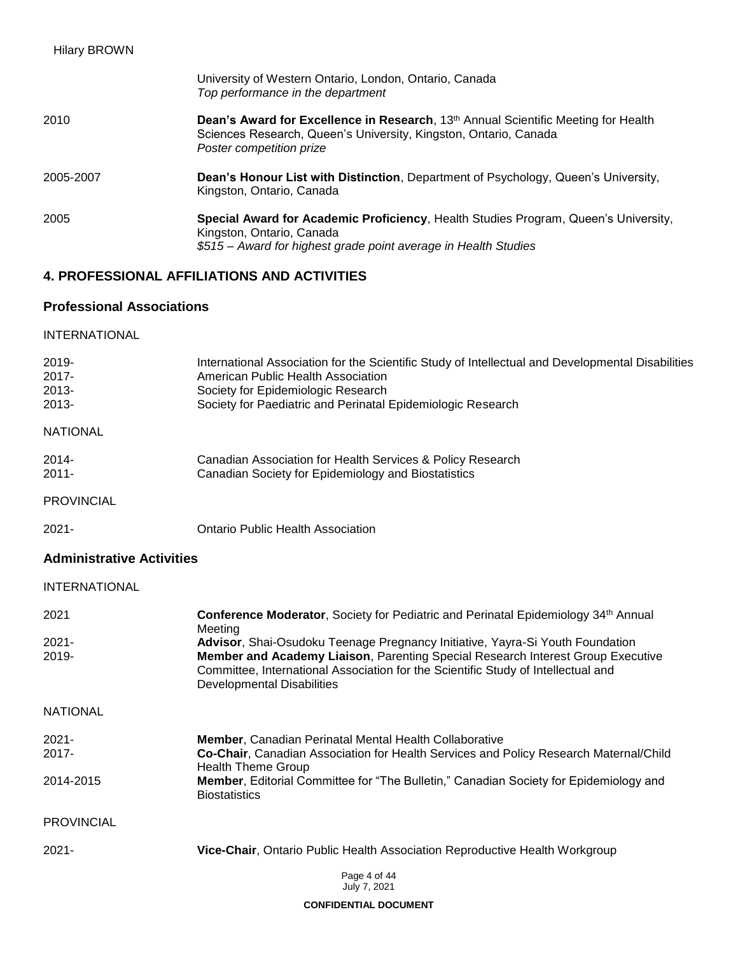| <b>Hilary BROWN</b> |                                                                                                                                                                                                |
|---------------------|------------------------------------------------------------------------------------------------------------------------------------------------------------------------------------------------|
|                     | University of Western Ontario, London, Ontario, Canada<br>Top performance in the department                                                                                                    |
| 2010                | Dean's Award for Excellence in Research, 13 <sup>th</sup> Annual Scientific Meeting for Health<br>Sciences Research, Queen's University, Kingston, Ontario, Canada<br>Poster competition prize |
| 2005-2007           | Dean's Honour List with Distinction, Department of Psychology, Queen's University,<br>Kingston, Ontario, Canada                                                                                |
| 2005                | Special Award for Academic Proficiency, Health Studies Program, Queen's University,<br>Kingston, Ontario, Canada<br>\$515 – Award for highest grade point average in Health Studies            |

# **4. PROFESSIONAL AFFILIATIONS AND ACTIVITIES**

# **Professional Associations**

| <b>INTERNATIONAL</b>                         |                                                                                                                                                                                                                                              |
|----------------------------------------------|----------------------------------------------------------------------------------------------------------------------------------------------------------------------------------------------------------------------------------------------|
| $2019 -$<br>$2017 -$<br>$2013 -$<br>$2013 -$ | International Association for the Scientific Study of Intellectual and Developmental Disabilities<br>American Public Health Association<br>Society for Epidemiologic Research<br>Society for Paediatric and Perinatal Epidemiologic Research |
| <b>NATIONAL</b>                              |                                                                                                                                                                                                                                              |
| $2014 -$<br>$2011 -$                         | Canadian Association for Health Services & Policy Research<br>Canadian Society for Epidemiology and Biostatistics                                                                                                                            |
| <b>PROVINCIAL</b>                            |                                                                                                                                                                                                                                              |
| $2021 -$                                     | Ontario Public Health Association                                                                                                                                                                                                            |

# **Administrative Activities**

# INTERNATIONAL

| 2021              | Conference Moderator, Society for Pediatric and Perinatal Epidemiology 34 <sup>th</sup> Annual<br>Meeting                                                                                          |
|-------------------|----------------------------------------------------------------------------------------------------------------------------------------------------------------------------------------------------|
| 2021-             | Advisor, Shai-Osudoku Teenage Pregnancy Initiative, Yayra-Si Youth Foundation                                                                                                                      |
| 2019-             | Member and Academy Liaison, Parenting Special Research Interest Group Executive<br>Committee, International Association for the Scientific Study of Intellectual and<br>Developmental Disabilities |
| <b>NATIONAL</b>   |                                                                                                                                                                                                    |
| 2021-             | <b>Member, Canadian Perinatal Mental Health Collaborative</b>                                                                                                                                      |
| 2017-             | Co-Chair, Canadian Association for Health Services and Policy Research Maternal/Child<br><b>Health Theme Group</b>                                                                                 |
| 2014-2015         | <b>Member, Editorial Committee for "The Bulletin," Canadian Society for Epidemiology and</b><br><b>Biostatistics</b>                                                                               |
| <b>PROVINCIAL</b> |                                                                                                                                                                                                    |
| $2021 -$          | Vice-Chair, Ontario Public Health Association Reproductive Health Workgroup                                                                                                                        |
|                   | Page 4 of 44                                                                                                                                                                                       |

July 7, 2021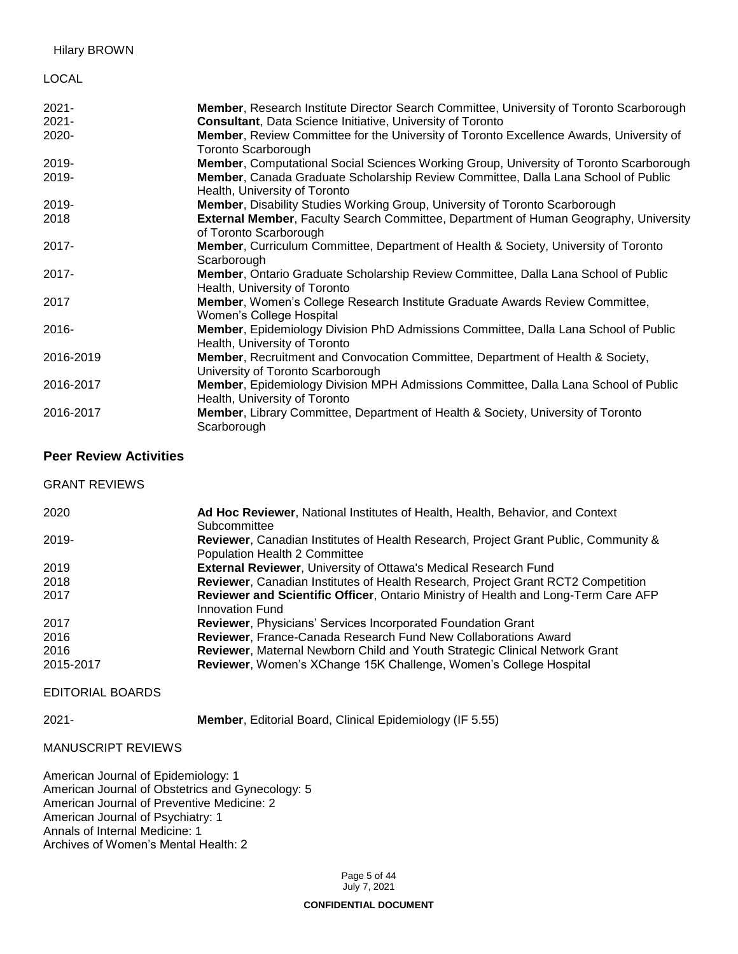#### LOCAL

| $2021 -$  | <b>Member, Research Institute Director Search Committee, University of Toronto Scarborough</b>                        |
|-----------|-----------------------------------------------------------------------------------------------------------------------|
| $2021 -$  | <b>Consultant, Data Science Initiative, University of Toronto</b>                                                     |
| 2020-     | Member, Review Committee for the University of Toronto Excellence Awards, University of<br><b>Toronto Scarborough</b> |
| 2019-     | <b>Member, Computational Social Sciences Working Group, University of Toronto Scarborough</b>                         |
| 2019-     | Member, Canada Graduate Scholarship Review Committee, Dalla Lana School of Public<br>Health, University of Toronto    |
| 2019-     | Member, Disability Studies Working Group, University of Toronto Scarborough                                           |
| 2018      | External Member, Faculty Search Committee, Department of Human Geography, University<br>of Toronto Scarborough        |
| $2017 -$  | <b>Member, Curriculum Committee, Department of Health &amp; Society, University of Toronto</b><br>Scarborough         |
| $2017 -$  | Member, Ontario Graduate Scholarship Review Committee, Dalla Lana School of Public<br>Health, University of Toronto   |
| 2017      | Member, Women's College Research Institute Graduate Awards Review Committee,<br>Women's College Hospital              |
| $2016 -$  | Member, Epidemiology Division PhD Admissions Committee, Dalla Lana School of Public<br>Health, University of Toronto  |
| 2016-2019 | Member, Recruitment and Convocation Committee, Department of Health & Society,<br>University of Toronto Scarborough   |
| 2016-2017 | Member, Epidemiology Division MPH Admissions Committee, Dalla Lana School of Public<br>Health, University of Toronto  |
| 2016-2017 | <b>Member, Library Committee, Department of Health &amp; Society, University of Toronto</b><br>Scarborough            |

### **Peer Review Activities**

| <b>GRANT REVIEWS</b> |                                                                                                                      |
|----------------------|----------------------------------------------------------------------------------------------------------------------|
| 2020                 | Ad Hoc Reviewer, National Institutes of Health, Health, Behavior, and Context<br>Subcommittee                        |
| 2019-                | Reviewer, Canadian Institutes of Health Research, Project Grant Public, Community &<br>Population Health 2 Committee |
| 2019                 | <b>External Reviewer, University of Ottawa's Medical Research Fund</b>                                               |
| 2018                 | Reviewer, Canadian Institutes of Health Research, Project Grant RCT2 Competition                                     |
| 2017                 | Reviewer and Scientific Officer, Ontario Ministry of Health and Long-Term Care AFP<br>Innovation Fund                |
| 2017                 | <b>Reviewer, Physicians' Services Incorporated Foundation Grant</b>                                                  |
| 2016                 | <b>Reviewer, France-Canada Research Fund New Collaborations Award</b>                                                |
| 2016                 | <b>Reviewer, Maternal Newborn Child and Youth Strategic Clinical Network Grant</b>                                   |
| 2015-2017            | Reviewer, Women's XChange 15K Challenge, Women's College Hospital                                                    |

#### EDITORIAL BOARDS

### 2021- **Member**, Editorial Board, Clinical Epidemiology (IF 5.55)

#### MANUSCRIPT REVIEWS

American Journal of Epidemiology: 1 American Journal of Obstetrics and Gynecology: 5 American Journal of Preventive Medicine: 2 American Journal of Psychiatry: 1 Annals of Internal Medicine: 1 Archives of Women's Mental Health: 2

> Page 5 of 44 July 7, 2021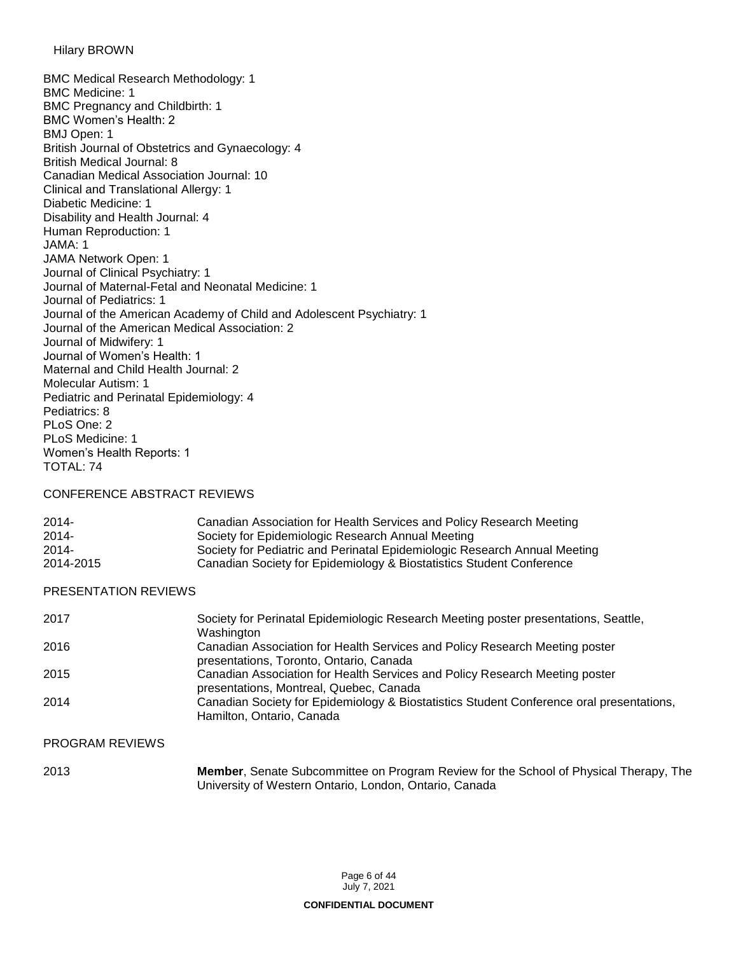```
Hilary BROWN
```
BMC Medical Research Methodology: 1 BMC Medicine: 1 BMC Pregnancy and Childbirth: 1 BMC Women's Health: 2 BMJ Open: 1 British Journal of Obstetrics and Gynaecology: 4 British Medical Journal: 8 Canadian Medical Association Journal: 10 Clinical and Translational Allergy: 1 Diabetic Medicine: 1 Disability and Health Journal: 4 Human Reproduction: 1 JAMA: 1 JAMA Network Open: 1 Journal of Clinical Psychiatry: 1 Journal of Maternal-Fetal and Neonatal Medicine: 1 Journal of Pediatrics: 1 Journal of the American Academy of Child and Adolescent Psychiatry: 1 Journal of the American Medical Association: 2 Journal of Midwifery: 1 Journal of Women's Health: 1 Maternal and Child Health Journal: 2 Molecular Autism: 1 Pediatric and Perinatal Epidemiology: 4 Pediatrics: 8 PLoS One: 2 PLoS Medicine: 1 Women's Health Reports: 1 TOTAL: 74

#### CONFERENCE ABSTRACT REVIEWS

| $2014 -$  | Canadian Association for Health Services and Policy Research Meeting      |
|-----------|---------------------------------------------------------------------------|
| $2014 -$  | Society for Epidemiologic Research Annual Meeting                         |
| $2014 -$  | Society for Pediatric and Perinatal Epidemiologic Research Annual Meeting |
| 2014-2015 | Canadian Society for Epidemiology & Biostatistics Student Conference      |

#### PRESENTATION REVIEWS

| 2017 | Society for Perinatal Epidemiologic Research Meeting poster presentations, Seattle,<br>Washington                      |
|------|------------------------------------------------------------------------------------------------------------------------|
| 2016 | Canadian Association for Health Services and Policy Research Meeting poster<br>presentations, Toronto, Ontario, Canada |
| 2015 | Canadian Association for Health Services and Policy Research Meeting poster<br>presentations, Montreal, Quebec, Canada |
| 2014 | Canadian Society for Epidemiology & Biostatistics Student Conference oral presentations,<br>Hamilton, Ontario, Canada  |

## PROGRAM REVIEWS

| 2013 | <b>Member, Senate Subcommittee on Program Review for the School of Physical Therapy, The</b> |
|------|----------------------------------------------------------------------------------------------|
|      | University of Western Ontario, London, Ontario, Canada                                       |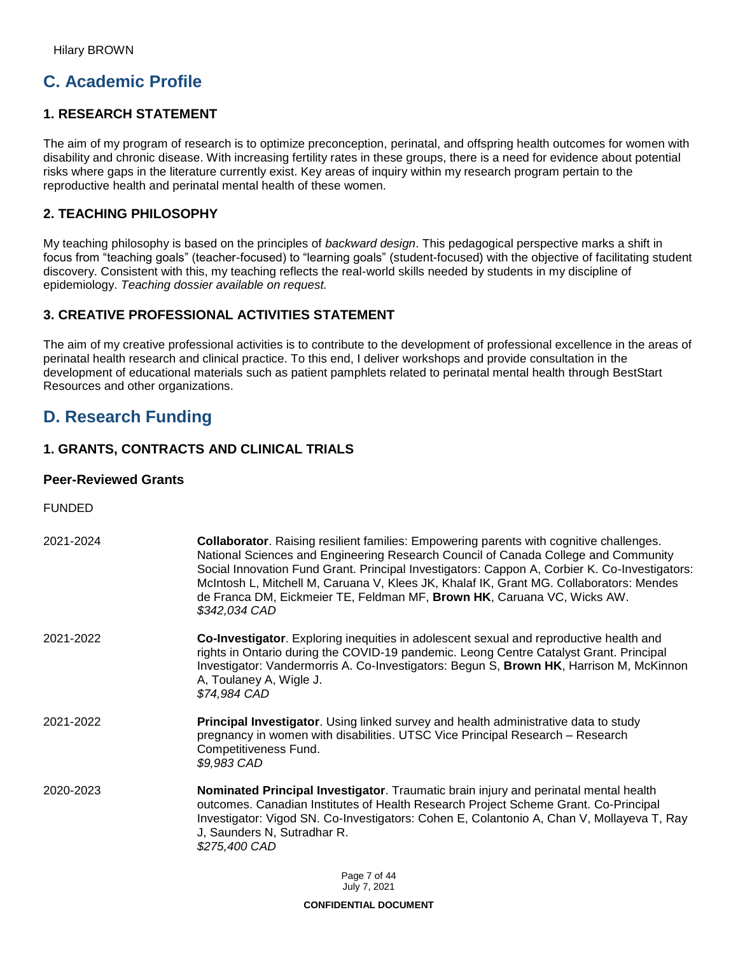# **C. Academic Profile**

## **1. RESEARCH STATEMENT**

The aim of my program of research is to optimize preconception, perinatal, and offspring health outcomes for women with disability and chronic disease. With increasing fertility rates in these groups, there is a need for evidence about potential risks where gaps in the literature currently exist. Key areas of inquiry within my research program pertain to the reproductive health and perinatal mental health of these women.

## **2. TEACHING PHILOSOPHY**

My teaching philosophy is based on the principles of *backward design*. This pedagogical perspective marks a shift in focus from "teaching goals" (teacher-focused) to "learning goals" (student-focused) with the objective of facilitating student discovery. Consistent with this, my teaching reflects the real-world skills needed by students in my discipline of epidemiology. *Teaching dossier available on request.*

## **3. CREATIVE PROFESSIONAL ACTIVITIES STATEMENT**

The aim of my creative professional activities is to contribute to the development of professional excellence in the areas of perinatal health research and clinical practice. To this end, I deliver workshops and provide consultation in the development of educational materials such as patient pamphlets related to perinatal mental health through BestStart Resources and other organizations.

# **D. Research Funding**

## **1. GRANTS, CONTRACTS AND CLINICAL TRIALS**

### **Peer-Reviewed Grants**

FUNDED

| 2021-2024 | <b>Collaborator</b> . Raising resilient families: Empowering parents with cognitive challenges.<br>National Sciences and Engineering Research Council of Canada College and Community<br>Social Innovation Fund Grant. Principal Investigators: Cappon A, Corbier K. Co-Investigators:<br>McIntosh L, Mitchell M, Caruana V, Klees JK, Khalaf IK, Grant MG. Collaborators: Mendes<br>de Franca DM, Eickmeier TE, Feldman MF, Brown HK, Caruana VC, Wicks AW.<br>\$342,034 CAD |
|-----------|-------------------------------------------------------------------------------------------------------------------------------------------------------------------------------------------------------------------------------------------------------------------------------------------------------------------------------------------------------------------------------------------------------------------------------------------------------------------------------|
| 2021-2022 | Co-Investigator. Exploring inequities in adolescent sexual and reproductive health and<br>rights in Ontario during the COVID-19 pandemic. Leong Centre Catalyst Grant. Principal<br>Investigator: Vandermorris A. Co-Investigators: Begun S, Brown HK, Harrison M, McKinnon<br>A, Toulaney A, Wigle J.<br>\$74,984 CAD                                                                                                                                                        |
| 2021-2022 | Principal Investigator. Using linked survey and health administrative data to study<br>pregnancy in women with disabilities. UTSC Vice Principal Research - Research<br>Competitiveness Fund.<br>\$9,983 CAD                                                                                                                                                                                                                                                                  |
| 2020-2023 | Nominated Principal Investigator. Traumatic brain injury and perinatal mental health<br>outcomes. Canadian Institutes of Health Research Project Scheme Grant. Co-Principal<br>Investigator: Vigod SN. Co-Investigators: Cohen E, Colantonio A, Chan V, Mollayeva T, Ray<br>J, Saunders N, Sutradhar R.<br>\$275,400 CAD                                                                                                                                                      |
|           | $D_{0}$ $\alpha$ $\alpha$ , $\alpha$ , $\beta$ , $\beta$ , $\beta$ , $\beta$                                                                                                                                                                                                                                                                                                                                                                                                  |

Page 7 of 44 July 7, 2021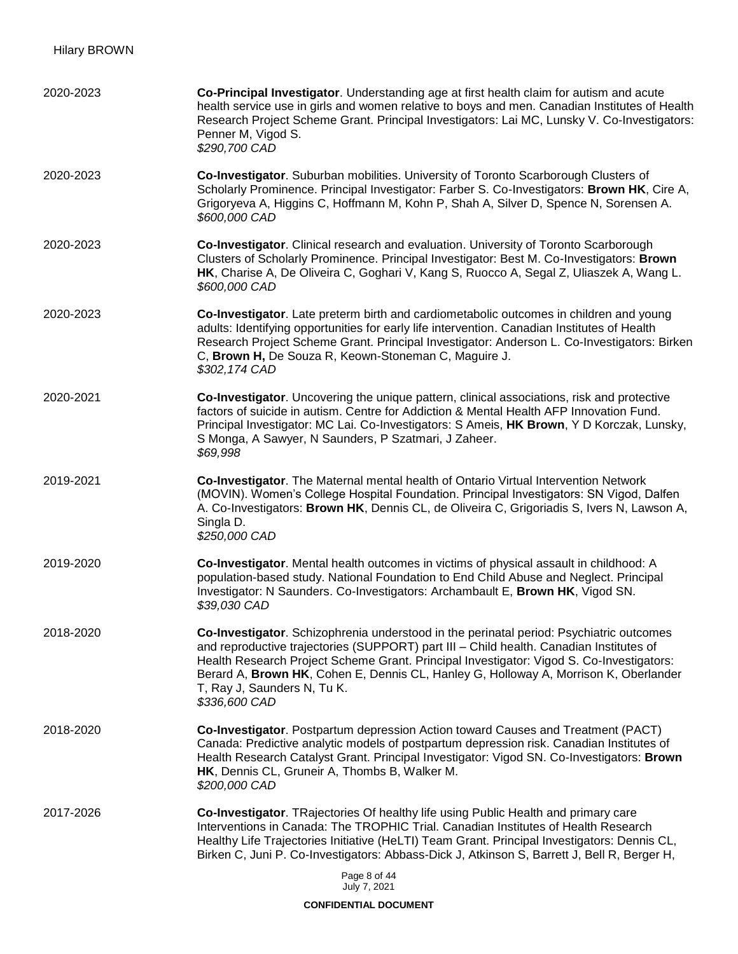| 2020-2023 | Co-Principal Investigator. Understanding age at first health claim for autism and acute<br>health service use in girls and women relative to boys and men. Canadian Institutes of Health<br>Research Project Scheme Grant. Principal Investigators: Lai MC, Lunsky V. Co-Investigators:<br>Penner M, Vigod S.<br>\$290,700 CAD                                                                                         |
|-----------|------------------------------------------------------------------------------------------------------------------------------------------------------------------------------------------------------------------------------------------------------------------------------------------------------------------------------------------------------------------------------------------------------------------------|
| 2020-2023 | Co-Investigator. Suburban mobilities. University of Toronto Scarborough Clusters of<br>Scholarly Prominence. Principal Investigator: Farber S. Co-Investigators: Brown HK, Cire A,<br>Grigoryeva A, Higgins C, Hoffmann M, Kohn P, Shah A, Silver D, Spence N, Sorensen A.<br>\$600,000 CAD                                                                                                                            |
| 2020-2023 | Co-Investigator. Clinical research and evaluation. University of Toronto Scarborough<br>Clusters of Scholarly Prominence. Principal Investigator: Best M. Co-Investigators: Brown<br>HK, Charise A, De Oliveira C, Goghari V, Kang S, Ruocco A, Segal Z, Uliaszek A, Wang L.<br>\$600,000 CAD                                                                                                                          |
| 2020-2023 | Co-Investigator. Late preterm birth and cardiometabolic outcomes in children and young<br>adults: Identifying opportunities for early life intervention. Canadian Institutes of Health<br>Research Project Scheme Grant. Principal Investigator: Anderson L. Co-Investigators: Birken<br>C, Brown H, De Souza R, Keown-Stoneman C, Maguire J.<br>\$302,174 CAD                                                         |
| 2020-2021 | Co-Investigator. Uncovering the unique pattern, clinical associations, risk and protective<br>factors of suicide in autism. Centre for Addiction & Mental Health AFP Innovation Fund.<br>Principal Investigator: MC Lai. Co-Investigators: S Ameis, HK Brown, Y D Korczak, Lunsky,<br>S Monga, A Sawyer, N Saunders, P Szatmari, J Zaheer.<br>\$69,998                                                                 |
| 2019-2021 | Co-Investigator. The Maternal mental health of Ontario Virtual Intervention Network<br>(MOVIN). Women's College Hospital Foundation. Principal Investigators: SN Vigod, Dalfen<br>A. Co-Investigators: Brown HK, Dennis CL, de Oliveira C, Grigoriadis S, Ivers N, Lawson A,<br>Singla D.<br>\$250,000 CAD                                                                                                             |
| 2019-2020 | Co-Investigator. Mental health outcomes in victims of physical assault in childhood: A<br>population-based study. National Foundation to End Child Abuse and Neglect. Principal<br>Investigator: N Saunders. Co-Investigators: Archambault E, Brown HK, Vigod SN.<br>\$39,030 CAD                                                                                                                                      |
| 2018-2020 | Co-Investigator. Schizophrenia understood in the perinatal period: Psychiatric outcomes<br>and reproductive trajectories (SUPPORT) part III - Child health. Canadian Institutes of<br>Health Research Project Scheme Grant. Principal Investigator: Vigod S. Co-Investigators:<br>Berard A, Brown HK, Cohen E, Dennis CL, Hanley G, Holloway A, Morrison K, Oberlander<br>T, Ray J, Saunders N, Tu K.<br>\$336,600 CAD |
| 2018-2020 | Co-Investigator. Postpartum depression Action toward Causes and Treatment (PACT)<br>Canada: Predictive analytic models of postpartum depression risk. Canadian Institutes of<br>Health Research Catalyst Grant. Principal Investigator: Vigod SN. Co-Investigators: Brown<br>HK, Dennis CL, Gruneir A, Thombs B, Walker M.<br>\$200,000 CAD                                                                            |
| 2017-2026 | Co-Investigator. TRajectories Of healthy life using Public Health and primary care<br>Interventions in Canada: The TROPHIC Trial. Canadian Institutes of Health Research<br>Healthy Life Trajectories Initiative (HeLTI) Team Grant. Principal Investigators: Dennis CL,<br>Birken C, Juni P. Co-Investigators: Abbass-Dick J, Atkinson S, Barrett J, Bell R, Berger H,                                                |
|           | Page 8 of 44<br>July 7, 2021                                                                                                                                                                                                                                                                                                                                                                                           |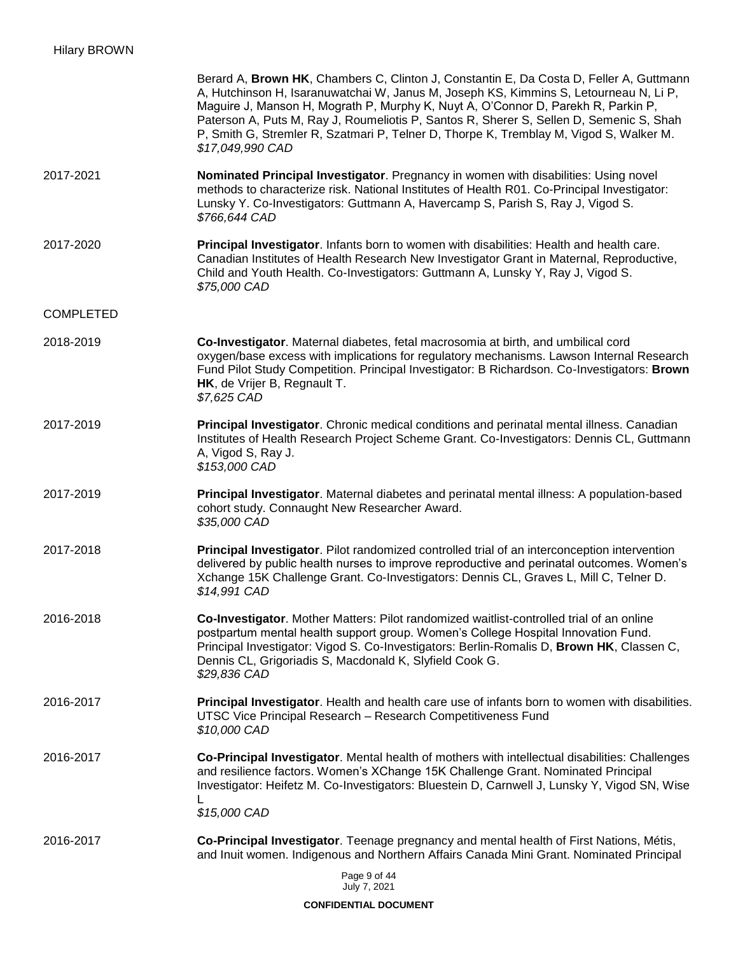|                  | Berard A, Brown HK, Chambers C, Clinton J, Constantin E, Da Costa D, Feller A, Guttmann<br>A, Hutchinson H, Isaranuwatchai W, Janus M, Joseph KS, Kimmins S, Letourneau N, Li P,<br>Maguire J, Manson H, Mograth P, Murphy K, Nuyt A, O'Connor D, Parekh R, Parkin P,<br>Paterson A, Puts M, Ray J, Roumeliotis P, Santos R, Sherer S, Sellen D, Semenic S, Shah<br>P, Smith G, Stremler R, Szatmari P, Telner D, Thorpe K, Tremblay M, Vigod S, Walker M.<br>\$17,049,990 CAD |
|------------------|--------------------------------------------------------------------------------------------------------------------------------------------------------------------------------------------------------------------------------------------------------------------------------------------------------------------------------------------------------------------------------------------------------------------------------------------------------------------------------|
| 2017-2021        | Nominated Principal Investigator. Pregnancy in women with disabilities: Using novel<br>methods to characterize risk. National Institutes of Health R01. Co-Principal Investigator:<br>Lunsky Y. Co-Investigators: Guttmann A, Havercamp S, Parish S, Ray J, Vigod S.<br>\$766,644 CAD                                                                                                                                                                                          |
| 2017-2020        | Principal Investigator. Infants born to women with disabilities: Health and health care.<br>Canadian Institutes of Health Research New Investigator Grant in Maternal, Reproductive,<br>Child and Youth Health. Co-Investigators: Guttmann A, Lunsky Y, Ray J, Vigod S.<br>\$75,000 CAD                                                                                                                                                                                        |
| <b>COMPLETED</b> |                                                                                                                                                                                                                                                                                                                                                                                                                                                                                |
| 2018-2019        | Co-Investigator. Maternal diabetes, fetal macrosomia at birth, and umbilical cord<br>oxygen/base excess with implications for regulatory mechanisms. Lawson Internal Research<br>Fund Pilot Study Competition. Principal Investigator: B Richardson. Co-Investigators: Brown<br>HK, de Vrijer B, Regnault T.<br>\$7,625 CAD                                                                                                                                                    |
| 2017-2019        | Principal Investigator. Chronic medical conditions and perinatal mental illness. Canadian<br>Institutes of Health Research Project Scheme Grant. Co-Investigators: Dennis CL, Guttmann<br>A, Vigod S, Ray J.<br>\$153,000 CAD                                                                                                                                                                                                                                                  |
| 2017-2019        | Principal Investigator. Maternal diabetes and perinatal mental illness: A population-based<br>cohort study. Connaught New Researcher Award.<br>\$35,000 CAD                                                                                                                                                                                                                                                                                                                    |
| 2017-2018        | Principal Investigator. Pilot randomized controlled trial of an interconception intervention<br>delivered by public health nurses to improve reproductive and perinatal outcomes. Women's<br>Xchange 15K Challenge Grant. Co-Investigators: Dennis CL, Graves L, Mill C, Telner D.<br>\$14,991 CAD                                                                                                                                                                             |
| 2016-2018        | Co-Investigator. Mother Matters: Pilot randomized waitlist-controlled trial of an online<br>postpartum mental health support group. Women's College Hospital Innovation Fund.<br>Principal Investigator: Vigod S. Co-Investigators: Berlin-Romalis D, Brown HK, Classen C,<br>Dennis CL, Grigoriadis S, Macdonald K, Slyfield Cook G.<br>\$29,836 CAD                                                                                                                          |
| 2016-2017        | Principal Investigator. Health and health care use of infants born to women with disabilities.<br>UTSC Vice Principal Research - Research Competitiveness Fund<br>\$10,000 CAD                                                                                                                                                                                                                                                                                                 |
| 2016-2017        | Co-Principal Investigator. Mental health of mothers with intellectual disabilities: Challenges<br>and resilience factors. Women's XChange 15K Challenge Grant. Nominated Principal<br>Investigator: Heifetz M. Co-Investigators: Bluestein D, Carnwell J, Lunsky Y, Vigod SN, Wise<br>\$15,000 CAD                                                                                                                                                                             |
| 2016-2017        | Co-Principal Investigator. Teenage pregnancy and mental health of First Nations, Métis,<br>and Inuit women. Indigenous and Northern Affairs Canada Mini Grant. Nominated Principal                                                                                                                                                                                                                                                                                             |
|                  | Page 9 of 44<br>July 7, 2021                                                                                                                                                                                                                                                                                                                                                                                                                                                   |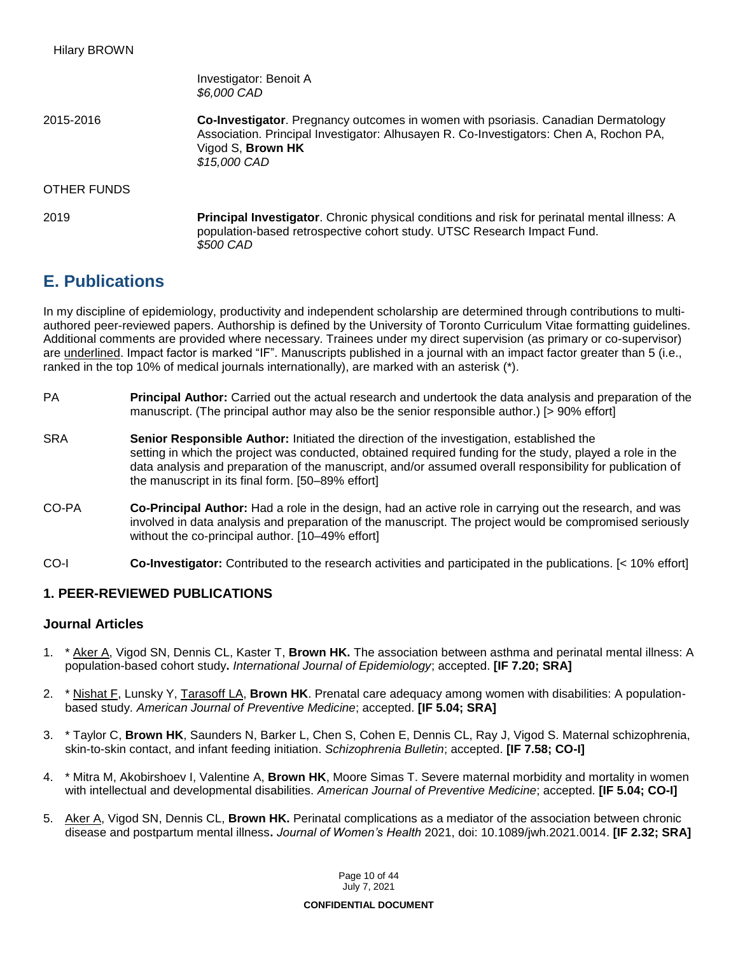Investigator: Benoit A *\$6,000 CAD* 2015-2016 **Co-Investigator**. Pregnancy outcomes in women with psoriasis. Canadian Dermatology Association. Principal Investigator: Alhusayen R. Co-Investigators: Chen A, Rochon PA, Vigod S, **Brown HK** *\$15,000 CAD* OTHER FUNDS 2019 **Principal Investigator**. Chronic physical conditions and risk for perinatal mental illness: A population-based retrospective cohort study. UTSC Research Impact Fund. *\$500 CAD*

# **E. Publications**

In my discipline of epidemiology, productivity and independent scholarship are determined through contributions to multiauthored peer-reviewed papers. Authorship is defined by the University of Toronto Curriculum Vitae formatting guidelines. Additional comments are provided where necessary. Trainees under my direct supervision (as primary or co-supervisor) are underlined. Impact factor is marked "IF". Manuscripts published in a journal with an impact factor greater than 5 (i.e., ranked in the top 10% of medical journals internationally), are marked with an asterisk (\*).

- PA **Principal Author:** Carried out the actual research and undertook the data analysis and preparation of the manuscript. (The principal author may also be the senior responsible author.) [> 90% effort]
- SRA **Senior Responsible Author:** Initiated the direction of the investigation, established the setting in which the project was conducted, obtained required funding for the study, played a role in the data analysis and preparation of the manuscript, and/or assumed overall responsibility for publication of the manuscript in its final form. [50–89% effort]
- CO-PA **Co-Principal Author:** Had a role in the design, had an active role in carrying out the research, and was involved in data analysis and preparation of the manuscript. The project would be compromised seriously without the co-principal author. [10–49% effort]
- CO-I **Co-Investigator:** Contributed to the research activities and participated in the publications. [< 10% effort]

## **1. PEER-REVIEWED PUBLICATIONS**

## **Journal Articles**

- 1. \* Aker A, Vigod SN, Dennis CL, Kaster T, **Brown HK.** The association between asthma and perinatal mental illness: A population-based cohort study**.** *International Journal of Epidemiology*; accepted. **[IF 7.20; SRA]**
- 2. \* Nishat F, Lunsky Y, Tarasoff LA, **Brown HK**. Prenatal care adequacy among women with disabilities: A populationbased study. *American Journal of Preventive Medicine*; accepted. **[IF 5.04; SRA]**
- 3. \* Taylor C, **Brown HK**, Saunders N, Barker L, Chen S, Cohen E, Dennis CL, Ray J, Vigod S. Maternal schizophrenia, skin-to-skin contact, and infant feeding initiation. *Schizophrenia Bulletin*; accepted. **[IF 7.58; CO-I]**
- 4. \* Mitra M, Akobirshoev I, Valentine A, **Brown HK**, Moore Simas T. Severe maternal morbidity and mortality in women with intellectual and developmental disabilities. *American Journal of Preventive Medicine*; accepted. **[IF 5.04; CO-I]**
- 5. Aker A, Vigod SN, Dennis CL, **Brown HK.** Perinatal complications as a mediator of the association between chronic disease and postpartum mental illness**.** *Journal of Women's Health* 2021, doi: 10.1089/jwh.2021.0014. **[IF 2.32; SRA]**

Page 10 of 44 July 7, 2021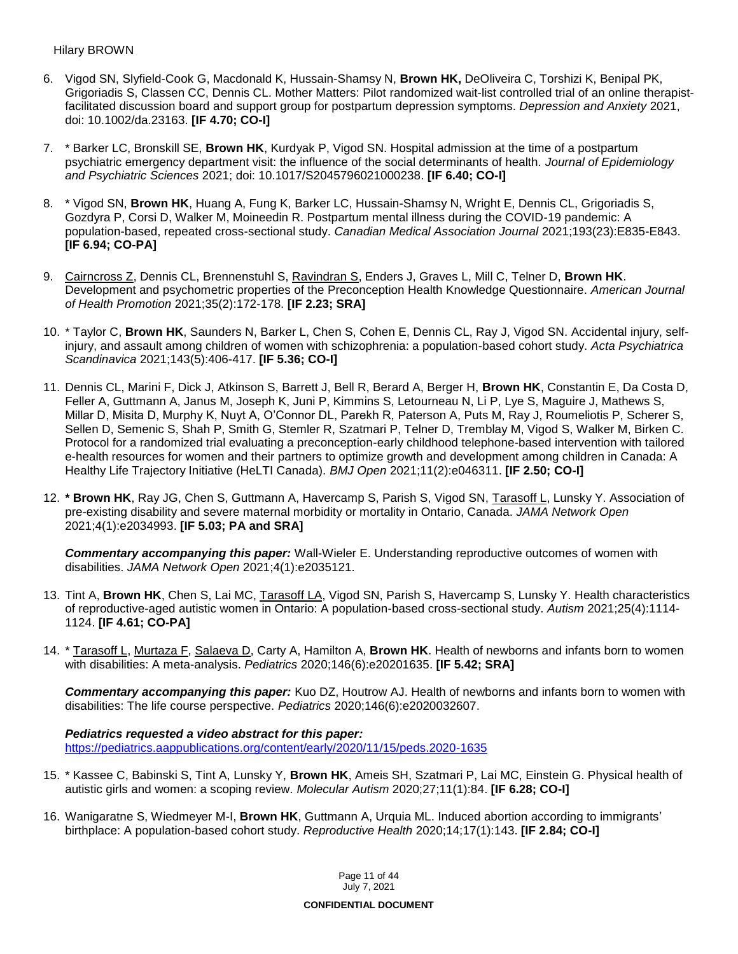#### Hilary BROWN

- 6. Vigod SN, Slyfield-Cook G, Macdonald K, Hussain-Shamsy N, **Brown HK,** DeOliveira C, Torshizi K, Benipal PK, Grigoriadis S, Classen CC, Dennis CL. Mother Matters: Pilot randomized wait-list controlled trial of an online therapistfacilitated discussion board and support group for postpartum depression symptoms. *Depression and Anxiety* 2021, doi: 10.1002/da.23163. **[IF 4.70; CO-I]**
- 7. \* Barker LC, Bronskill SE, **Brown HK**, Kurdyak P, Vigod SN. Hospital admission at the time of a postpartum psychiatric emergency department visit: the influence of the social determinants of health. *Journal of Epidemiology and Psychiatric Sciences* 2021; doi: 10.1017/S2045796021000238. **[IF 6.40; CO-I]**
- 8. \* Vigod SN, **Brown HK**, Huang A, Fung K, Barker LC, Hussain-Shamsy N, Wright E, Dennis CL, Grigoriadis S, Gozdyra P, Corsi D, Walker M, Moineedin R. Postpartum mental illness during the COVID-19 pandemic: A population-based, repeated cross-sectional study. *Canadian Medical Association Journal* 2021;193(23):E835-E843. **[IF 6.94; CO-PA]**
- 9. Cairncross Z, Dennis CL, Brennenstuhl S, Ravindran S, Enders J, Graves L, Mill C, Telner D, **Brown HK**. Development and psychometric properties of the Preconception Health Knowledge Questionnaire. *American Journal of Health Promotion* 2021;35(2):172-178. **[IF 2.23; SRA]**
- 10. \* Taylor C, **Brown HK**, Saunders N, Barker L, Chen S, Cohen E, Dennis CL, Ray J, Vigod SN. Accidental injury, selfinjury, and assault among children of women with schizophrenia: a population-based cohort study. *Acta Psychiatrica Scandinavica* 2021;143(5):406-417. **[IF 5.36; CO-I]**
- 11. Dennis CL, Marini F, Dick J, Atkinson S, Barrett J, Bell R, Berard A, Berger H, **Brown HK**, Constantin E, Da Costa D, Feller A, Guttmann A, Janus M, Joseph K, Juni P, Kimmins S, Letourneau N, Li P, Lye S, Maguire J, Mathews S, Millar D, Misita D, Murphy K, Nuyt A, O'Connor DL, Parekh R, Paterson A, Puts M, Ray J, Roumeliotis P, Scherer S, Sellen D, Semenic S, Shah P, Smith G, Stemler R, Szatmari P, Telner D, Tremblay M, Vigod S, Walker M, Birken C. Protocol for a randomized trial evaluating a preconception-early childhood telephone-based intervention with tailored e-health resources for women and their partners to optimize growth and development among children in Canada: A Healthy Life Trajectory Initiative (HeLTI Canada). *BMJ Open* 2021;11(2):e046311. **[IF 2.50; CO-I]**
- 12. **\* Brown HK**, Ray JG, Chen S, Guttmann A, Havercamp S, Parish S, Vigod SN, Tarasoff L, Lunsky Y. Association of pre-existing disability and severe maternal morbidity or mortality in Ontario, Canada. *JAMA Network Open* 2021;4(1):e2034993. **[IF 5.03; PA and SRA]**

*Commentary accompanying this paper:* Wall-Wieler E. Understanding reproductive outcomes of women with disabilities. *JAMA Network Open* 2021;4(1):e2035121.

- 13. Tint A, **Brown HK**, Chen S, Lai MC, Tarasoff LA, Vigod SN, Parish S, Havercamp S, Lunsky Y. Health characteristics of reproductive-aged autistic women in Ontario: A population-based cross-sectional study. *Autism* 2021;25(4):1114- 1124. **[IF 4.61; CO-PA]**
- 14. \* Tarasoff L, Murtaza F, Salaeva D, Carty A, Hamilton A, **Brown HK**. Health of newborns and infants born to women with disabilities: A meta-analysis. *Pediatrics* 2020;146(6):e20201635. **[IF 5.42; SRA]**

*Commentary accompanying this paper:* Kuo DZ, Houtrow AJ. Health of newborns and infants born to women with disabilities: The life course perspective. *Pediatrics* 2020;146(6):e2020032607.

#### *Pediatrics requested a video abstract for this paper:*  <https://pediatrics.aappublications.org/content/early/2020/11/15/peds.2020-1635>

- 15. \* Kassee C, Babinski S, Tint A, Lunsky Y, **Brown HK**, Ameis SH, Szatmari P, Lai MC, Einstein G. Physical health of autistic girls and women: a scoping review. *Molecular Autism* 2020;27;11(1):84. **[IF 6.28; CO-I]**
- 16. Wanigaratne S, Wiedmeyer M-I, **Brown HK**, Guttmann A, Urquia ML. Induced abortion according to immigrants' birthplace: A population-based cohort study. *Reproductive Health* 2020;14;17(1):143. **[IF 2.84; CO-I]**

Page 11 of 44 July 7, 2021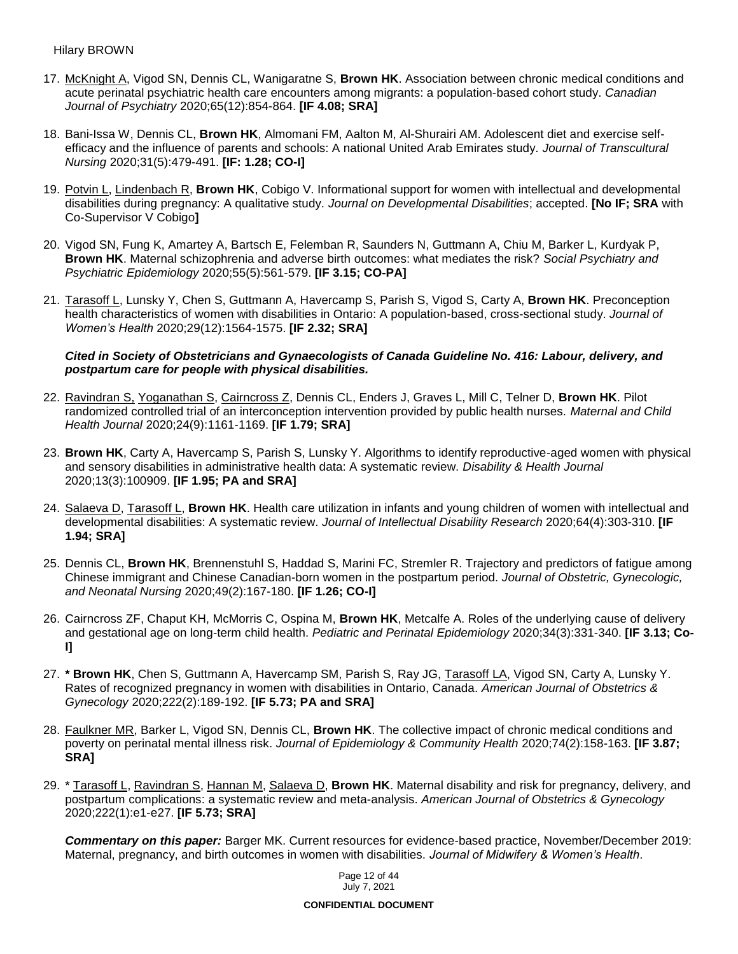- 17. McKnight A, Vigod SN, Dennis CL, Wanigaratne S, **Brown HK**. Association between chronic medical conditions and acute perinatal psychiatric health care encounters among migrants: a population-based cohort study. *Canadian Journal of Psychiatry* 2020;65(12):854-864. **[IF 4.08; SRA]**
- 18. Bani-Issa W, Dennis CL, **Brown HK**, Almomani FM, Aalton M, Al-Shurairi AM. Adolescent diet and exercise selfefficacy and the influence of parents and schools: A national United Arab Emirates study. *Journal of Transcultural Nursing* 2020;31(5):479-491. **[IF: 1.28; CO-I]**
- 19. Potvin L, Lindenbach R, **Brown HK**, Cobigo V. Informational support for women with intellectual and developmental disabilities during pregnancy: A qualitative study. *Journal on Developmental Disabilities*; accepted. **[No IF; SRA** with Co-Supervisor V Cobigo**]**
- 20. Vigod SN, Fung K, Amartey A, Bartsch E, Felemban R, Saunders N, Guttmann A, Chiu M, Barker L, Kurdyak P, **Brown HK**. Maternal schizophrenia and adverse birth outcomes: what mediates the risk? *Social Psychiatry and Psychiatric Epidemiology* 2020;55(5):561-579. **[IF 3.15; CO-PA]**
- 21. Tarasoff L, Lunsky Y, Chen S, Guttmann A, Havercamp S, Parish S, Vigod S, Carty A, **Brown HK**. Preconception health characteristics of women with disabilities in Ontario: A population-based, cross-sectional study. *Journal of Women's Health* 2020;29(12):1564-1575. **[IF 2.32; SRA]**

### *Cited in Society of Obstetricians and Gynaecologists of Canada Guideline No. 416: Labour, delivery, and postpartum care for people with physical disabilities.*

- 22. Ravindran S, Yoganathan S, Cairncross Z, Dennis CL, Enders J, Graves L, Mill C, Telner D, **Brown HK**. Pilot randomized controlled trial of an interconception intervention provided by public health nurses. *Maternal and Child Health Journal* 2020;24(9):1161-1169. **[IF 1.79; SRA]**
- 23. **Brown HK**, Carty A, Havercamp S, Parish S, Lunsky Y. Algorithms to identify reproductive-aged women with physical and sensory disabilities in administrative health data: A systematic review. *Disability & Health Journal* 2020;13(3):100909. **[IF 1.95; PA and SRA]**
- 24. Salaeva D, Tarasoff L, **Brown HK**. Health care utilization in infants and young children of women with intellectual and developmental disabilities: A systematic review. *Journal of Intellectual Disability Research* 2020;64(4):303-310. **[IF 1.94; SRA]**
- 25. Dennis CL, **Brown HK**, Brennenstuhl S, Haddad S, Marini FC, Stremler R. Trajectory and predictors of fatigue among Chinese immigrant and Chinese Canadian-born women in the postpartum period. *Journal of Obstetric, Gynecologic, and Neonatal Nursing* 2020;49(2):167-180. **[IF 1.26; CO-I]**
- 26. Cairncross ZF, Chaput KH, McMorris C, Ospina M, **Brown HK**, Metcalfe A. Roles of the underlying cause of delivery and gestational age on long-term child health. *Pediatric and Perinatal Epidemiology* 2020;34(3):331-340. **[IF 3.13; Co-I]**
- 27. **\* Brown HK**, Chen S, Guttmann A, Havercamp SM, Parish S, Ray JG, Tarasoff LA, Vigod SN, Carty A, Lunsky Y. Rates of recognized pregnancy in women with disabilities in Ontario, Canada. *American Journal of Obstetrics & Gynecology* 2020;222(2):189-192. **[IF 5.73; PA and SRA]**
- 28. Faulkner MR, Barker L, Vigod SN, Dennis CL, **Brown HK**. The collective impact of chronic medical conditions and poverty on perinatal mental illness risk. *Journal of Epidemiology & Community Health* 2020;74(2):158-163. **[IF 3.87; SRA]**
- 29. \* Tarasoff L, Ravindran S, Hannan M, Salaeva D, **Brown HK**. Maternal disability and risk for pregnancy, delivery, and postpartum complications: a systematic review and meta-analysis. *American Journal of Obstetrics & Gynecology* 2020;222(1):e1-e27. **[IF 5.73; SRA]**

*Commentary on this paper:* Barger MK. Current resources for evidence-based practice, November/December 2019: Maternal, pregnancy, and birth outcomes in women with disabilities. *Journal of Midwifery & Women's Health*.

> Page 12 of 44 July 7, 2021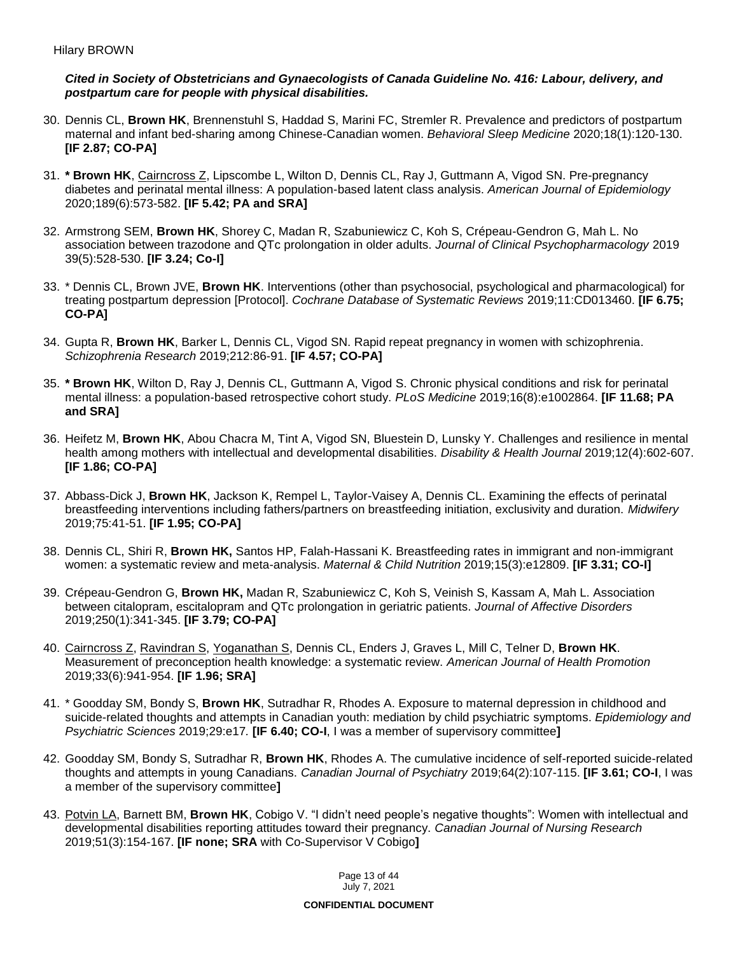#### *Cited in Society of Obstetricians and Gynaecologists of Canada Guideline No. 416: Labour, delivery, and postpartum care for people with physical disabilities.*

- 30. Dennis CL, **Brown HK**, Brennenstuhl S, Haddad S, Marini FC, Stremler R. Prevalence and predictors of postpartum maternal and infant bed-sharing among Chinese-Canadian women. *Behavioral Sleep Medicine* 2020;18(1):120-130. **[IF 2.87; CO-PA]**
- 31. **\* Brown HK**, Cairncross Z, Lipscombe L, Wilton D, Dennis CL, Ray J, Guttmann A, Vigod SN. Pre-pregnancy diabetes and perinatal mental illness: A population-based latent class analysis. *American Journal of Epidemiology* 2020;189(6):573-582. **[IF 5.42; PA and SRA]**
- 32. Armstrong SEM, **Brown HK**, Shorey C, Madan R, Szabuniewicz C, Koh S, Crépeau-Gendron G, Mah L. No association between trazodone and QTc prolongation in older adults. *Journal of Clinical Psychopharmacology* 2019 39(5):528-530. **[IF 3.24; Co-I]**
- 33. \* Dennis CL, Brown JVE, **Brown HK**. Interventions (other than psychosocial, psychological and pharmacological) for treating postpartum depression [Protocol]. *Cochrane Database of Systematic Reviews* 2019;11:CD013460. **[IF 6.75; CO-PA]**
- 34. Gupta R, **Brown HK**, Barker L, Dennis CL, Vigod SN. Rapid repeat pregnancy in women with schizophrenia. *Schizophrenia Research* 2019;212:86-91. **[IF 4.57; CO-PA]**
- 35. **\* Brown HK**, Wilton D, Ray J, Dennis CL, Guttmann A, Vigod S. Chronic physical conditions and risk for perinatal mental illness: a population-based retrospective cohort study. *PLoS Medicine* 2019;16(8):e1002864. **[IF 11.68; PA and SRA]**
- 36. Heifetz M, **Brown HK**, Abou Chacra M, Tint A, Vigod SN, Bluestein D, Lunsky Y. Challenges and resilience in mental health among mothers with intellectual and developmental disabilities. *Disability & Health Journal* 2019;12(4):602-607. **[IF 1.86; CO-PA]**
- 37. Abbass-Dick J, **Brown HK**, Jackson K, Rempel L, Taylor-Vaisey A, Dennis CL. Examining the effects of perinatal breastfeeding interventions including fathers/partners on breastfeeding initiation, exclusivity and duration. *Midwifery*  2019;75:41-51. **[IF 1.95; CO-PA]**
- 38. Dennis CL, Shiri R, **Brown HK,** Santos HP, Falah-Hassani K. Breastfeeding rates in immigrant and non-immigrant women: a systematic review and meta-analysis. *Maternal & Child Nutrition* 2019;15(3):e12809. **[IF 3.31; CO-I]**
- 39. Crépeau-Gendron G, **Brown HK,** Madan R, Szabuniewicz C, Koh S, Veinish S, Kassam A, Mah L. Association between citalopram, escitalopram and QTc prolongation in geriatric patients. *Journal of Affective Disorders* 2019;250(1):341-345. **[IF 3.79; CO-PA]**
- 40. Cairncross Z, Ravindran S, Yoganathan S, Dennis CL, Enders J, Graves L, Mill C, Telner D, **Brown HK**. Measurement of preconception health knowledge: a systematic review. *American Journal of Health Promotion*  2019;33(6):941-954. **[IF 1.96; SRA]**
- 41. \* Goodday SM, Bondy S, **Brown HK**, Sutradhar R, Rhodes A. Exposure to maternal depression in childhood and suicide-related thoughts and attempts in Canadian youth: mediation by child psychiatric symptoms. *Epidemiology and Psychiatric Sciences* 2019;29:e17*.* **[IF 6.40; CO-I**, I was a member of supervisory committee**]**
- 42. Goodday SM, Bondy S, Sutradhar R, **Brown HK**, Rhodes A. The cumulative incidence of self-reported suicide-related thoughts and attempts in young Canadians. *Canadian Journal of Psychiatry* 2019;64(2):107-115. **[IF 3.61; CO-I**, I was a member of the supervisory committee**]**
- 43. Potvin LA, Barnett BM, **Brown HK**, Cobigo V. "I didn't need people's negative thoughts": Women with intellectual and developmental disabilities reporting attitudes toward their pregnancy. *Canadian Journal of Nursing Research* 2019;51(3):154-167. **[IF none; SRA** with Co-Supervisor V Cobigo**]**

Page 13 of 44 July 7, 2021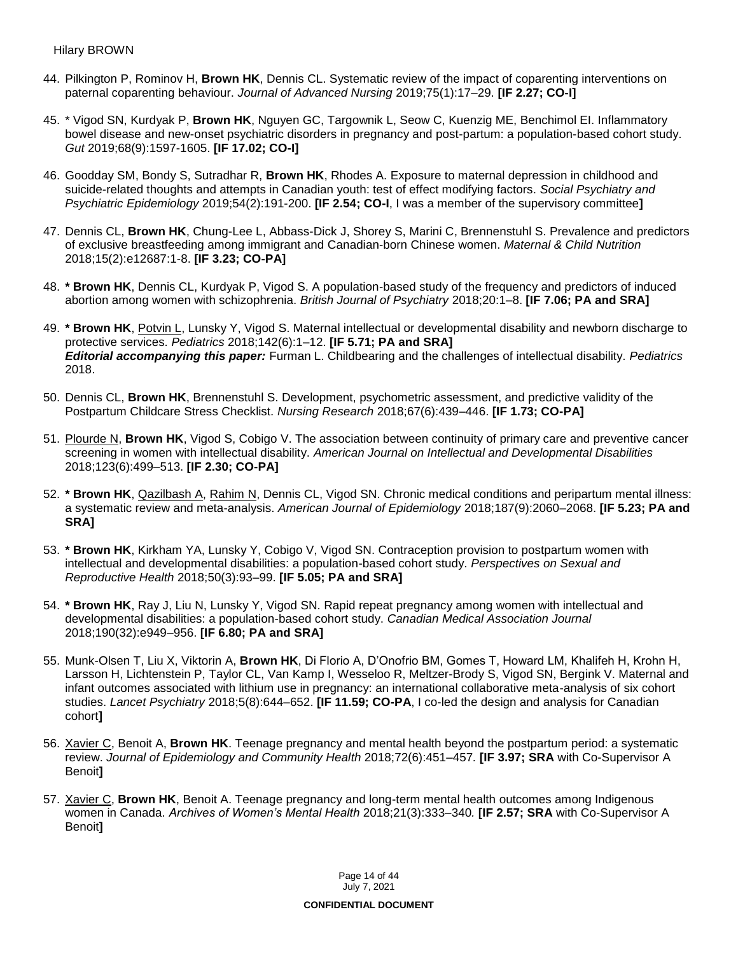- 44. Pilkington P, Rominov H, **Brown HK**, Dennis CL. Systematic review of the impact of coparenting interventions on paternal coparenting behaviour. *Journal of Advanced Nursing* 2019;75(1):17–29. **[IF 2.27; CO-I]**
- 45. \* Vigod SN, Kurdyak P, **Brown HK**, Nguyen GC, Targownik L, Seow C, Kuenzig ME, Benchimol EI. Inflammatory bowel disease and new-onset psychiatric disorders in pregnancy and post-partum: a population-based cohort study. *Gut* 2019;68(9):1597-1605. **[IF 17.02; CO-I]**
- 46. Goodday SM, Bondy S, Sutradhar R, **Brown HK**, Rhodes A. Exposure to maternal depression in childhood and suicide-related thoughts and attempts in Canadian youth: test of effect modifying factors. *Social Psychiatry and Psychiatric Epidemiology* 2019;54(2):191-200. **[IF 2.54; CO-I**, I was a member of the supervisory committee**]**
- 47. Dennis CL, **Brown HK**, Chung-Lee L, Abbass-Dick J, Shorey S, Marini C, Brennenstuhl S. Prevalence and predictors of exclusive breastfeeding among immigrant and Canadian-born Chinese women. *Maternal & Child Nutrition*  2018;15(2):e12687:1-8. **[IF 3.23; CO-PA]**
- 48. **\* Brown HK**, Dennis CL, Kurdyak P, Vigod S. A population-based study of the frequency and predictors of induced abortion among women with schizophrenia. *British Journal of Psychiatry* 2018;20:1–8. **[IF 7.06; PA and SRA]**
- 49. **\* Brown HK**, Potvin L, Lunsky Y, Vigod S. Maternal intellectual or developmental disability and newborn discharge to protective services. *Pediatrics* 2018;142(6):1–12. **[IF 5.71; PA and SRA]** *Editorial accompanying this paper:* Furman L. Childbearing and the challenges of intellectual disability. *Pediatrics* 2018.
- 50. Dennis CL, **Brown HK**, Brennenstuhl S. Development, psychometric assessment, and predictive validity of the Postpartum Childcare Stress Checklist. *Nursing Research* 2018;67(6):439–446. **[IF 1.73; CO-PA]**
- 51. Plourde N, **Brown HK**, Vigod S, Cobigo V. The association between continuity of primary care and preventive cancer screening in women with intellectual disability. *American Journal on Intellectual and Developmental Disabilities*  2018;123(6):499–513. **[IF 2.30; CO-PA]**
- 52. **\* Brown HK**, Qazilbash A, Rahim N, Dennis CL, Vigod SN. Chronic medical conditions and peripartum mental illness: a systematic review and meta-analysis. *American Journal of Epidemiology* 2018;187(9):2060–2068. **[IF 5.23; PA and SRA]**
- 53. **\* Brown HK**, Kirkham YA, Lunsky Y, Cobigo V, Vigod SN. Contraception provision to postpartum women with intellectual and developmental disabilities: a population-based cohort study. *Perspectives on Sexual and Reproductive Health* 2018;50(3):93–99. **[IF 5.05; PA and SRA]**
- 54. **\* Brown HK**, Ray J, Liu N, Lunsky Y, Vigod SN. Rapid repeat pregnancy among women with intellectual and developmental disabilities: a population-based cohort study. *Canadian Medical Association Journal*  2018;190(32):e949–956. **[IF 6.80; PA and SRA]**
- 55. Munk-Olsen T, Liu X, Viktorin A, **Brown HK**, Di Florio A, D'Onofrio BM, Gomes T, Howard LM, Khalifeh H, Krohn H, Larsson H, Lichtenstein P, Taylor CL, Van Kamp I, Wesseloo R, Meltzer-Brody S, Vigod SN, Bergink V. Maternal and infant outcomes associated with lithium use in pregnancy: an international collaborative meta-analysis of six cohort studies. *Lancet Psychiatry* 2018;5(8):644–652. **[IF 11.59; CO-PA**, I co-led the design and analysis for Canadian cohort**]**
- 56. Xavier C, Benoit A, **Brown HK**. Teenage pregnancy and mental health beyond the postpartum period: a systematic review. *Journal of Epidemiology and Community Health* 2018;72(6):451–457*.* **[IF 3.97; SRA** with Co-Supervisor A Benoit**]**
- 57. Xavier C, **Brown HK**, Benoit A. Teenage pregnancy and long-term mental health outcomes among Indigenous women in Canada. *Archives of Women's Mental Health* 2018;21(3):333–340*.* **[IF 2.57; SRA** with Co-Supervisor A Benoit**]**

Page 14 of 44 July 7, 2021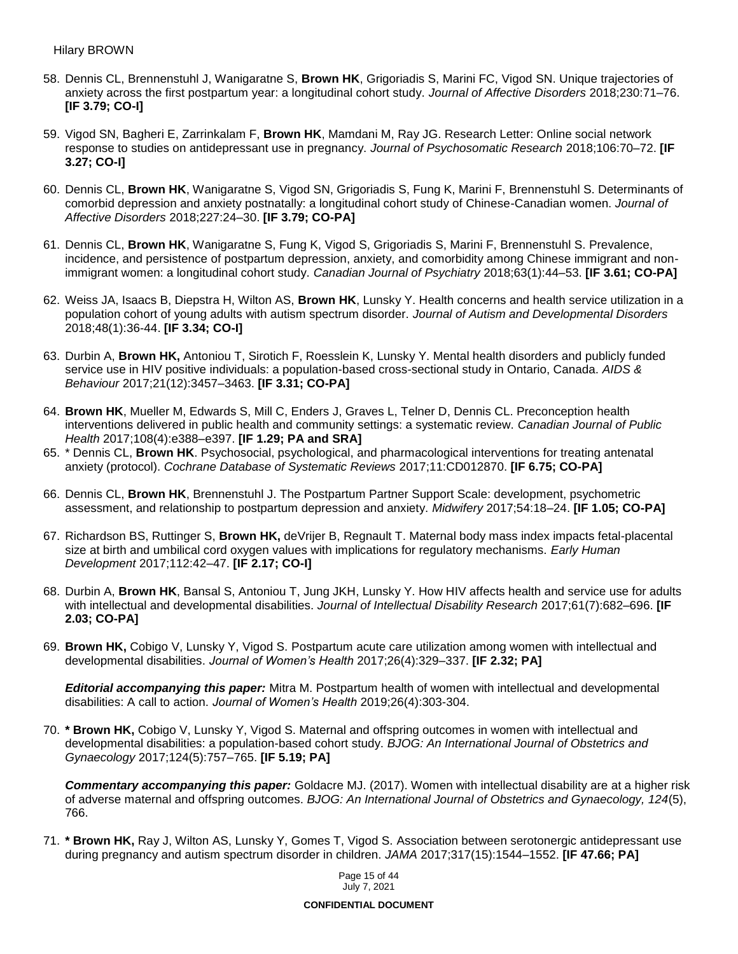- 58. Dennis CL, Brennenstuhl J, Wanigaratne S, **Brown HK**, Grigoriadis S, Marini FC, Vigod SN. Unique trajectories of anxiety across the first postpartum year: a longitudinal cohort study. *Journal of Affective Disorders* 2018;230:71–76. **[IF 3.79; CO-I]**
- 59. Vigod SN, Bagheri E, Zarrinkalam F, **Brown HK**, Mamdani M, Ray JG. Research Letter: Online social network response to studies on antidepressant use in pregnancy. *Journal of Psychosomatic Research* 2018;106:70–72. **[IF 3.27; CO-I]**
- 60. Dennis CL, **Brown HK**, Wanigaratne S, Vigod SN, Grigoriadis S, Fung K, Marini F, Brennenstuhl S. Determinants of comorbid depression and anxiety postnatally: a longitudinal cohort study of Chinese-Canadian women. *Journal of Affective Disorders* 2018;227:24–30. **[IF 3.79; CO-PA]**
- 61. Dennis CL, **Brown HK**, Wanigaratne S, Fung K, Vigod S, Grigoriadis S, Marini F, Brennenstuhl S. Prevalence, incidence, and persistence of postpartum depression, anxiety, and comorbidity among Chinese immigrant and nonimmigrant women: a longitudinal cohort study. *Canadian Journal of Psychiatry* 2018;63(1):44–53. **[IF 3.61; CO-PA]**
- 62. Weiss JA, Isaacs B, Diepstra H, Wilton AS, **Brown HK**, Lunsky Y. Health concerns and health service utilization in a population cohort of young adults with autism spectrum disorder. *Journal of Autism and Developmental Disorders*  2018;48(1):36-44. **[IF 3.34; CO-I]**
- 63. Durbin A, **Brown HK,** Antoniou T, Sirotich F, Roesslein K, Lunsky Y. Mental health disorders and publicly funded service use in HIV positive individuals: a population-based cross-sectional study in Ontario, Canada. *AIDS & Behaviour* 2017;21(12):3457–3463. **[IF 3.31; CO-PA]**
- 64. **Brown HK**, Mueller M, Edwards S, Mill C, Enders J, Graves L, Telner D, Dennis CL. Preconception health interventions delivered in public health and community settings: a systematic review. *Canadian Journal of Public Health* 2017;108(4):e388–e397. **[IF 1.29; PA and SRA]**
- 65. \* Dennis CL, **Brown HK**. Psychosocial, psychological, and pharmacological interventions for treating antenatal anxiety (protocol). *Cochrane Database of Systematic Reviews* 2017;11:CD012870. **[IF 6.75; CO-PA]**
- 66. Dennis CL, **Brown HK**, Brennenstuhl J. The Postpartum Partner Support Scale: development, psychometric assessment, and relationship to postpartum depression and anxiety. *Midwifery* 2017;54:18–24. **[IF 1.05; CO-PA]**
- 67. Richardson BS, Ruttinger S, **Brown HK,** deVrijer B, Regnault T. Maternal body mass index impacts fetal-placental size at birth and umbilical cord oxygen values with implications for regulatory mechanisms. *Early Human Development* 2017;112:42–47. **[IF 2.17; CO-I]**
- 68. Durbin A, **Brown HK**, Bansal S, Antoniou T, Jung JKH, Lunsky Y. How HIV affects health and service use for adults with intellectual and developmental disabilities. *Journal of Intellectual Disability Research* 2017;61(7):682–696. **[IF 2.03; CO-PA]**
- 69. **Brown HK,** Cobigo V, Lunsky Y, Vigod S. Postpartum acute care utilization among women with intellectual and developmental disabilities. *Journal of Women's Health* 2017;26(4):329–337. **[IF 2.32; PA]**

*Editorial accompanying this paper:* Mitra M. Postpartum health of women with intellectual and developmental disabilities: A call to action. *Journal of Women's Health* 2019;26(4):303-304.

70. **\* Brown HK,** Cobigo V, Lunsky Y, Vigod S. Maternal and offspring outcomes in women with intellectual and developmental disabilities: a population-based cohort study. *BJOG: An International Journal of Obstetrics and Gynaecology* 2017;124(5):757–765. **[IF 5.19; PA]**

*Commentary accompanying this paper:* Goldacre MJ. (2017). Women with intellectual disability are at a higher risk of adverse maternal and offspring outcomes. *BJOG: An International Journal of Obstetrics and Gynaecology, 124*(5), 766.

71. **\* Brown HK,** Ray J, Wilton AS, Lunsky Y, Gomes T, Vigod S. Association between serotonergic antidepressant use during pregnancy and autism spectrum disorder in children. *JAMA* 2017;317(15):1544–1552. **[IF 47.66; PA]**

> Page 15 of 44 July 7, 2021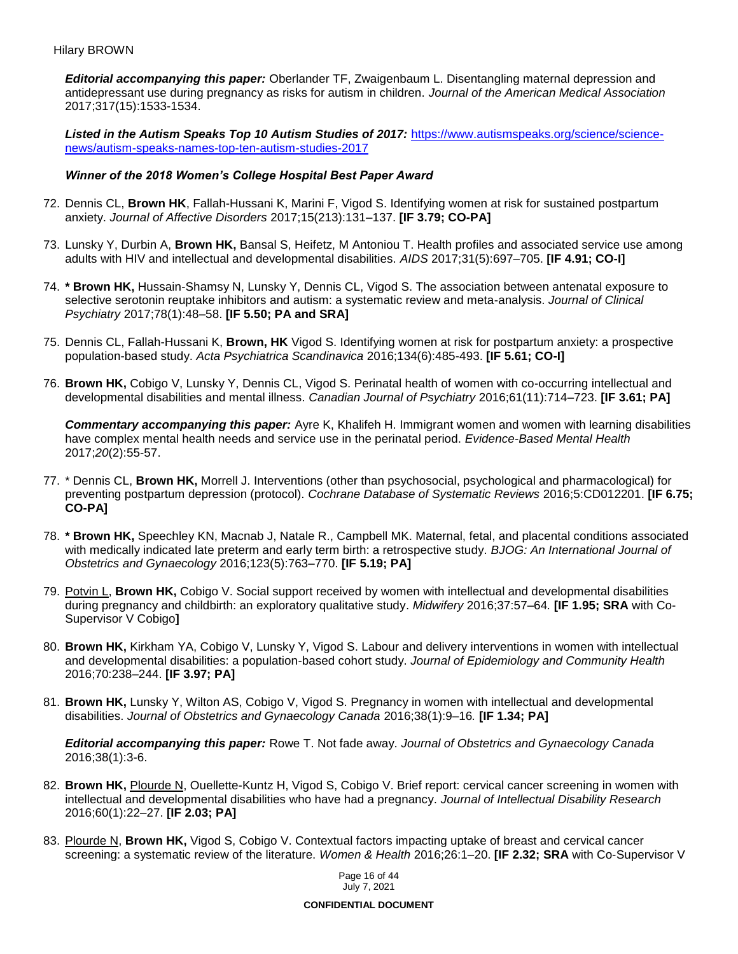*Editorial accompanying this paper:* Oberlander TF, Zwaigenbaum L. Disentangling maternal depression and antidepressant use during pregnancy as risks for autism in children. *Journal of the American Medical Association* 2017;317(15):1533-1534.

Listed in the Autism Speaks Top 10 Autism Studies of 2017: [https://www.autismspeaks.org/science/science](https://www.autismspeaks.org/science/science-news/autism-speaks-names-top-ten-autism-studies-2017)[news/autism-speaks-names-top-ten-autism-studies-2017](https://www.autismspeaks.org/science/science-news/autism-speaks-names-top-ten-autism-studies-2017)

#### *Winner of the 2018 Women's College Hospital Best Paper Award*

- 72. Dennis CL, **Brown HK**, Fallah-Hussani K, Marini F, Vigod S. Identifying women at risk for sustained postpartum anxiety. *Journal of Affective Disorders* 2017;15(213):131–137. **[IF 3.79; CO-PA]**
- 73. Lunsky Y, Durbin A, **Brown HK,** Bansal S, Heifetz, M Antoniou T. Health profiles and associated service use among adults with HIV and intellectual and developmental disabilities. *AIDS* 2017;31(5):697–705. **[IF 4.91; CO-I]**
- 74. **\* Brown HK,** Hussain-Shamsy N, Lunsky Y, Dennis CL, Vigod S. The association between antenatal exposure to selective serotonin reuptake inhibitors and autism: a systematic review and meta-analysis. *Journal of Clinical Psychiatry* 2017;78(1):48–58. **[IF 5.50; PA and SRA]**
- 75. Dennis CL, Fallah-Hussani K, **Brown, HK** Vigod S. Identifying women at risk for postpartum anxiety: a prospective population-based study. *Acta Psychiatrica Scandinavica* 2016;134(6):485-493. **[IF 5.61; CO-I]**
- 76. **Brown HK,** Cobigo V, Lunsky Y, Dennis CL, Vigod S. Perinatal health of women with co-occurring intellectual and developmental disabilities and mental illness. *Canadian Journal of Psychiatry* 2016;61(11):714–723. **[IF 3.61; PA]**

*Commentary accompanying this paper:* Ayre K, Khalifeh H. Immigrant women and women with learning disabilities have complex mental health needs and service use in the perinatal period. *Evidence-Based Mental Health* 2017;*20*(2):55-57.

- 77. \* Dennis CL, **Brown HK,** Morrell J. Interventions (other than psychosocial, psychological and pharmacological) for preventing postpartum depression (protocol). *Cochrane Database of Systematic Reviews* 2016;5:CD012201. **[IF 6.75; CO-PA]**
- 78. **\* Brown HK,** Speechley KN, Macnab J, Natale R., Campbell MK. Maternal, fetal, and placental conditions associated with medically indicated late preterm and early term birth: a retrospective study. *BJOG: An International Journal of Obstetrics and Gynaecology* 2016;123(5):763–770. **[IF 5.19; PA]**
- 79. Potvin L, **Brown HK,** Cobigo V. Social support received by women with intellectual and developmental disabilities during pregnancy and childbirth: an exploratory qualitative study. *Midwifery* 2016;37:57–64*.* **[IF 1.95; SRA** with Co-Supervisor V Cobigo**]**
- 80. **Brown HK,** Kirkham YA, Cobigo V, Lunsky Y, Vigod S. Labour and delivery interventions in women with intellectual and developmental disabilities: a population-based cohort study. *Journal of Epidemiology and Community Health*  2016;70:238–244. **[IF 3.97; PA]**
- 81. **Brown HK,** Lunsky Y, Wilton AS, Cobigo V, Vigod S. Pregnancy in women with intellectual and developmental disabilities. *Journal of Obstetrics and Gynaecology Canada* 2016;38(1):9–16*.* **[IF 1.34; PA]**

*Editorial accompanying this paper:* Rowe T. Not fade away. *Journal of Obstetrics and Gynaecology Canada* 2016;38(1):3-6.

- 82. **Brown HK,** Plourde N, Ouellette-Kuntz H, Vigod S, Cobigo V. Brief report: cervical cancer screening in women with intellectual and developmental disabilities who have had a pregnancy. *Journal of Intellectual Disability Research*  2016;60(1):22–27. **[IF 2.03; PA]**
- 83. Plourde N, **Brown HK,** Vigod S, Cobigo V. Contextual factors impacting uptake of breast and cervical cancer screening: a systematic review of the literature. *Women & Health* 2016;26:1–20. **[IF 2.32; SRA** with Co-Supervisor V

Page 16 of 44 July 7, 2021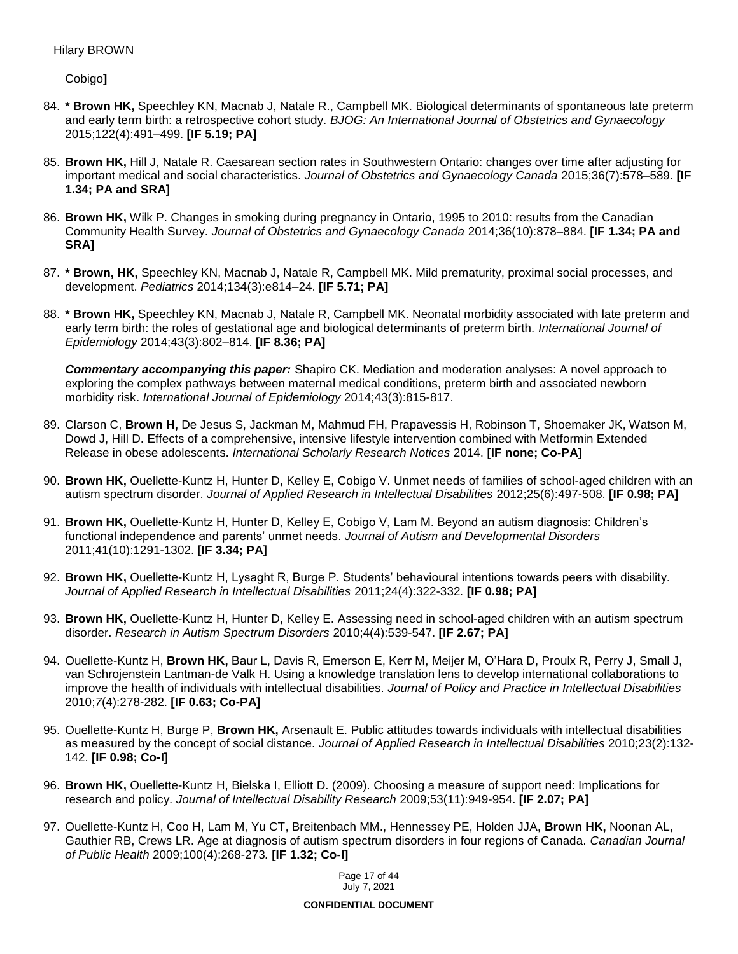Cobigo**]**

- 84. **\* Brown HK,** Speechley KN, Macnab J, Natale R., Campbell MK. Biological determinants of spontaneous late preterm and early term birth: a retrospective cohort study. *BJOG: An International Journal of Obstetrics and Gynaecology*  2015;122(4):491–499. **[IF 5.19; PA]**
- 85. **Brown HK,** Hill J, Natale R. Caesarean section rates in Southwestern Ontario: changes over time after adjusting for important medical and social characteristics. *Journal of Obstetrics and Gynaecology Canada* 2015;36(7):578–589. **[IF 1.34; PA and SRA]**
- 86. **Brown HK,** Wilk P. Changes in smoking during pregnancy in Ontario, 1995 to 2010: results from the Canadian Community Health Survey. *Journal of Obstetrics and Gynaecology Canada* 2014;36(10):878–884. **[IF 1.34; PA and SRA]**
- 87. **\* Brown, HK,** Speechley KN, Macnab J, Natale R, Campbell MK. Mild prematurity, proximal social processes, and development. *Pediatrics* 2014;134(3):e814–24. **[IF 5.71; PA]**
- 88. **\* Brown HK,** Speechley KN, Macnab J, Natale R, Campbell MK. Neonatal morbidity associated with late preterm and early term birth: the roles of gestational age and biological determinants of preterm birth. *International Journal of Epidemiology* 2014;43(3):802–814. **[IF 8.36; PA]**

*Commentary accompanying this paper:* Shapiro CK. Mediation and moderation analyses: A novel approach to exploring the complex pathways between maternal medical conditions, preterm birth and associated newborn morbidity risk. *International Journal of Epidemiology* 2014;43(3):815-817.

- 89. Clarson C, **Brown H,** De Jesus S, Jackman M, Mahmud FH, Prapavessis H, Robinson T, Shoemaker JK, Watson M, Dowd J, Hill D. Effects of a comprehensive, intensive lifestyle intervention combined with Metformin Extended Release in obese adolescents. *International Scholarly Research Notices* 2014. **[IF none; Co-PA]**
- 90. **Brown HK,** Ouellette-Kuntz H, Hunter D, Kelley E, Cobigo V. Unmet needs of families of school-aged children with an autism spectrum disorder. *Journal of Applied Research in Intellectual Disabilities* 2012;25(6):497-508. **[IF 0.98; PA]**
- 91. **Brown HK,** Ouellette-Kuntz H, Hunter D, Kelley E, Cobigo V, Lam M. Beyond an autism diagnosis: Children's functional independence and parents' unmet needs. *Journal of Autism and Developmental Disorders*  2011;41(10):1291-1302. **[IF 3.34; PA]**
- 92. **Brown HK,** Ouellette-Kuntz H, Lysaght R, Burge P. Students' behavioural intentions towards peers with disability. *Journal of Applied Research in Intellectual Disabilities* 2011;24(4):322-332*.* **[IF 0.98; PA]**
- 93. **Brown HK,** Ouellette-Kuntz H, Hunter D, Kelley E. Assessing need in school-aged children with an autism spectrum disorder. *Research in Autism Spectrum Disorders* 2010;4(4):539-547. **[IF 2.67; PA]**
- 94. Ouellette-Kuntz H, **Brown HK,** Baur L, Davis R, Emerson E, Kerr M, Meijer M, O'Hara D, Proulx R, Perry J, Small J, van Schrojenstein Lantman-de Valk H. Using a knowledge translation lens to develop international collaborations to improve the health of individuals with intellectual disabilities. *Journal of Policy and Practice in Intellectual Disabilities* 2010;*7*(4):278-282. **[IF 0.63; Co-PA]**
- 95. Ouellette-Kuntz H, Burge P, **Brown HK,** Arsenault E. Public attitudes towards individuals with intellectual disabilities as measured by the concept of social distance. *Journal of Applied Research in Intellectual Disabilities* 2010;23(2):132- 142. **[IF 0.98; Co-I]**
- 96. **Brown HK,** Ouellette-Kuntz H, Bielska I, Elliott D. (2009). Choosing a measure of support need: Implications for research and policy. *Journal of Intellectual Disability Research* 2009;53(11):949-954. **[IF 2.07; PA]**
- 97. Ouellette-Kuntz H, Coo H, Lam M, Yu CT, Breitenbach MM., Hennessey PE, Holden JJA, **Brown HK,** Noonan AL, Gauthier RB, Crews LR. Age at diagnosis of autism spectrum disorders in four regions of Canada. *Canadian Journal of Public Health* 2009;100(4):268-273*.* **[IF 1.32; Co-I]**

Page 17 of 44 July 7, 2021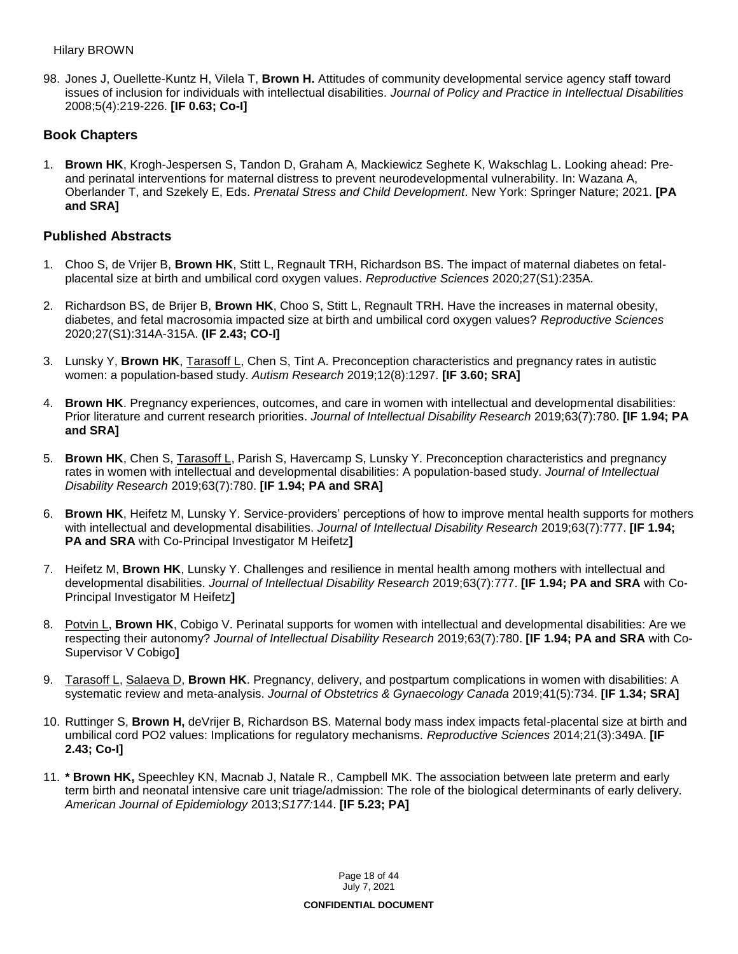98. Jones J, Ouellette-Kuntz H, Vilela T, **Brown H.** Attitudes of community developmental service agency staff toward issues of inclusion for individuals with intellectual disabilities. *Journal of Policy and Practice in Intellectual Disabilities*  2008;5(4):219-226. **[IF 0.63; Co-I]**

## **Book Chapters**

1. **Brown HK**, Krogh-Jespersen S, Tandon D, Graham A, Mackiewicz Seghete K, Wakschlag L. Looking ahead: Preand perinatal interventions for maternal distress to prevent neurodevelopmental vulnerability. In: Wazana A, Oberlander T, and Szekely E, Eds. *Prenatal Stress and Child Development*. New York: Springer Nature; 2021. **[PA and SRA]**

## **Published Abstracts**

- 1. Choo S, de Vrijer B, **Brown HK**, Stitt L, Regnault TRH, Richardson BS. The impact of maternal diabetes on fetalplacental size at birth and umbilical cord oxygen values. *Reproductive Sciences* 2020;27(S1):235A.
- 2. Richardson BS, de Brijer B, **Brown HK**, Choo S, Stitt L, Regnault TRH. Have the increases in maternal obesity, diabetes, and fetal macrosomia impacted size at birth and umbilical cord oxygen values? *Reproductive Sciences* 2020;27(S1):314A-315A. **(IF 2.43; CO-I]**
- 3. Lunsky Y, **Brown HK**, Tarasoff L, Chen S, Tint A. Preconception characteristics and pregnancy rates in autistic women: a population-based study. *Autism Research* 2019;12(8):1297. **[IF 3.60; SRA]**
- 4. **Brown HK**. Pregnancy experiences, outcomes, and care in women with intellectual and developmental disabilities: Prior literature and current research priorities. *Journal of Intellectual Disability Research* 2019;63(7):780. **[IF 1.94; PA and SRA]**
- 5. **Brown HK**, Chen S, Tarasoff L, Parish S, Havercamp S, Lunsky Y. Preconception characteristics and pregnancy rates in women with intellectual and developmental disabilities: A population-based study. *Journal of Intellectual Disability Research* 2019;63(7):780. **[IF 1.94; PA and SRA]**
- 6. **Brown HK**, Heifetz M, Lunsky Y. Service-providers' perceptions of how to improve mental health supports for mothers with intellectual and developmental disabilities. *Journal of Intellectual Disability Research* 2019;63(7):777. **[IF 1.94; PA and SRA** with Co-Principal Investigator M Heifetz**]**
- 7. Heifetz M, **Brown HK**, Lunsky Y. Challenges and resilience in mental health among mothers with intellectual and developmental disabilities. *Journal of Intellectual Disability Research* 2019;63(7):777. **[IF 1.94; PA and SRA** with Co-Principal Investigator M Heifetz**]**
- 8. Potvin L, **Brown HK**, Cobigo V. Perinatal supports for women with intellectual and developmental disabilities: Are we respecting their autonomy? *Journal of Intellectual Disability Research* 2019;63(7):780. **[IF 1.94; PA and SRA** with Co-Supervisor V Cobigo**]**
- 9. Tarasoff L, Salaeva D, **Brown HK**. Pregnancy, delivery, and postpartum complications in women with disabilities: A systematic review and meta-analysis. *Journal of Obstetrics & Gynaecology Canada* 2019;41(5):734. **[IF 1.34; SRA]**
- 10. Ruttinger S, **Brown H,** deVrijer B, Richardson BS. Maternal body mass index impacts fetal-placental size at birth and umbilical cord PO2 values: Implications for regulatory mechanisms. *Reproductive Sciences* 2014;21(3):349A. **[IF 2.43; Co-I]**
- 11. **\* Brown HK,** Speechley KN, Macnab J, Natale R., Campbell MK. The association between late preterm and early term birth and neonatal intensive care unit triage/admission: The role of the biological determinants of early delivery. *American Journal of Epidemiology* 2013;*S177:*144. **[IF 5.23; PA]**

Page 18 of 44 July 7, 2021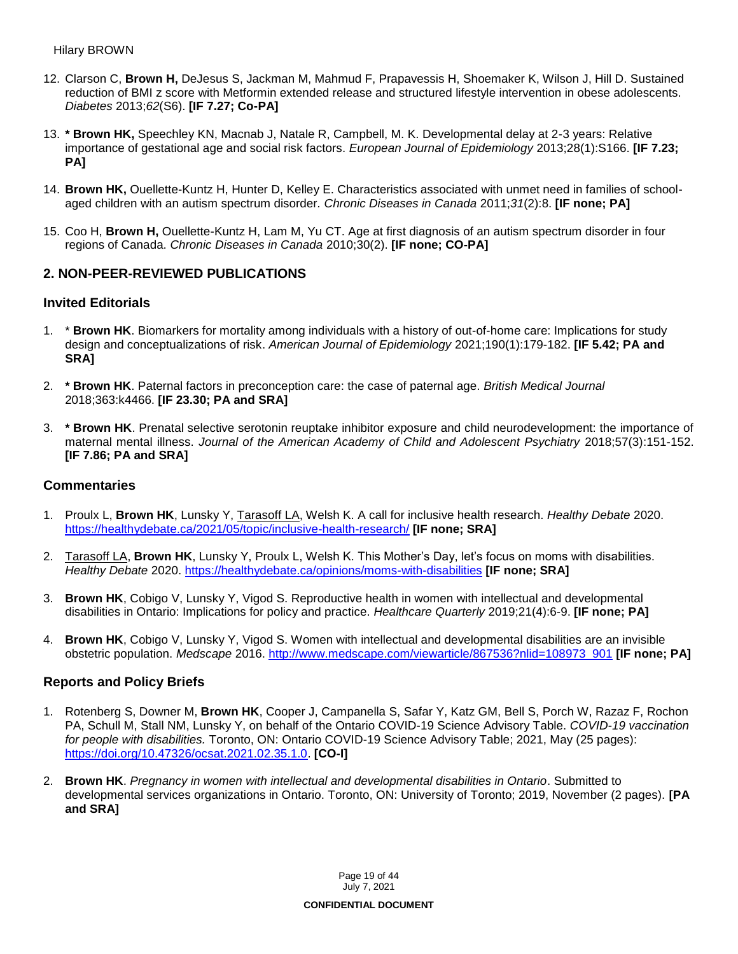- 12. Clarson C, **Brown H,** DeJesus S, Jackman M, Mahmud F, Prapavessis H, Shoemaker K, Wilson J, Hill D. Sustained reduction of BMI z score with Metformin extended release and structured lifestyle intervention in obese adolescents. *Diabetes* 2013;*62*(S6). **[IF 7.27; Co-PA]**
- 13. **\* Brown HK,** Speechley KN, Macnab J, Natale R, Campbell, M. K. Developmental delay at 2-3 years: Relative importance of gestational age and social risk factors. *European Journal of Epidemiology* 2013;28(1):S166. **[IF 7.23; PA]**
- 14. **Brown HK,** Ouellette-Kuntz H, Hunter D, Kelley E. Characteristics associated with unmet need in families of schoolaged children with an autism spectrum disorder*. Chronic Diseases in Canada* 2011;*31*(2):8. **[IF none; PA]**
- 15. Coo H, **Brown H,** Ouellette-Kuntz H, Lam M, Yu CT. Age at first diagnosis of an autism spectrum disorder in four regions of Canada. *Chronic Diseases in Canada* 2010;30(2). **[IF none; CO-PA]**

## **2. NON-PEER-REVIEWED PUBLICATIONS**

### **Invited Editorials**

- 1. \* **Brown HK**. Biomarkers for mortality among individuals with a history of out-of-home care: Implications for study design and conceptualizations of risk. *American Journal of Epidemiology* 2021;190(1):179-182. **[IF 5.42; PA and SRA]**
- 2. **\* Brown HK**. Paternal factors in preconception care: the case of paternal age. *British Medical Journal* 2018;363:k4466. **[IF 23.30; PA and SRA]**
- 3. **\* Brown HK**. Prenatal selective serotonin reuptake inhibitor exposure and child neurodevelopment: the importance of maternal mental illness. *Journal of the American Academy of Child and Adolescent Psychiatry* 2018;57(3):151-152. **[IF 7.86; PA and SRA]**

### **Commentaries**

- 1. Proulx L, **Brown HK**, Lunsky Y, Tarasoff LA, Welsh K. A call for inclusive health research. *Healthy Debate* 2020. <https://healthydebate.ca/2021/05/topic/inclusive-health-research/> **[IF none; SRA]**
- 2. Tarasoff LA, **Brown HK**, Lunsky Y, Proulx L, Welsh K. This Mother's Day, let's focus on moms with disabilities. *Healthy Debate* 2020.<https://healthydebate.ca/opinions/moms-with-disabilities> **[IF none; SRA]**
- 3. **Brown HK**, Cobigo V, Lunsky Y, Vigod S. Reproductive health in women with intellectual and developmental disabilities in Ontario: Implications for policy and practice. *Healthcare Quarterly* 2019;21(4):6-9. **[IF none; PA]**
- 4. **Brown HK**, Cobigo V, Lunsky Y, Vigod S. Women with intellectual and developmental disabilities are an invisible obstetric population. *Medscape* 2016. [http://www.medscape.com/viewarticle/867536?nlid=108973\\_901](http://www.medscape.com/viewarticle/867536?nlid=108973_901) **[IF none; PA]**

## **Reports and Policy Briefs**

- 1. Rotenberg S, Downer M, **Brown HK**, Cooper J, Campanella S, Safar Y, Katz GM, Bell S, Porch W, Razaz F, Rochon PA, Schull M, Stall NM, Lunsky Y, on behalf of the Ontario COVID-19 Science Advisory Table. *COVID-19 vaccination for people with disabilities.* Toronto, ON: Ontario COVID-19 Science Advisory Table; 2021, May (25 pages): [https://doi.org/10.47326/ocsat.2021.02.35.1.0.](https://doi.org/10.47326/ocsat.2021.02.35.1.0) **[CO-I]**
- 2. **Brown HK**. *Pregnancy in women with intellectual and developmental disabilities in Ontario*. Submitted to developmental services organizations in Ontario. Toronto, ON: University of Toronto; 2019, November (2 pages). **[PA and SRA]**

Page 19 of 44 July 7, 2021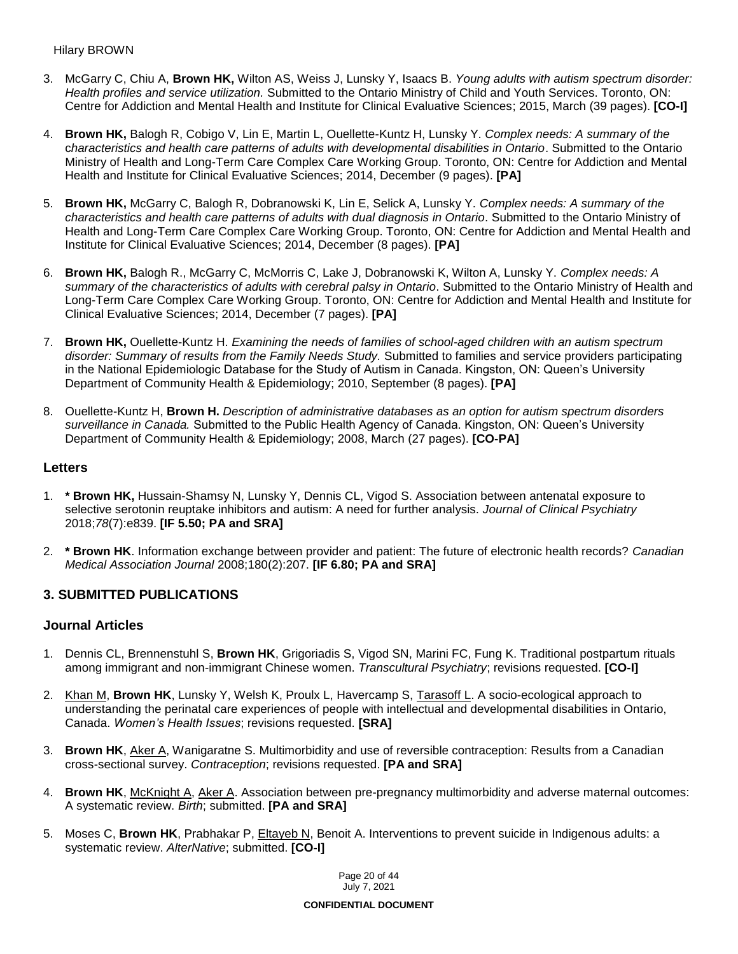#### Hilary BROWN

- 3. McGarry C, Chiu A, **Brown HK,** Wilton AS, Weiss J, Lunsky Y, Isaacs B. *Young adults with autism spectrum disorder: Health profiles and service utilization.* Submitted to the Ontario Ministry of Child and Youth Services. Toronto, ON: Centre for Addiction and Mental Health and Institute for Clinical Evaluative Sciences; 2015, March (39 pages). **[CO-I]**
- 4. **Brown HK,** Balogh R, Cobigo V, Lin E, Martin L, Ouellette-Kuntz H, Lunsky Y. *Complex needs: A summary of the* c*haracteristics and health care patterns of adults with developmental disabilities in Ontario*. Submitted to the Ontario Ministry of Health and Long-Term Care Complex Care Working Group. Toronto, ON: Centre for Addiction and Mental Health and Institute for Clinical Evaluative Sciences; 2014, December (9 pages). **[PA]**
- 5. **Brown HK,** McGarry C, Balogh R, Dobranowski K, Lin E, Selick A, Lunsky Y. *Complex needs: A summary of the characteristics and health care patterns of adults with dual diagnosis in Ontario*. Submitted to the Ontario Ministry of Health and Long-Term Care Complex Care Working Group. Toronto, ON: Centre for Addiction and Mental Health and Institute for Clinical Evaluative Sciences; 2014, December (8 pages). **[PA]**
- 6. **Brown HK,** Balogh R., McGarry C, McMorris C, Lake J, Dobranowski K, Wilton A, Lunsky Y. *Complex needs: A summary of the characteristics of adults with cerebral palsy in Ontario*. Submitted to the Ontario Ministry of Health and Long-Term Care Complex Care Working Group. Toronto, ON: Centre for Addiction and Mental Health and Institute for Clinical Evaluative Sciences; 2014, December (7 pages). **[PA]**
- 7. **Brown HK,** Ouellette-Kuntz H. *Examining the needs of families of school-aged children with an autism spectrum disorder: Summary of results from the Family Needs Study.* Submitted to families and service providers participating in the National Epidemiologic Database for the Study of Autism in Canada. Kingston, ON: Queen's University Department of Community Health & Epidemiology; 2010, September (8 pages). **[PA]**
- 8. Ouellette-Kuntz H, **Brown H.** *Description of administrative databases as an option for autism spectrum disorders surveillance in Canada.* Submitted to the Public Health Agency of Canada. Kingston, ON: Queen's University Department of Community Health & Epidemiology; 2008, March (27 pages). **[CO-PA]**

## **Letters**

- 1. **\* Brown HK,** Hussain-Shamsy N, Lunsky Y, Dennis CL, Vigod S. Association between antenatal exposure to selective serotonin reuptake inhibitors and autism: A need for further analysis. *Journal of Clinical Psychiatry*  2018;*78*(7):e839. **[IF 5.50; PA and SRA]**
- 2. **\* Brown HK**. Information exchange between provider and patient: The future of electronic health records? *Canadian Medical Association Journal* 2008;180(2):207. **[IF 6.80; PA and SRA]**

## **3. SUBMITTED PUBLICATIONS**

### **Journal Articles**

- 1. Dennis CL, Brennenstuhl S, **Brown HK**, Grigoriadis S, Vigod SN, Marini FC, Fung K. Traditional postpartum rituals among immigrant and non-immigrant Chinese women. *Transcultural Psychiatry*; revisions requested. **[CO-I]**
- 2. Khan M, **Brown HK**, Lunsky Y, Welsh K, Proulx L, Havercamp S, Tarasoff L. A socio-ecological approach to understanding the perinatal care experiences of people with intellectual and developmental disabilities in Ontario, Canada. *Women's Health Issues*; revisions requested. **[SRA]**
- 3. **Brown HK**, Aker A, Wanigaratne S. Multimorbidity and use of reversible contraception: Results from a Canadian cross-sectional survey. *Contraception*; revisions requested. **[PA and SRA]**
- 4. **Brown HK**, McKnight A, Aker A. Association between pre-pregnancy multimorbidity and adverse maternal outcomes: A systematic review. *Birth*; submitted. **[PA and SRA]**
- 5. Moses C, **Brown HK**, Prabhakar P, Eltayeb N, Benoit A. Interventions to prevent suicide in Indigenous adults: a systematic review. *AlterNative*; submitted. **[CO-I]**

Page 20 of 44 July 7, 2021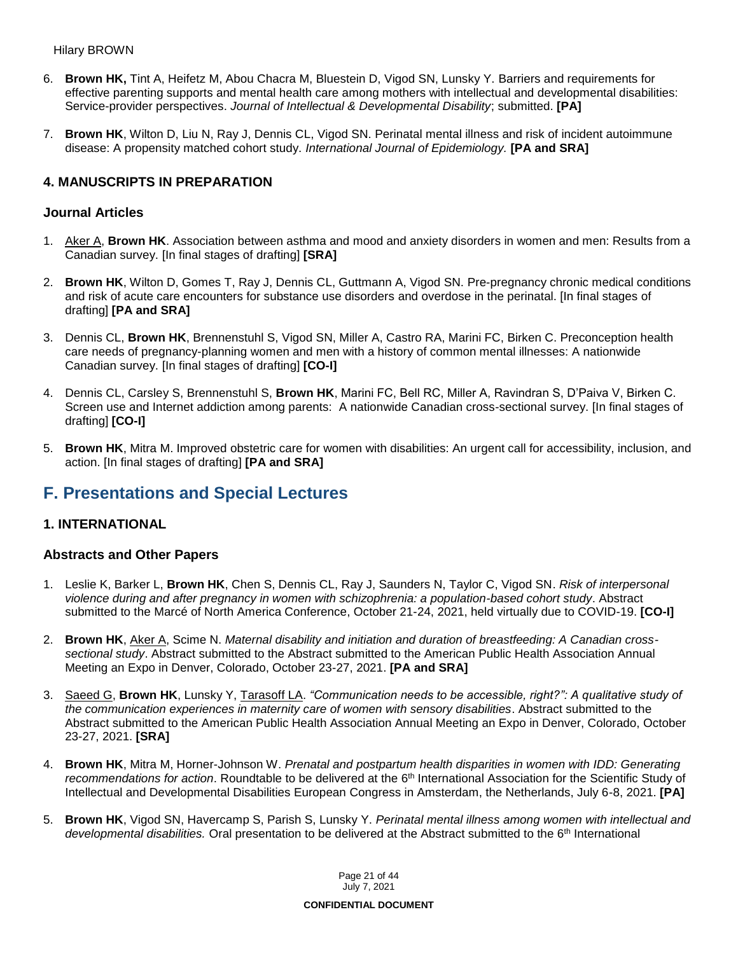- 6. **Brown HK,** Tint A, Heifetz M, Abou Chacra M, Bluestein D, Vigod SN, Lunsky Y. Barriers and requirements for effective parenting supports and mental health care among mothers with intellectual and developmental disabilities: Service-provider perspectives. *Journal of Intellectual & Developmental Disability*; submitted. **[PA]**
- 7. **Brown HK**, Wilton D, Liu N, Ray J, Dennis CL, Vigod SN. Perinatal mental illness and risk of incident autoimmune disease: A propensity matched cohort study. *International Journal of Epidemiology.* **[PA and SRA]**

## **4. MANUSCRIPTS IN PREPARATION**

### **Journal Articles**

- 1. Aker A, **Brown HK**. Association between asthma and mood and anxiety disorders in women and men: Results from a Canadian survey. [In final stages of drafting] **[SRA]**
- 2. **Brown HK**, Wilton D, Gomes T, Ray J, Dennis CL, Guttmann A, Vigod SN. Pre-pregnancy chronic medical conditions and risk of acute care encounters for substance use disorders and overdose in the perinatal. [In final stages of drafting] **[PA and SRA]**
- 3. Dennis CL, **Brown HK**, Brennenstuhl S, Vigod SN, Miller A, Castro RA, Marini FC, Birken C. Preconception health care needs of pregnancy-planning women and men with a history of common mental illnesses: A nationwide Canadian survey. [In final stages of drafting] **[CO-I]**
- 4. Dennis CL, Carsley S, Brennenstuhl S, **Brown HK**, Marini FC, Bell RC, Miller A, Ravindran S, D'Paiva V, Birken C. Screen use and Internet addiction among parents: A nationwide Canadian cross-sectional survey. [In final stages of drafting] **[CO-I]**
- 5. **Brown HK**, Mitra M. Improved obstetric care for women with disabilities: An urgent call for accessibility, inclusion, and action. [In final stages of drafting] **[PA and SRA]**

# **F. Presentations and Special Lectures**

### **1. INTERNATIONAL**

### **Abstracts and Other Papers**

- 1. Leslie K, Barker L, **Brown HK**, Chen S, Dennis CL, Ray J, Saunders N, Taylor C, Vigod SN. *Risk of interpersonal violence during and after pregnancy in women with schizophrenia: a population-based cohort study*. Abstract submitted to the Marcé of North America Conference, October 21-24, 2021, held virtually due to COVID-19. **[CO-I]**
- 2. **Brown HK**, Aker A, Scime N. *Maternal disability and initiation and duration of breastfeeding: A Canadian crosssectional study*. Abstract submitted to the Abstract submitted to the American Public Health Association Annual Meeting an Expo in Denver, Colorado, October 23-27, 2021. **[PA and SRA]**
- 3. Saeed G, **Brown HK**, Lunsky Y, Tarasoff LA. *"Communication needs to be accessible, right?": A qualitative study of the communication experiences in maternity care of women with sensory disabilities*. Abstract submitted to the Abstract submitted to the American Public Health Association Annual Meeting an Expo in Denver, Colorado, October 23-27, 2021. **[SRA]**
- 4. **Brown HK**, Mitra M, Horner-Johnson W. *Prenatal and postpartum health disparities in women with IDD: Generating recommendations for action*. Roundtable to be delivered at the 6th International Association for the Scientific Study of Intellectual and Developmental Disabilities European Congress in Amsterdam, the Netherlands, July 6-8, 2021. **[PA]**
- 5. **Brown HK**, Vigod SN, Havercamp S, Parish S, Lunsky Y. *Perinatal mental illness among women with intellectual and developmental disabilities.* Oral presentation to be delivered at the Abstract submitted to the 6th International

Page 21 of 44 July 7, 2021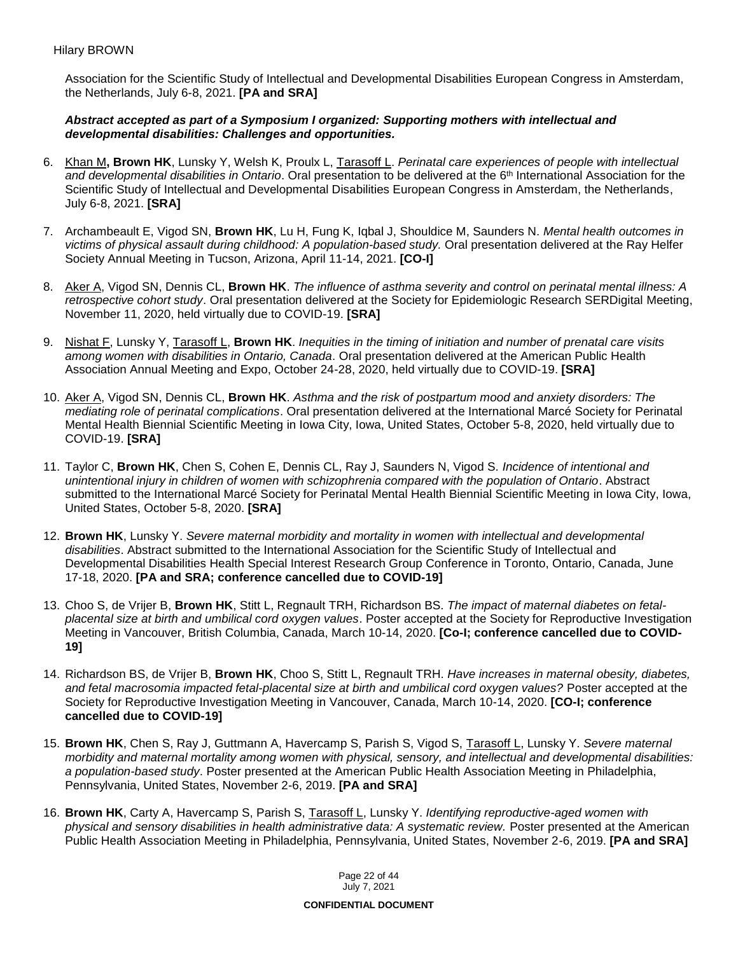Association for the Scientific Study of Intellectual and Developmental Disabilities European Congress in Amsterdam, the Netherlands, July 6-8, 2021. **[PA and SRA]**

### *Abstract accepted as part of a Symposium I organized: Supporting mothers with intellectual and developmental disabilities: Challenges and opportunities.*

- 6. Khan M**, Brown HK**, Lunsky Y, Welsh K, Proulx L, Tarasoff L. *Perinatal care experiences of people with intellectual and developmental disabilities in Ontario*. Oral presentation to be delivered at the 6th International Association for the Scientific Study of Intellectual and Developmental Disabilities European Congress in Amsterdam, the Netherlands, July 6-8, 2021. **[SRA]**
- 7. Archambeault E, Vigod SN, **Brown HK**, Lu H, Fung K, Iqbal J, Shouldice M, Saunders N. *Mental health outcomes in victims of physical assault during childhood: A population-based study.* Oral presentation delivered at the Ray Helfer Society Annual Meeting in Tucson, Arizona, April 11-14, 2021. **[CO-I]**
- 8. Aker A, Vigod SN, Dennis CL, **Brown HK**. *The influence of asthma severity and control on perinatal mental illness: A retrospective cohort study*. Oral presentation delivered at the Society for Epidemiologic Research SERDigital Meeting, November 11, 2020, held virtually due to COVID-19. **[SRA]**
- 9. Nishat F, Lunsky Y, Tarasoff L, **Brown HK**. *Inequities in the timing of initiation and number of prenatal care visits among women with disabilities in Ontario, Canada*. Oral presentation delivered at the American Public Health Association Annual Meeting and Expo, October 24-28, 2020, held virtually due to COVID-19. **[SRA]**
- 10. Aker A, Vigod SN, Dennis CL, **Brown HK**. *Asthma and the risk of postpartum mood and anxiety disorders: The mediating role of perinatal complications*. Oral presentation delivered at the International Marcé Society for Perinatal Mental Health Biennial Scientific Meeting in Iowa City, Iowa, United States, October 5-8, 2020, held virtually due to COVID-19. **[SRA]**
- 11. Taylor C, **Brown HK**, Chen S, Cohen E, Dennis CL, Ray J, Saunders N, Vigod S. *Incidence of intentional and unintentional injury in children of women with schizophrenia compared with the population of Ontario*. Abstract submitted to the International Marcé Society for Perinatal Mental Health Biennial Scientific Meeting in Iowa City, Iowa, United States, October 5-8, 2020. **[SRA]**
- 12. **Brown HK**, Lunsky Y. *Severe maternal morbidity and mortality in women with intellectual and developmental disabilities*. Abstract submitted to the International Association for the Scientific Study of Intellectual and Developmental Disabilities Health Special Interest Research Group Conference in Toronto, Ontario, Canada, June 17-18, 2020. **[PA and SRA; conference cancelled due to COVID-19]**
- 13. Choo S, de Vrijer B, **Brown HK**, Stitt L, Regnault TRH, Richardson BS. *The impact of maternal diabetes on fetalplacental size at birth and umbilical cord oxygen values*. Poster accepted at the Society for Reproductive Investigation Meeting in Vancouver, British Columbia, Canada, March 10-14, 2020. **[Co-I; conference cancelled due to COVID-19]**
- 14. Richardson BS, de Vrijer B, **Brown HK**, Choo S, Stitt L, Regnault TRH. *Have increases in maternal obesity, diabetes, and fetal macrosomia impacted fetal-placental size at birth and umbilical cord oxygen values?* Poster accepted at the Society for Reproductive Investigation Meeting in Vancouver, Canada, March 10-14, 2020. **[CO-I; conference cancelled due to COVID-19]**
- 15. **Brown HK**, Chen S, Ray J, Guttmann A, Havercamp S, Parish S, Vigod S, Tarasoff L, Lunsky Y. *Severe maternal morbidity and maternal mortality among women with physical, sensory, and intellectual and developmental disabilities: a population-based study*. Poster presented at the American Public Health Association Meeting in Philadelphia, Pennsylvania, United States, November 2-6, 2019. **[PA and SRA]**
- 16. **Brown HK**, Carty A, Havercamp S, Parish S, Tarasoff L, Lunsky Y. *Identifying reproductive-aged women with physical and sensory disabilities in health administrative data: A systematic review.* Poster presented at the American Public Health Association Meeting in Philadelphia, Pennsylvania, United States, November 2-6, 2019. **[PA and SRA]**

Page 22 of 44 July 7, 2021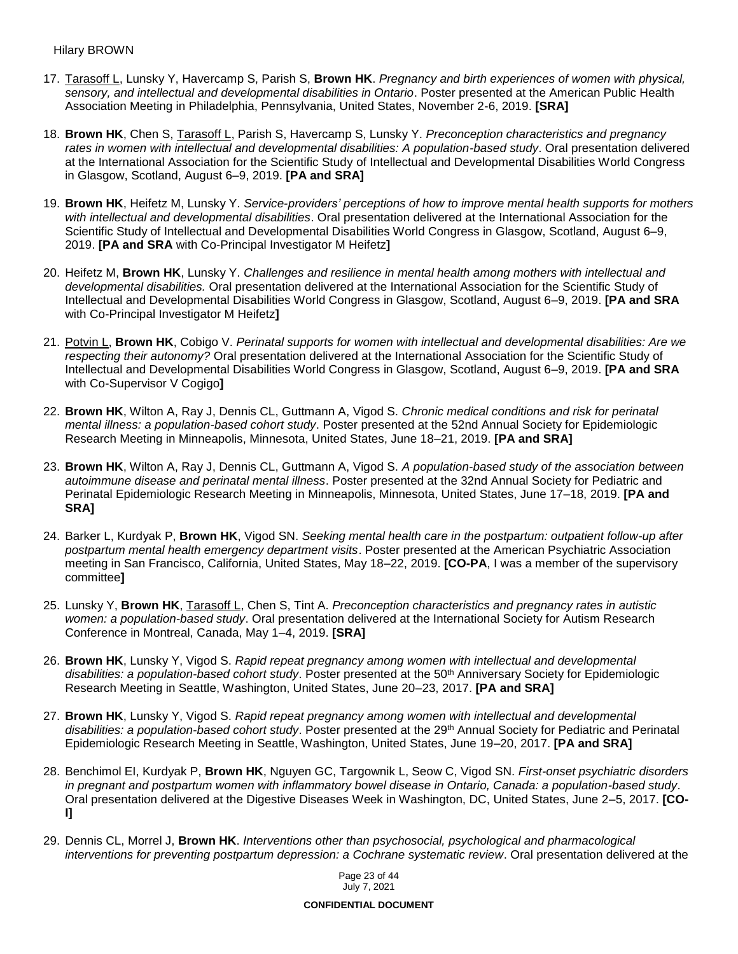- 17. Tarasoff L, Lunsky Y, Havercamp S, Parish S, **Brown HK**. *Pregnancy and birth experiences of women with physical, sensory, and intellectual and developmental disabilities in Ontario*. Poster presented at the American Public Health Association Meeting in Philadelphia, Pennsylvania, United States, November 2-6, 2019. **[SRA]**
- 18. **Brown HK**, Chen S, Tarasoff L, Parish S, Havercamp S, Lunsky Y. *Preconception characteristics and pregnancy rates in women with intellectual and developmental disabilities: A population-based study*. Oral presentation delivered at the International Association for the Scientific Study of Intellectual and Developmental Disabilities World Congress in Glasgow, Scotland, August 6–9, 2019. **[PA and SRA]**
- 19. **Brown HK**, Heifetz M, Lunsky Y. *Service-providers' perceptions of how to improve mental health supports for mothers with intellectual and developmental disabilities*. Oral presentation delivered at the International Association for the Scientific Study of Intellectual and Developmental Disabilities World Congress in Glasgow, Scotland, August 6–9, 2019. **[PA and SRA** with Co-Principal Investigator M Heifetz**]**
- 20. Heifetz M, **Brown HK**, Lunsky Y. *Challenges and resilience in mental health among mothers with intellectual and developmental disabilities.* Oral presentation delivered at the International Association for the Scientific Study of Intellectual and Developmental Disabilities World Congress in Glasgow, Scotland, August 6–9, 2019. **[PA and SRA** with Co-Principal Investigator M Heifetz**]**
- 21. Potvin L, **Brown HK**, Cobigo V. *Perinatal supports for women with intellectual and developmental disabilities: Are we respecting their autonomy?* Oral presentation delivered at the International Association for the Scientific Study of Intellectual and Developmental Disabilities World Congress in Glasgow, Scotland, August 6–9, 2019. **[PA and SRA** with Co-Supervisor V Cogigo**]**
- 22. **Brown HK**, Wilton A, Ray J, Dennis CL, Guttmann A, Vigod S. *Chronic medical conditions and risk for perinatal mental illness: a population-based cohort study*. Poster presented at the 52nd Annual Society for Epidemiologic Research Meeting in Minneapolis, Minnesota, United States, June 18–21, 2019. **[PA and SRA]**
- 23. **Brown HK**, Wilton A, Ray J, Dennis CL, Guttmann A, Vigod S. *A population-based study of the association between autoimmune disease and perinatal mental illness*. Poster presented at the 32nd Annual Society for Pediatric and Perinatal Epidemiologic Research Meeting in Minneapolis, Minnesota, United States, June 17–18, 2019. **[PA and SRA]**
- 24. Barker L, Kurdyak P, **Brown HK**, Vigod SN. *Seeking mental health care in the postpartum: outpatient follow-up after postpartum mental health emergency department visits*. Poster presented at the American Psychiatric Association meeting in San Francisco, California, United States, May 18–22, 2019. **[CO-PA**, I was a member of the supervisory committee**]**
- 25. Lunsky Y, **Brown HK**, Tarasoff L, Chen S, Tint A. *Preconception characteristics and pregnancy rates in autistic women: a population-based study*. Oral presentation delivered at the International Society for Autism Research Conference in Montreal, Canada, May 1–4, 2019. **[SRA]**
- 26. **Brown HK**, Lunsky Y, Vigod S. *Rapid repeat pregnancy among women with intellectual and developmental*  disabilities: a population-based cohort study. Poster presented at the 50<sup>th</sup> Anniversary Society for Epidemiologic Research Meeting in Seattle, Washington, United States, June 20–23, 2017. **[PA and SRA]**
- 27. **Brown HK**, Lunsky Y, Vigod S. *Rapid repeat pregnancy among women with intellectual and developmental disabilities: a population-based cohort study*. Poster presented at the 29th Annual Society for Pediatric and Perinatal Epidemiologic Research Meeting in Seattle, Washington, United States, June 19–20, 2017. **[PA and SRA]**
- 28. Benchimol EI, Kurdyak P, **Brown HK**, Nguyen GC, Targownik L, Seow C, Vigod SN. *First-onset psychiatric disorders in pregnant and postpartum women with inflammatory bowel disease in Ontario, Canada: a population-based study*. Oral presentation delivered at the Digestive Diseases Week in Washington, DC, United States, June 2–5, 2017. **[CO-I]**
- 29. Dennis CL, Morrel J, **Brown HK**. *Interventions other than psychosocial, psychological and pharmacological interventions for preventing postpartum depression: a Cochrane systematic review*. Oral presentation delivered at the

Page 23 of 44 July 7, 2021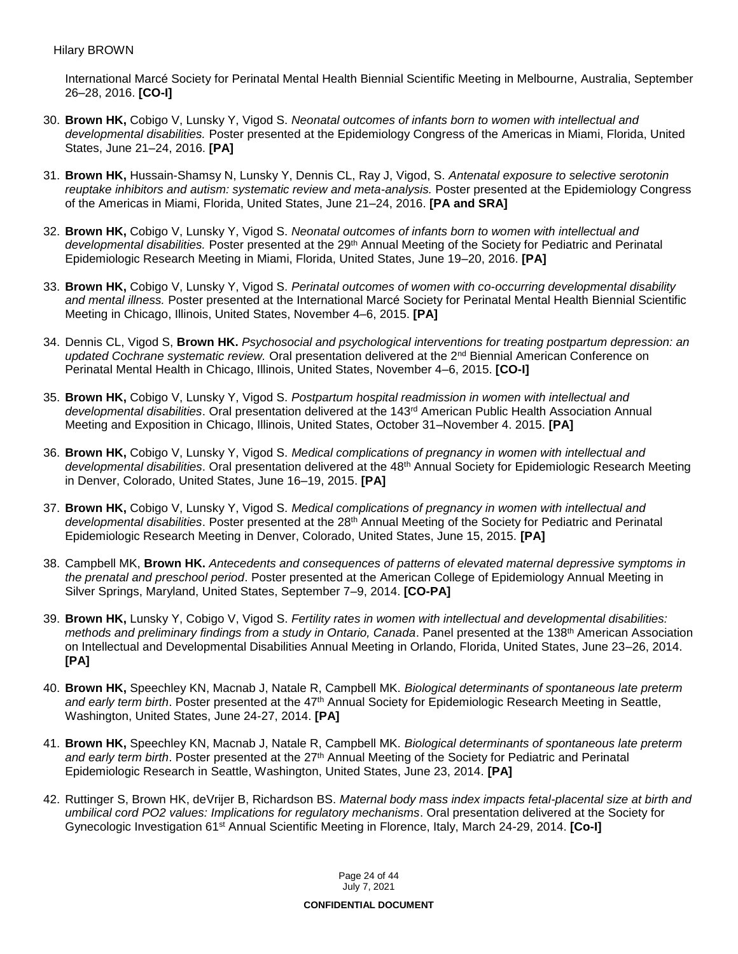International Marcé Society for Perinatal Mental Health Biennial Scientific Meeting in Melbourne, Australia, September 26–28, 2016. **[CO-I]**

- 30. **Brown HK,** Cobigo V, Lunsky Y, Vigod S. *Neonatal outcomes of infants born to women with intellectual and developmental disabilities.* Poster presented at the Epidemiology Congress of the Americas in Miami, Florida, United States, June 21–24, 2016. **[PA]**
- 31. **Brown HK,** Hussain-Shamsy N, Lunsky Y, Dennis CL, Ray J, Vigod, S. *Antenatal exposure to selective serotonin reuptake inhibitors and autism: systematic review and meta-analysis.* Poster presented at the Epidemiology Congress of the Americas in Miami, Florida, United States, June 21–24, 2016. **[PA and SRA]**
- 32. **Brown HK,** Cobigo V, Lunsky Y, Vigod S. *Neonatal outcomes of infants born to women with intellectual and*  developmental disabilities. Poster presented at the 29<sup>th</sup> Annual Meeting of the Society for Pediatric and Perinatal Epidemiologic Research Meeting in Miami, Florida, United States, June 19–20, 2016. **[PA]**
- 33. **Brown HK,** Cobigo V, Lunsky Y, Vigod S. *Perinatal outcomes of women with co-occurring developmental disability and mental illness.* Poster presented at the International Marcé Society for Perinatal Mental Health Biennial Scientific Meeting in Chicago, Illinois, United States, November 4–6, 2015. **[PA]**
- 34. Dennis CL, Vigod S, **Brown HK.** *Psychosocial and psychological interventions for treating postpartum depression: an*  updated Cochrane systematic review. Oral presentation delivered at the 2<sup>nd</sup> Biennial American Conference on Perinatal Mental Health in Chicago, Illinois, United States, November 4–6, 2015. **[CO-I]**
- 35. **Brown HK,** Cobigo V, Lunsky Y, Vigod S. *Postpartum hospital readmission in women with intellectual and developmental disabilities*. Oral presentation delivered at the 143rd American Public Health Association Annual Meeting and Exposition in Chicago, Illinois, United States, October 31–November 4. 2015. **[PA]**
- 36. **Brown HK,** Cobigo V, Lunsky Y, Vigod S. *Medical complications of pregnancy in women with intellectual and developmental disabilities*. Oral presentation delivered at the 48th Annual Society for Epidemiologic Research Meeting in Denver, Colorado, United States, June 16–19, 2015. **[PA]**
- 37. **Brown HK,** Cobigo V, Lunsky Y, Vigod S. *Medical complications of pregnancy in women with intellectual and developmental disabilities*. Poster presented at the 28th Annual Meeting of the Society for Pediatric and Perinatal Epidemiologic Research Meeting in Denver, Colorado, United States, June 15, 2015. **[PA]**
- 38. Campbell MK, **Brown HK.** *Antecedents and consequences of patterns of elevated maternal depressive symptoms in the prenatal and preschool period*. Poster presented at the American College of Epidemiology Annual Meeting in Silver Springs, Maryland, United States, September 7–9, 2014. **[CO-PA]**
- 39. **Brown HK,** Lunsky Y, Cobigo V, Vigod S. *Fertility rates in women with intellectual and developmental disabilities: methods and preliminary findings from a study in Ontario, Canada*. Panel presented at the 138th American Association on Intellectual and Developmental Disabilities Annual Meeting in Orlando, Florida, United States, June 23–26, 2014. **[PA]**
- 40. **Brown HK,** Speechley KN, Macnab J, Natale R, Campbell MK. *Biological determinants of spontaneous late preterm*  and early term birth. Poster presented at the 47<sup>th</sup> Annual Society for Epidemiologic Research Meeting in Seattle, Washington, United States, June 24-27, 2014. **[PA]**
- 41. **Brown HK,** Speechley KN, Macnab J, Natale R, Campbell MK. *Biological determinants of spontaneous late preterm and early term birth*. Poster presented at the 27th Annual Meeting of the Society for Pediatric and Perinatal Epidemiologic Research in Seattle, Washington, United States, June 23, 2014. **[PA]**
- 42. Ruttinger S, Brown HK, deVrijer B, Richardson BS. *Maternal body mass index impacts fetal-placental size at birth and umbilical cord PO2 values: Implications for regulatory mechanisms*. Oral presentation delivered at the Society for Gynecologic Investigation 61st Annual Scientific Meeting in Florence, Italy, March 24-29, 2014. **[Co-I]**

Page 24 of 44 July 7, 2021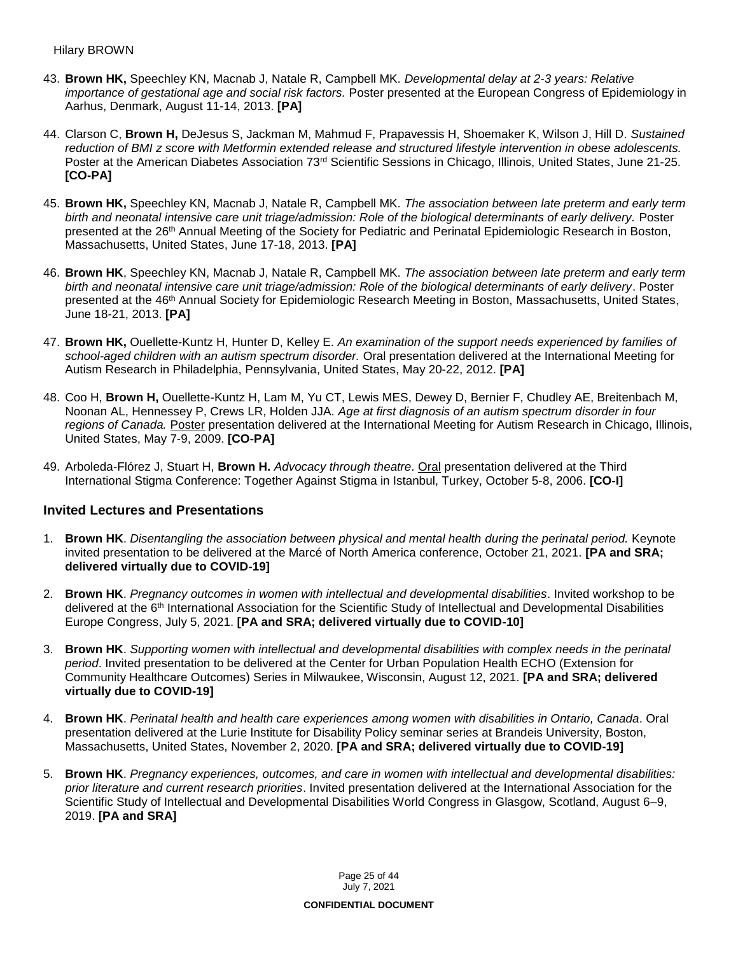- 43. **Brown HK,** Speechley KN, Macnab J, Natale R, Campbell MK. *Developmental delay at 2-3 years: Relative importance of gestational age and social risk factors.* Poster presented at the European Congress of Epidemiology in Aarhus, Denmark, August 11-14, 2013. **[PA]**
- 44. Clarson C, **Brown H,** DeJesus S, Jackman M, Mahmud F, Prapavessis H, Shoemaker K, Wilson J, Hill D. *Sustained reduction of BMI z score with Metformin extended release and structured lifestyle intervention in obese adolescents.* Poster at the American Diabetes Association 73<sup>rd</sup> Scientific Sessions in Chicago, Illinois, United States, June 21-25. **[CO-PA]**
- 45. **Brown HK,** Speechley KN, Macnab J, Natale R, Campbell MK. *The association between late preterm and early term birth and neonatal intensive care unit triage/admission: Role of the biological determinants of early delivery.* Poster presented at the 26<sup>th</sup> Annual Meeting of the Society for Pediatric and Perinatal Epidemiologic Research in Boston, Massachusetts, United States, June 17-18, 2013. **[PA]**
- 46. **Brown HK**, Speechley KN, Macnab J, Natale R, Campbell MK. *The association between late preterm and early term birth and neonatal intensive care unit triage/admission: Role of the biological determinants of early delivery*. Poster presented at the 46<sup>th</sup> Annual Society for Epidemiologic Research Meeting in Boston, Massachusetts, United States, June 18-21, 2013. **[PA]**
- 47. **Brown HK,** Ouellette-Kuntz H, Hunter D, Kelley E. *An examination of the support needs experienced by families of school-aged children with an autism spectrum disorder.* Oral presentation delivered at the International Meeting for Autism Research in Philadelphia, Pennsylvania, United States, May 20-22, 2012. **[PA]**
- 48. Coo H, **Brown H,** Ouellette-Kuntz H, Lam M, Yu CT, Lewis MES, Dewey D, Bernier F, Chudley AE, Breitenbach M, Noonan AL, Hennessey P, Crews LR, Holden JJA. *Age at first diagnosis of an autism spectrum disorder in four regions of Canada.* Poster presentation delivered at the International Meeting for Autism Research in Chicago, Illinois, United States, May 7-9, 2009. **[CO-PA]**
- 49. Arboleda-Flórez J, Stuart H, **Brown H.** *Advocacy through theatre*. Oral presentation delivered at the Third International Stigma Conference: Together Against Stigma in Istanbul, Turkey, October 5-8, 2006. **[CO-I]**

### **Invited Lectures and Presentations**

- 1. **Brown HK**. *Disentangling the association between physical and mental health during the perinatal period.* Keynote invited presentation to be delivered at the Marcé of North America conference, October 21, 2021. **[PA and SRA; delivered virtually due to COVID-19]**
- 2. **Brown HK**. *Pregnancy outcomes in women with intellectual and developmental disabilities*. Invited workshop to be delivered at the 6<sup>th</sup> International Association for the Scientific Study of Intellectual and Developmental Disabilities Europe Congress, July 5, 2021. **[PA and SRA; delivered virtually due to COVID-10]**
- 3. **Brown HK**. *Supporting women with intellectual and developmental disabilities with complex needs in the perinatal period*. Invited presentation to be delivered at the Center for Urban Population Health ECHO (Extension for Community Healthcare Outcomes) Series in Milwaukee, Wisconsin, August 12, 2021. **[PA and SRA; delivered virtually due to COVID-19]**
- 4. **Brown HK**. *Perinatal health and health care experiences among women with disabilities in Ontario, Canada*. Oral presentation delivered at the Lurie Institute for Disability Policy seminar series at Brandeis University, Boston, Massachusetts, United States, November 2, 2020. **[PA and SRA; delivered virtually due to COVID-19]**
- 5. **Brown HK**. *Pregnancy experiences, outcomes, and care in women with intellectual and developmental disabilities: prior literature and current research priorities*. Invited presentation delivered at the International Association for the Scientific Study of Intellectual and Developmental Disabilities World Congress in Glasgow, Scotland, August 6–9, 2019. **[PA and SRA]**

Page 25 of 44 July 7, 2021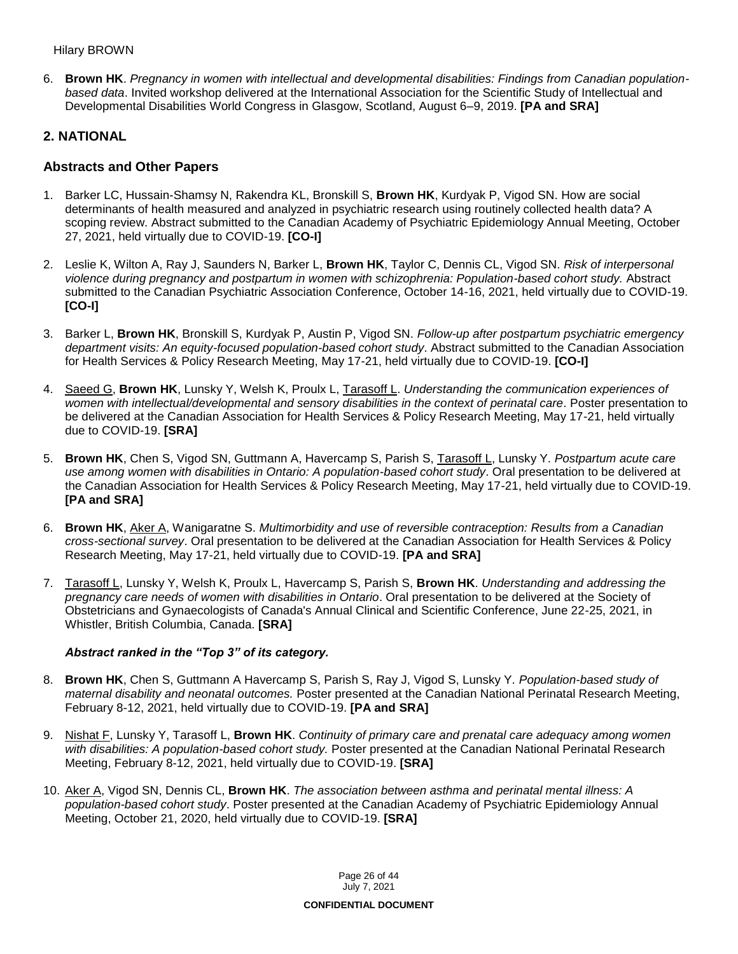6. **Brown HK**. *Pregnancy in women with intellectual and developmental disabilities: Findings from Canadian populationbased data*. Invited workshop delivered at the International Association for the Scientific Study of Intellectual and Developmental Disabilities World Congress in Glasgow, Scotland, August 6–9, 2019. **[PA and SRA]**

## **2. NATIONAL**

### **Abstracts and Other Papers**

- 1. Barker LC, Hussain-Shamsy N, Rakendra KL, Bronskill S, **Brown HK**, Kurdyak P, Vigod SN. How are social determinants of health measured and analyzed in psychiatric research using routinely collected health data? A scoping review. Abstract submitted to the Canadian Academy of Psychiatric Epidemiology Annual Meeting, October 27, 2021, held virtually due to COVID-19. **[CO-I]**
- 2. Leslie K, Wilton A, Ray J, Saunders N, Barker L, **Brown HK**, Taylor C, Dennis CL, Vigod SN. *Risk of interpersonal violence during pregnancy and postpartum in women with schizophrenia: Population-based cohort study.* Abstract submitted to the Canadian Psychiatric Association Conference, October 14-16, 2021, held virtually due to COVID-19. **[CO-I]**
- 3. Barker L, **Brown HK**, Bronskill S, Kurdyak P, Austin P, Vigod SN. *Follow-up after postpartum psychiatric emergency department visits: An equity-focused population-based cohort study*. Abstract submitted to the Canadian Association for Health Services & Policy Research Meeting, May 17-21, held virtually due to COVID-19. **[CO-I]**
- 4. Saeed G, **Brown HK**, Lunsky Y, Welsh K, Proulx L, Tarasoff L. *Understanding the communication experiences of women with intellectual/developmental and sensory disabilities in the context of perinatal care*. Poster presentation to be delivered at the Canadian Association for Health Services & Policy Research Meeting, May 17-21, held virtually due to COVID-19. **[SRA]**
- 5. **Brown HK**, Chen S, Vigod SN, Guttmann A, Havercamp S, Parish S, Tarasoff L, Lunsky Y. *Postpartum acute care use among women with disabilities in Ontario: A population-based cohort study*. Oral presentation to be delivered at the Canadian Association for Health Services & Policy Research Meeting, May 17-21, held virtually due to COVID-19. **[PA and SRA]**
- 6. **Brown HK**, Aker A, Wanigaratne S. *Multimorbidity and use of reversible contraception: Results from a Canadian cross-sectional survey*. Oral presentation to be delivered at the Canadian Association for Health Services & Policy Research Meeting, May 17-21, held virtually due to COVID-19. **[PA and SRA]**
- 7. Tarasoff L, Lunsky Y, Welsh K, Proulx L, Havercamp S, Parish S, **Brown HK**. *Understanding and addressing the pregnancy care needs of women with disabilities in Ontario*. Oral presentation to be delivered at the Society of Obstetricians and Gynaecologists of Canada's Annual Clinical and Scientific Conference, June 22-25, 2021, in Whistler, British Columbia, Canada. **[SRA]**

### *Abstract ranked in the "Top 3" of its category.*

- 8. **Brown HK**, Chen S, Guttmann A Havercamp S, Parish S, Ray J, Vigod S, Lunsky Y. *Population-based study of maternal disability and neonatal outcomes.* Poster presented at the Canadian National Perinatal Research Meeting, February 8-12, 2021, held virtually due to COVID-19. **[PA and SRA]**
- 9. Nishat F, Lunsky Y, Tarasoff L, **Brown HK**. *Continuity of primary care and prenatal care adequacy among women*  with disabilities: A population-based cohort study. Poster presented at the Canadian National Perinatal Research Meeting, February 8-12, 2021, held virtually due to COVID-19. **[SRA]**
- 10. Aker A, Vigod SN, Dennis CL, **Brown HK**. *The association between asthma and perinatal mental illness: A population-based cohort study*. Poster presented at the Canadian Academy of Psychiatric Epidemiology Annual Meeting, October 21, 2020, held virtually due to COVID-19. **[SRA]**

Page 26 of 44 July 7, 2021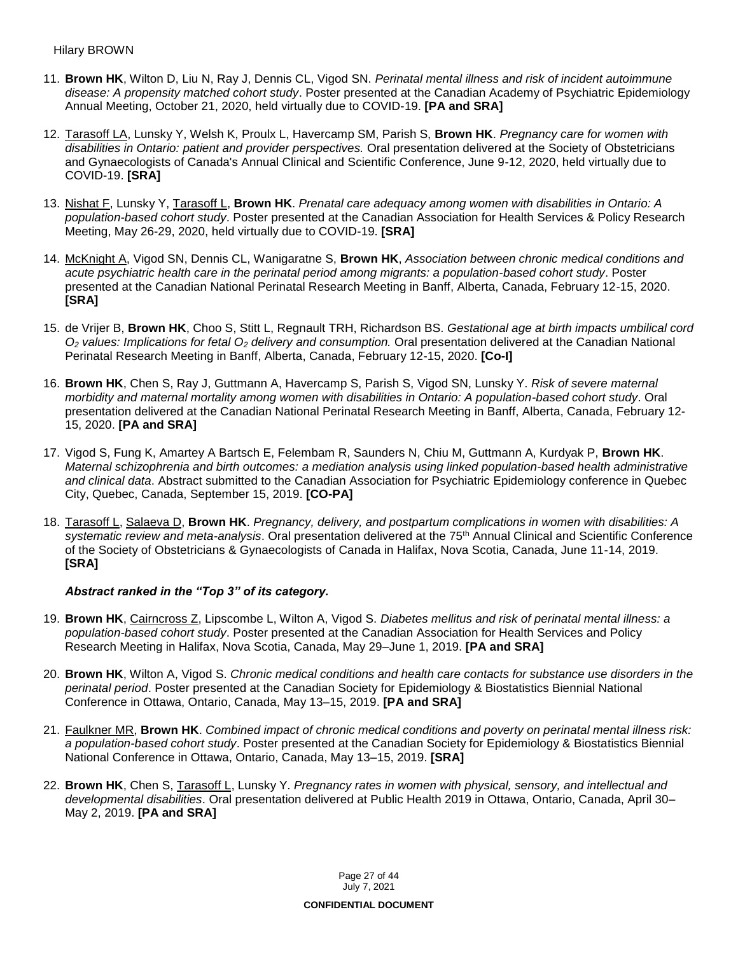- 11. **Brown HK**, Wilton D, Liu N, Ray J, Dennis CL, Vigod SN. *Perinatal mental illness and risk of incident autoimmune disease: A propensity matched cohort study*. Poster presented at the Canadian Academy of Psychiatric Epidemiology Annual Meeting, October 21, 2020, held virtually due to COVID-19. **[PA and SRA]**
- 12. Tarasoff LA, Lunsky Y, Welsh K, Proulx L, Havercamp SM, Parish S, **Brown HK**. *Pregnancy care for women with disabilities in Ontario: patient and provider perspectives.* Oral presentation delivered at the Society of Obstetricians and Gynaecologists of Canada's Annual Clinical and Scientific Conference, June 9-12, 2020, held virtually due to COVID-19. **[SRA]**
- 13. Nishat F, Lunsky Y, Tarasoff L, **Brown HK**. *Prenatal care adequacy among women with disabilities in Ontario: A population-based cohort study*. Poster presented at the Canadian Association for Health Services & Policy Research Meeting, May 26-29, 2020, held virtually due to COVID-19. **[SRA]**
- 14. McKnight A, Vigod SN, Dennis CL, Wanigaratne S, **Brown HK**, *Association between chronic medical conditions and acute psychiatric health care in the perinatal period among migrants: a population-based cohort study*. Poster presented at the Canadian National Perinatal Research Meeting in Banff, Alberta, Canada, February 12-15, 2020. **[SRA]**
- 15. de Vrijer B, **Brown HK**, Choo S, Stitt L, Regnault TRH, Richardson BS. *Gestational age at birth impacts umbilical cord O<sup>2</sup> values: Implications for fetal O<sup>2</sup> delivery and consumption.* Oral presentation delivered at the Canadian National Perinatal Research Meeting in Banff, Alberta, Canada, February 12-15, 2020. **[Co-I]**
- 16. **Brown HK**, Chen S, Ray J, Guttmann A, Havercamp S, Parish S, Vigod SN, Lunsky Y. *Risk of severe maternal morbidity and maternal mortality among women with disabilities in Ontario: A population-based cohort study*. Oral presentation delivered at the Canadian National Perinatal Research Meeting in Banff, Alberta, Canada, February 12- 15, 2020. **[PA and SRA]**
- 17. Vigod S, Fung K, Amartey A Bartsch E, Felembam R, Saunders N, Chiu M, Guttmann A, Kurdyak P, **Brown HK**. *Maternal schizophrenia and birth outcomes: a mediation analysis using linked population-based health administrative and clinical data*. Abstract submitted to the Canadian Association for Psychiatric Epidemiology conference in Quebec City, Quebec, Canada, September 15, 2019. **[CO-PA]**
- 18. Tarasoff L, Salaeva D, **Brown HK**. *Pregnancy, delivery, and postpartum complications in women with disabilities: A systematic review and meta-analysis*. Oral presentation delivered at the 75th Annual Clinical and Scientific Conference of the Society of Obstetricians & Gynaecologists of Canada in Halifax, Nova Scotia, Canada, June 11-14, 2019. **[SRA]**

### *Abstract ranked in the "Top 3" of its category.*

- 19. **Brown HK**, Cairncross Z, Lipscombe L, Wilton A, Vigod S. *Diabetes mellitus and risk of perinatal mental illness: a population-based cohort study*. Poster presented at the Canadian Association for Health Services and Policy Research Meeting in Halifax, Nova Scotia, Canada, May 29–June 1, 2019. **[PA and SRA]**
- 20. **Brown HK**, Wilton A, Vigod S. *Chronic medical conditions and health care contacts for substance use disorders in the perinatal period*. Poster presented at the Canadian Society for Epidemiology & Biostatistics Biennial National Conference in Ottawa, Ontario, Canada, May 13–15, 2019. **[PA and SRA]**
- 21. Faulkner MR, **Brown HK**. *Combined impact of chronic medical conditions and poverty on perinatal mental illness risk: a population-based cohort study*. Poster presented at the Canadian Society for Epidemiology & Biostatistics Biennial National Conference in Ottawa, Ontario, Canada, May 13–15, 2019. **[SRA]**
- 22. **Brown HK**, Chen S, Tarasoff L, Lunsky Y. *Pregnancy rates in women with physical, sensory, and intellectual and developmental disabilities*. Oral presentation delivered at Public Health 2019 in Ottawa, Ontario, Canada, April 30– May 2, 2019. **[PA and SRA]**

Page 27 of 44 July 7, 2021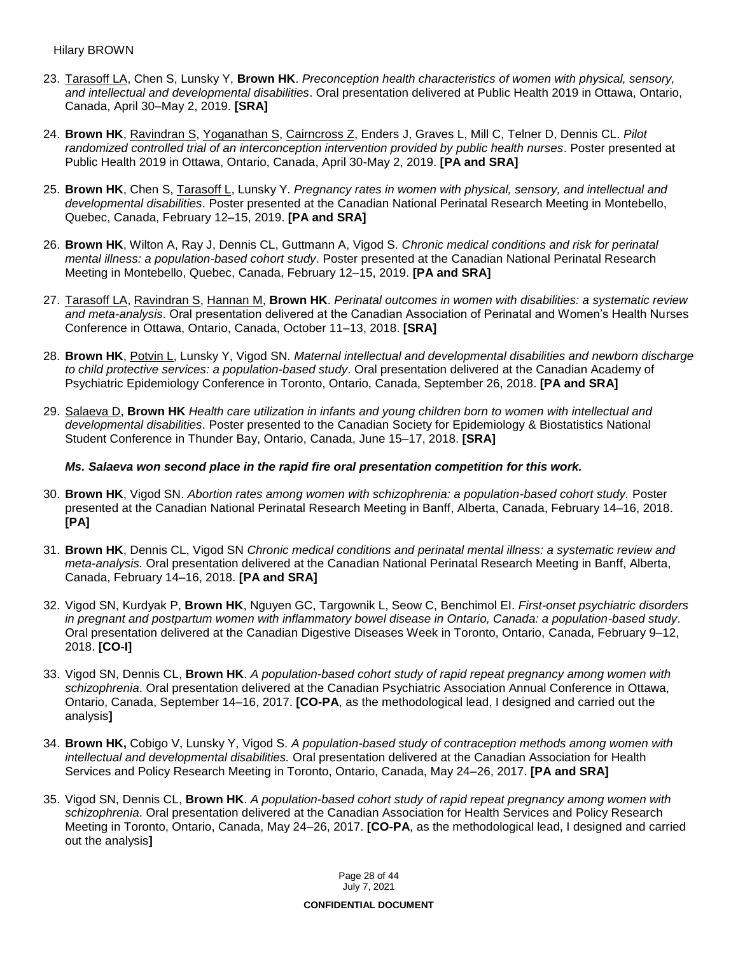- 23. Tarasoff LA, Chen S, Lunsky Y, **Brown HK**. *Preconception health characteristics of women with physical, sensory, and intellectual and developmental disabilities*. Oral presentation delivered at Public Health 2019 in Ottawa, Ontario, Canada, April 30–May 2, 2019. **[SRA]**
- 24. **Brown HK**, Ravindran S, Yoganathan S, Cairncross Z, Enders J, Graves L, Mill C, Telner D, Dennis CL. *Pilot randomized controlled trial of an interconception intervention provided by public health nurses*. Poster presented at Public Health 2019 in Ottawa, Ontario, Canada, April 30-May 2, 2019. **[PA and SRA]**
- 25. **Brown HK**, Chen S, Tarasoff L, Lunsky Y. *Pregnancy rates in women with physical, sensory, and intellectual and developmental disabilities*. Poster presented at the Canadian National Perinatal Research Meeting in Montebello, Quebec, Canada, February 12–15, 2019. **[PA and SRA]**
- 26. **Brown HK**, Wilton A, Ray J, Dennis CL, Guttmann A, Vigod S. *Chronic medical conditions and risk for perinatal mental illness: a population-based cohort study*. Poster presented at the Canadian National Perinatal Research Meeting in Montebello, Quebec, Canada, February 12–15, 2019. **[PA and SRA]**
- 27. Tarasoff LA, Ravindran S, Hannan M, **Brown HK**. *Perinatal outcomes in women with disabilities: a systematic review and meta-analysis*. Oral presentation delivered at the Canadian Association of Perinatal and Women's Health Nurses Conference in Ottawa, Ontario, Canada, October 11–13, 2018. **[SRA]**
- 28. **Brown HK**, Potvin L, Lunsky Y, Vigod SN. *Maternal intellectual and developmental disabilities and newborn discharge to child protective services: a population-based study*. Oral presentation delivered at the Canadian Academy of Psychiatric Epidemiology Conference in Toronto, Ontario, Canada, September 26, 2018. **[PA and SRA]**
- 29. Salaeva D, **Brown HK** *Health care utilization in infants and young children born to women with intellectual and developmental disabilities*. Poster presented to the Canadian Society for Epidemiology & Biostatistics National Student Conference in Thunder Bay, Ontario, Canada, June 15–17, 2018. **[SRA]**

#### *Ms. Salaeva won second place in the rapid fire oral presentation competition for this work.*

- 30. **Brown HK**, Vigod SN. *Abortion rates among women with schizophrenia: a population-based cohort study.* Poster presented at the Canadian National Perinatal Research Meeting in Banff, Alberta, Canada, February 14–16, 2018. **[PA]**
- 31. **Brown HK**, Dennis CL, Vigod SN *Chronic medical conditions and perinatal mental illness: a systematic review and meta-analysis.* Oral presentation delivered at the Canadian National Perinatal Research Meeting in Banff, Alberta, Canada, February 14–16, 2018. **[PA and SRA]**
- 32. Vigod SN, Kurdyak P, **Brown HK**, Nguyen GC, Targownik L, Seow C, Benchimol EI. *First-onset psychiatric disorders in pregnant and postpartum women with inflammatory bowel disease in Ontario, Canada: a population-based study*. Oral presentation delivered at the Canadian Digestive Diseases Week in Toronto, Ontario, Canada, February 9–12, 2018. **[CO-I]**
- 33. Vigod SN, Dennis CL, **Brown HK**. *A population-based cohort study of rapid repeat pregnancy among women with schizophrenia*. Oral presentation delivered at the Canadian Psychiatric Association Annual Conference in Ottawa, Ontario, Canada, September 14–16, 2017. **[CO-PA**, as the methodological lead, I designed and carried out the analysis**]**
- 34. **Brown HK,** Cobigo V, Lunsky Y, Vigod S. *A population-based study of contraception methods among women with intellectual and developmental disabilities.* Oral presentation delivered at the Canadian Association for Health Services and Policy Research Meeting in Toronto, Ontario, Canada, May 24–26, 2017. **[PA and SRA]**
- 35. Vigod SN, Dennis CL, **Brown HK**. *A population-based cohort study of rapid repeat pregnancy among women with schizophrenia*. Oral presentation delivered at the Canadian Association for Health Services and Policy Research Meeting in Toronto, Ontario, Canada, May 24–26, 2017. **[CO-PA**, as the methodological lead, I designed and carried out the analysis**]**

Page 28 of 44 July 7, 2021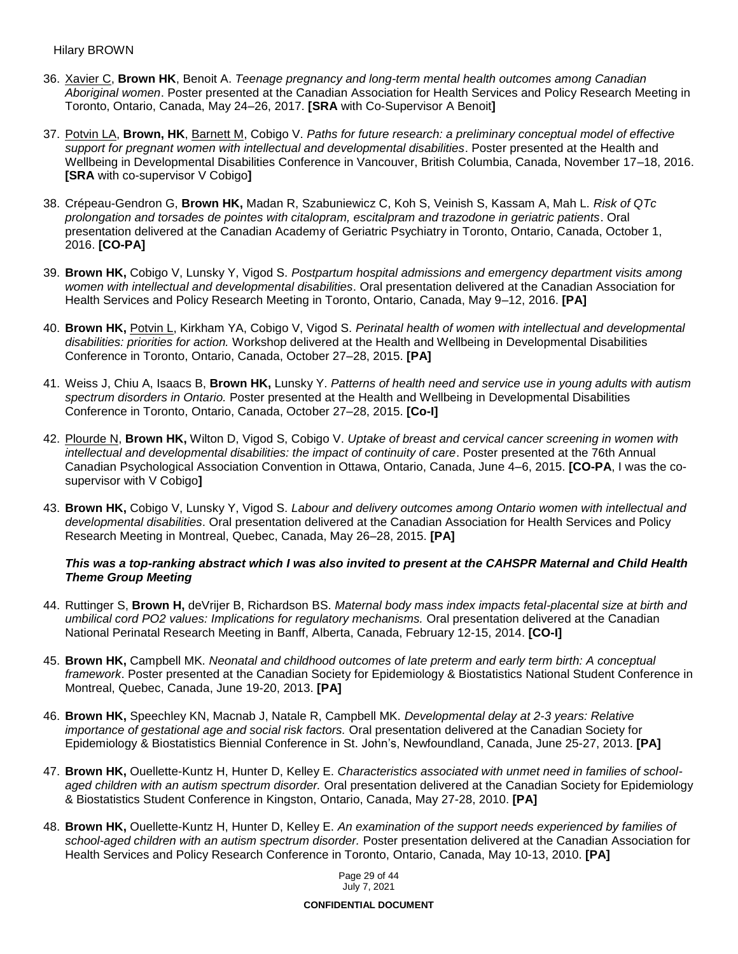- 36. Xavier C, **Brown HK**, Benoit A. *Teenage pregnancy and long-term mental health outcomes among Canadian Aboriginal women*. Poster presented at the Canadian Association for Health Services and Policy Research Meeting in Toronto, Ontario, Canada, May 24–26, 2017. **[SRA** with Co-Supervisor A Benoit**]**
- 37. Potvin LA, **Brown, HK**, Barnett M, Cobigo V. *Paths for future research: a preliminary conceptual model of effective support for pregnant women with intellectual and developmental disabilities*. Poster presented at the Health and Wellbeing in Developmental Disabilities Conference in Vancouver, British Columbia, Canada, November 17–18, 2016. **[SRA** with co-supervisor V Cobigo**]**
- 38. Crépeau-Gendron G, **Brown HK,** Madan R, Szabuniewicz C, Koh S, Veinish S, Kassam A, Mah L. *Risk of QTc prolongation and torsades de pointes with citalopram, escitalpram and trazodone in geriatric patients*. Oral presentation delivered at the Canadian Academy of Geriatric Psychiatry in Toronto, Ontario, Canada, October 1, 2016. **[CO-PA]**
- 39. **Brown HK,** Cobigo V, Lunsky Y, Vigod S. *Postpartum hospital admissions and emergency department visits among women with intellectual and developmental disabilities*. Oral presentation delivered at the Canadian Association for Health Services and Policy Research Meeting in Toronto, Ontario, Canada, May 9–12, 2016. **[PA]**
- 40. **Brown HK,** Potvin L, Kirkham YA, Cobigo V, Vigod S. *Perinatal health of women with intellectual and developmental disabilities: priorities for action.* Workshop delivered at the Health and Wellbeing in Developmental Disabilities Conference in Toronto, Ontario, Canada, October 27–28, 2015. **[PA]**
- 41. Weiss J, Chiu A, Isaacs B, **Brown HK,** Lunsky Y. *Patterns of health need and service use in young adults with autism spectrum disorders in Ontario.* Poster presented at the Health and Wellbeing in Developmental Disabilities Conference in Toronto, Ontario, Canada, October 27–28, 2015. **[Co-I]**
- 42. Plourde N, **Brown HK,** Wilton D, Vigod S, Cobigo V. *Uptake of breast and cervical cancer screening in women with intellectual and developmental disabilities: the impact of continuity of care*. Poster presented at the 76th Annual Canadian Psychological Association Convention in Ottawa, Ontario, Canada, June 4–6, 2015. **[CO-PA**, I was the cosupervisor with V Cobigo**]**
- 43. **Brown HK,** Cobigo V, Lunsky Y, Vigod S. *Labour and delivery outcomes among Ontario women with intellectual and developmental disabilities*. Oral presentation delivered at the Canadian Association for Health Services and Policy Research Meeting in Montreal, Quebec, Canada, May 26–28, 2015. **[PA]**

#### *This was a top-ranking abstract which I was also invited to present at the CAHSPR Maternal and Child Health Theme Group Meeting*

- 44. Ruttinger S, **Brown H,** deVrijer B, Richardson BS. *Maternal body mass index impacts fetal-placental size at birth and umbilical cord PO2 values: Implications for regulatory mechanisms.* Oral presentation delivered at the Canadian National Perinatal Research Meeting in Banff, Alberta, Canada, February 12-15, 2014. **[CO-I]**
- 45. **Brown HK,** Campbell MK. *Neonatal and childhood outcomes of late preterm and early term birth: A conceptual framework*. Poster presented at the Canadian Society for Epidemiology & Biostatistics National Student Conference in Montreal, Quebec, Canada, June 19-20, 2013. **[PA]**
- 46. **Brown HK,** Speechley KN, Macnab J, Natale R, Campbell MK. *Developmental delay at 2-3 years: Relative importance of gestational age and social risk factors.* Oral presentation delivered at the Canadian Society for Epidemiology & Biostatistics Biennial Conference in St. John's, Newfoundland, Canada, June 25-27, 2013. **[PA]**
- 47. **Brown HK,** Ouellette-Kuntz H, Hunter D, Kelley E. *Characteristics associated with unmet need in families of schoolaged children with an autism spectrum disorder.* Oral presentation delivered at the Canadian Society for Epidemiology & Biostatistics Student Conference in Kingston, Ontario, Canada, May 27-28, 2010. **[PA]**
- 48. **Brown HK,** Ouellette-Kuntz H, Hunter D, Kelley E. *An examination of the support needs experienced by families of school-aged children with an autism spectrum disorder.* Poster presentation delivered at the Canadian Association for Health Services and Policy Research Conference in Toronto, Ontario, Canada, May 10-13, 2010. **[PA]**

Page 29 of 44 July 7, 2021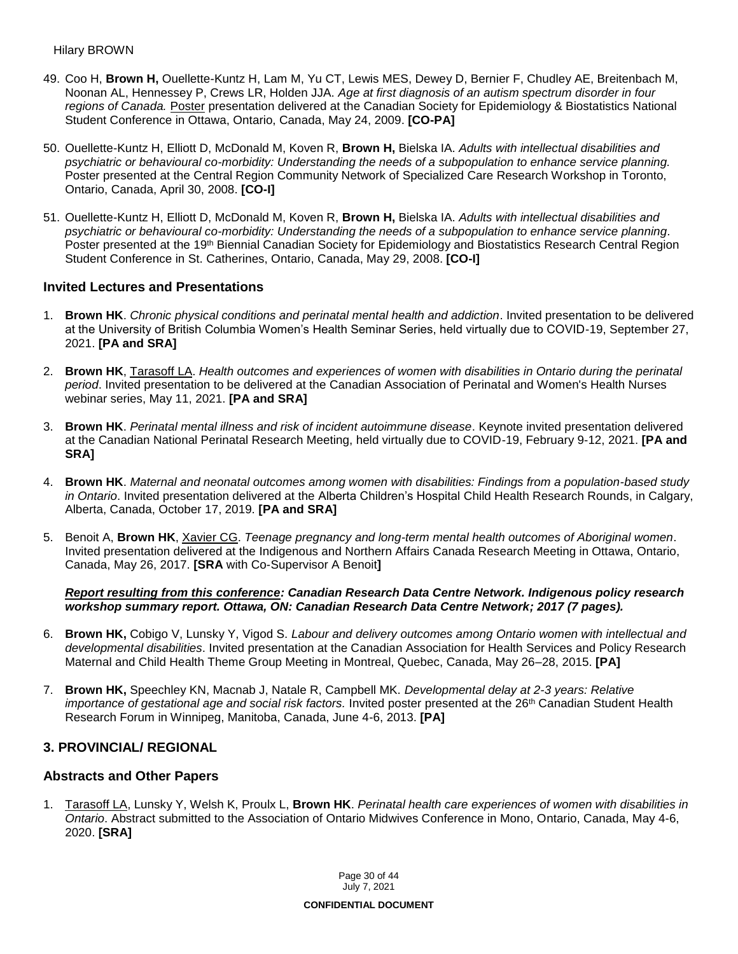- 49. Coo H, **Brown H,** Ouellette-Kuntz H, Lam M, Yu CT, Lewis MES, Dewey D, Bernier F, Chudley AE, Breitenbach M, Noonan AL, Hennessey P, Crews LR, Holden JJA. *Age at first diagnosis of an autism spectrum disorder in four regions of Canada.* Poster presentation delivered at the Canadian Society for Epidemiology & Biostatistics National Student Conference in Ottawa, Ontario, Canada, May 24, 2009. **[CO-PA]**
- 50. Ouellette-Kuntz H, Elliott D, McDonald M, Koven R, **Brown H,** Bielska IA. *Adults with intellectual disabilities and psychiatric or behavioural co-morbidity: Understanding the needs of a subpopulation to enhance service planning.* Poster presented at the Central Region Community Network of Specialized Care Research Workshop in Toronto, Ontario, Canada, April 30, 2008. **[CO-I]**
- 51. Ouellette-Kuntz H, Elliott D, McDonald M, Koven R, **Brown H,** Bielska IA. *Adults with intellectual disabilities and psychiatric or behavioural co-morbidity: Understanding the needs of a subpopulation to enhance service planning.* Poster presented at the 19<sup>th</sup> Biennial Canadian Society for Epidemiology and Biostatistics Research Central Region Student Conference in St. Catherines, Ontario, Canada, May 29, 2008. **[CO-I]**

### **Invited Lectures and Presentations**

- 1. **Brown HK**. *Chronic physical conditions and perinatal mental health and addiction*. Invited presentation to be delivered at the University of British Columbia Women's Health Seminar Series, held virtually due to COVID-19, September 27, 2021. **[PA and SRA]**
- 2. **Brown HK**, Tarasoff LA. *Health outcomes and experiences of women with disabilities in Ontario during the perinatal period*. Invited presentation to be delivered at the Canadian Association of Perinatal and Women's Health Nurses webinar series, May 11, 2021. **[PA and SRA]**
- 3. **Brown HK**. *Perinatal mental illness and risk of incident autoimmune disease*. Keynote invited presentation delivered at the Canadian National Perinatal Research Meeting, held virtually due to COVID-19, February 9-12, 2021. **[PA and SRA]**
- 4. **Brown HK**. *Maternal and neonatal outcomes among women with disabilities: Findings from a population-based study in Ontario*. Invited presentation delivered at the Alberta Children's Hospital Child Health Research Rounds, in Calgary, Alberta, Canada, October 17, 2019. **[PA and SRA]**
- 5. Benoit A, **Brown HK**, Xavier CG. *Teenage pregnancy and long-term mental health outcomes of Aboriginal women*. Invited presentation delivered at the Indigenous and Northern Affairs Canada Research Meeting in Ottawa, Ontario, Canada, May 26, 2017. **[SRA** with Co-Supervisor A Benoit**]**

#### *Report resulting from this conference: Canadian Research Data Centre Network. Indigenous policy research workshop summary report. Ottawa, ON: Canadian Research Data Centre Network; 2017 (7 pages).*

- 6. **Brown HK,** Cobigo V, Lunsky Y, Vigod S. *Labour and delivery outcomes among Ontario women with intellectual and developmental disabilities*. Invited presentation at the Canadian Association for Health Services and Policy Research Maternal and Child Health Theme Group Meeting in Montreal, Quebec, Canada, May 26–28, 2015. **[PA]**
- 7. **Brown HK,** Speechley KN, Macnab J, Natale R, Campbell MK. *Developmental delay at 2-3 years: Relative importance of gestational age and social risk factors.* Invited poster presented at the 26<sup>th</sup> Canadian Student Health Research Forum in Winnipeg, Manitoba, Canada, June 4-6, 2013. **[PA]**

### **3. PROVINCIAL/ REGIONAL**

### **Abstracts and Other Papers**

1. Tarasoff LA, Lunsky Y, Welsh K, Proulx L, **Brown HK**. *Perinatal health care experiences of women with disabilities in Ontario*. Abstract submitted to the Association of Ontario Midwives Conference in Mono, Ontario, Canada, May 4-6, 2020. **[SRA]**

> Page 30 of 44 July 7, 2021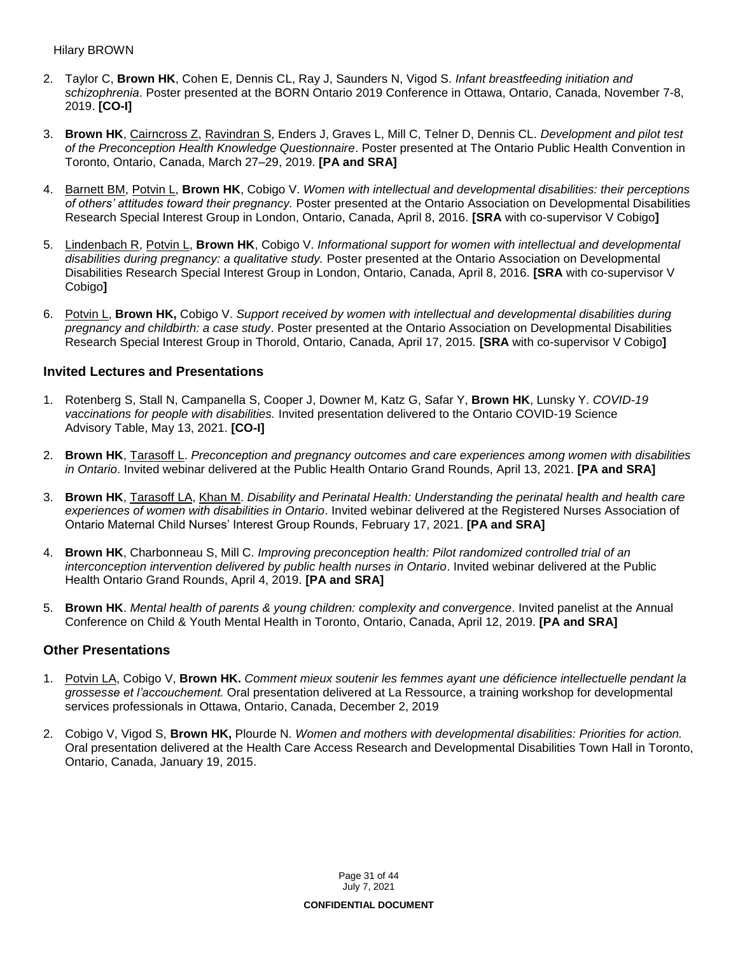- 2. Taylor C, **Brown HK**, Cohen E, Dennis CL, Ray J, Saunders N, Vigod S. *Infant breastfeeding initiation and schizophrenia*. Poster presented at the BORN Ontario 2019 Conference in Ottawa, Ontario, Canada, November 7-8, 2019. **[CO-I]**
- 3. **Brown HK**, Cairncross Z, Ravindran S, Enders J, Graves L, Mill C, Telner D, Dennis CL. *Development and pilot test of the Preconception Health Knowledge Questionnaire*. Poster presented at The Ontario Public Health Convention in Toronto, Ontario, Canada, March 27–29, 2019. **[PA and SRA]**
- 4. Barnett BM, Potvin L, **Brown HK**, Cobigo V. *Women with intellectual and developmental disabilities: their perceptions of others' attitudes toward their pregnancy.* Poster presented at the Ontario Association on Developmental Disabilities Research Special Interest Group in London, Ontario, Canada, April 8, 2016. **[SRA** with co-supervisor V Cobigo**]**
- 5. Lindenbach R, Potvin L, **Brown HK**, Cobigo V. *Informational support for women with intellectual and developmental disabilities during pregnancy: a qualitative study.* Poster presented at the Ontario Association on Developmental Disabilities Research Special Interest Group in London, Ontario, Canada, April 8, 2016. **[SRA** with co-supervisor V Cobigo**]**
- 6. Potvin L, **Brown HK,** Cobigo V. *Support received by women with intellectual and developmental disabilities during pregnancy and childbirth: a case study*. Poster presented at the Ontario Association on Developmental Disabilities Research Special Interest Group in Thorold, Ontario, Canada, April 17, 2015. **[SRA** with co-supervisor V Cobigo**]**

### **Invited Lectures and Presentations**

- 1. Rotenberg S, Stall N, Campanella S, Cooper J, Downer M, Katz G, Safar Y, **Brown HK**, Lunsky Y. *COVID-19 vaccinations for people with disabilities.* Invited presentation delivered to the Ontario COVID-19 Science Advisory Table, May 13, 2021. **[CO-I]**
- 2. **Brown HK**, Tarasoff L. *Preconception and pregnancy outcomes and care experiences among women with disabilities in Ontario*. Invited webinar delivered at the Public Health Ontario Grand Rounds, April 13, 2021. **[PA and SRA]**
- 3. **Brown HK**, Tarasoff LA, Khan M. *Disability and Perinatal Health: Understanding the perinatal health and health care experiences of women with disabilities in Ontario*. Invited webinar delivered at the Registered Nurses Association of Ontario Maternal Child Nurses' Interest Group Rounds, February 17, 2021. **[PA and SRA]**
- 4. **Brown HK**, Charbonneau S, Mill C. *Improving preconception health: Pilot randomized controlled trial of an interconception intervention delivered by public health nurses in Ontario*. Invited webinar delivered at the Public Health Ontario Grand Rounds, April 4, 2019. **[PA and SRA]**
- 5. **Brown HK**. *Mental health of parents & young children: complexity and convergence*. Invited panelist at the Annual Conference on Child & Youth Mental Health in Toronto, Ontario, Canada, April 12, 2019. **[PA and SRA]**

### **Other Presentations**

- 1. Potvin LA, Cobigo V, **Brown HK.** *Comment mieux soutenir les femmes ayant une déficience intellectuelle pendant la grossesse et l'accouchement.* Oral presentation delivered at La Ressource, a training workshop for developmental services professionals in Ottawa, Ontario, Canada, December 2, 2019
- 2. Cobigo V, Vigod S, **Brown HK,** Plourde N. *Women and mothers with developmental disabilities: Priorities for action.*  Oral presentation delivered at the Health Care Access Research and Developmental Disabilities Town Hall in Toronto, Ontario, Canada, January 19, 2015.

Page 31 of 44 July 7, 2021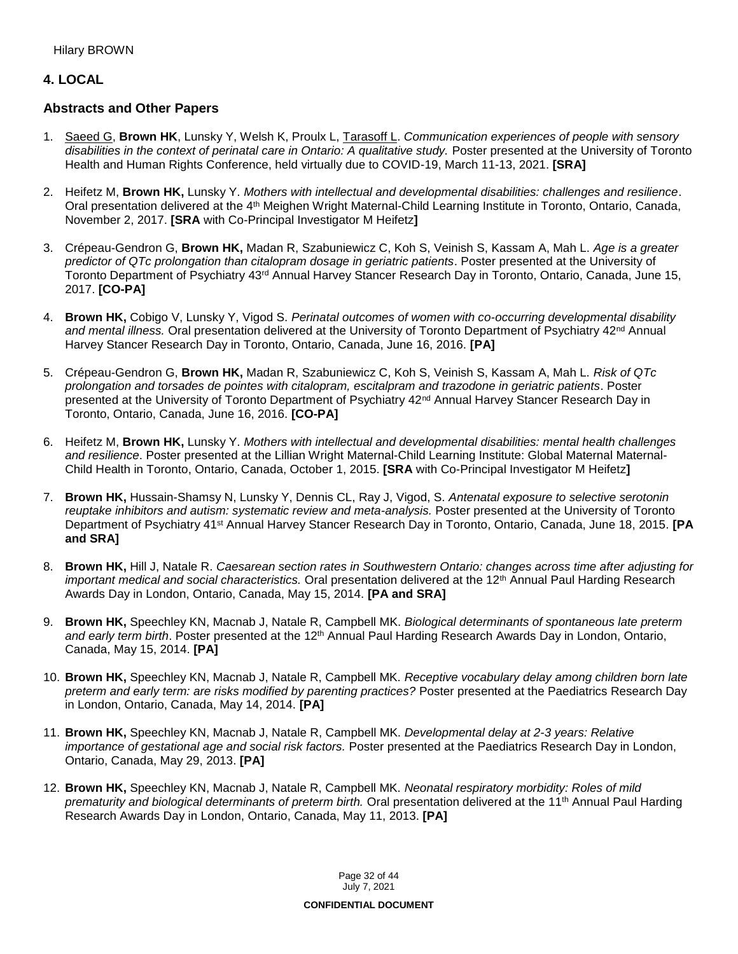# **4. LOCAL**

### **Abstracts and Other Papers**

- 1. Saeed G, **Brown HK**, Lunsky Y, Welsh K, Proulx L, Tarasoff L. *Communication experiences of people with sensory disabilities in the context of perinatal care in Ontario: A qualitative study.* Poster presented at the University of Toronto Health and Human Rights Conference, held virtually due to COVID-19, March 11-13, 2021. **[SRA]**
- 2. Heifetz M, **Brown HK,** Lunsky Y. *Mothers with intellectual and developmental disabilities: challenges and resilience*. Oral presentation delivered at the 4th Meighen Wright Maternal-Child Learning Institute in Toronto, Ontario, Canada, November 2, 2017. **[SRA** with Co-Principal Investigator M Heifetz**]**
- 3. Crépeau-Gendron G, **Brown HK,** Madan R, Szabuniewicz C, Koh S, Veinish S, Kassam A, Mah L. *Age is a greater predictor of QTc prolongation than citalopram dosage in geriatric patients*. Poster presented at the University of Toronto Department of Psychiatry 43rd Annual Harvey Stancer Research Day in Toronto, Ontario, Canada, June 15, 2017. **[CO-PA]**
- 4. **Brown HK,** Cobigo V, Lunsky Y, Vigod S. *Perinatal outcomes of women with co-occurring developmental disability*  and mental illness. Oral presentation delivered at the University of Toronto Department of Psychiatry 42<sup>nd</sup> Annual Harvey Stancer Research Day in Toronto, Ontario, Canada, June 16, 2016. **[PA]**
- 5. Crépeau-Gendron G, **Brown HK,** Madan R, Szabuniewicz C, Koh S, Veinish S, Kassam A, Mah L. *Risk of QTc prolongation and torsades de pointes with citalopram, escitalpram and trazodone in geriatric patients*. Poster presented at the University of Toronto Department of Psychiatry 42<sup>nd</sup> Annual Harvey Stancer Research Day in Toronto, Ontario, Canada, June 16, 2016. **[CO-PA]**
- 6. Heifetz M, **Brown HK,** Lunsky Y. *Mothers with intellectual and developmental disabilities: mental health challenges and resilience*. Poster presented at the Lillian Wright Maternal-Child Learning Institute: Global Maternal Maternal-Child Health in Toronto, Ontario, Canada, October 1, 2015. **[SRA** with Co-Principal Investigator M Heifetz**]**
- 7. **Brown HK,** Hussain-Shamsy N, Lunsky Y, Dennis CL, Ray J, Vigod, S. *Antenatal exposure to selective serotonin reuptake inhibitors and autism: systematic review and meta-analysis.* Poster presented at the University of Toronto Department of Psychiatry 41st Annual Harvey Stancer Research Day in Toronto, Ontario, Canada, June 18, 2015. **[PA and SRA]**
- 8. **Brown HK,** Hill J, Natale R. *Caesarean section rates in Southwestern Ontario: changes across time after adjusting for important medical and social characteristics.* Oral presentation delivered at the 12<sup>th</sup> Annual Paul Harding Research Awards Day in London, Ontario, Canada, May 15, 2014. **[PA and SRA]**
- 9. **Brown HK,** Speechley KN, Macnab J, Natale R, Campbell MK. *Biological determinants of spontaneous late preterm*  and early term birth. Poster presented at the 12<sup>th</sup> Annual Paul Harding Research Awards Day in London, Ontario, Canada, May 15, 2014. **[PA]**
- 10. **Brown HK,** Speechley KN, Macnab J, Natale R, Campbell MK. *Receptive vocabulary delay among children born late preterm and early term: are risks modified by parenting practices?* Poster presented at the Paediatrics Research Day in London, Ontario, Canada, May 14, 2014. **[PA]**
- 11. **Brown HK,** Speechley KN, Macnab J, Natale R, Campbell MK. *Developmental delay at 2-3 years: Relative importance of gestational age and social risk factors.* Poster presented at the Paediatrics Research Day in London, Ontario, Canada, May 29, 2013. **[PA]**
- 12. **Brown HK,** Speechley KN, Macnab J, Natale R, Campbell MK. *Neonatal respiratory morbidity: Roles of mild prematurity and biological determinants of preterm birth.* Oral presentation delivered at the 11th Annual Paul Harding Research Awards Day in London, Ontario, Canada, May 11, 2013. **[PA]**

Page 32 of 44 July 7, 2021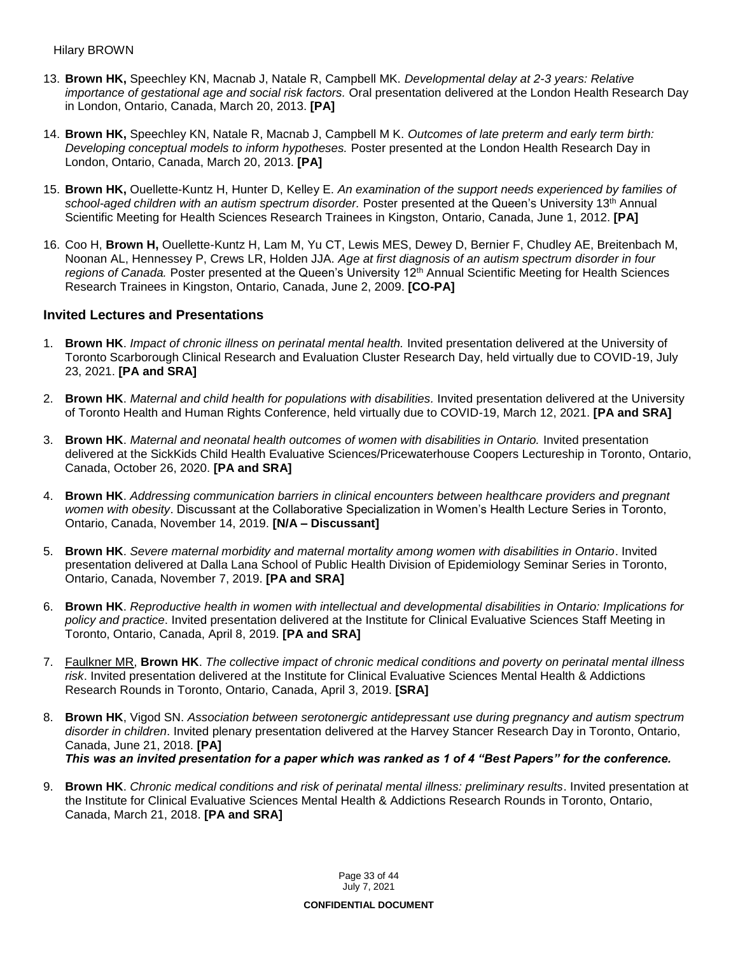- 13. **Brown HK,** Speechley KN, Macnab J, Natale R, Campbell MK. *Developmental delay at 2-3 years: Relative importance of gestational age and social risk factors.* Oral presentation delivered at the London Health Research Day in London, Ontario, Canada, March 20, 2013. **[PA]**
- 14. **Brown HK,** Speechley KN, Natale R, Macnab J, Campbell M K. *Outcomes of late preterm and early term birth: Developing conceptual models to inform hypotheses.* Poster presented at the London Health Research Day in London, Ontario, Canada, March 20, 2013. **[PA]**
- 15. **Brown HK,** Ouellette-Kuntz H, Hunter D, Kelley E. *An examination of the support needs experienced by families of*  school-aged children with an autism spectrum disorder. Poster presented at the Queen's University 13<sup>th</sup> Annual Scientific Meeting for Health Sciences Research Trainees in Kingston, Ontario, Canada, June 1, 2012. **[PA]**
- 16. Coo H, **Brown H,** Ouellette-Kuntz H, Lam M, Yu CT, Lewis MES, Dewey D, Bernier F, Chudley AE, Breitenbach M, Noonan AL, Hennessey P, Crews LR, Holden JJA. *Age at first diagnosis of an autism spectrum disorder in four*  regions of Canada. Poster presented at the Queen's University 12<sup>th</sup> Annual Scientific Meeting for Health Sciences Research Trainees in Kingston, Ontario, Canada, June 2, 2009. **[CO-PA]**

### **Invited Lectures and Presentations**

- 1. **Brown HK**. *Impact of chronic illness on perinatal mental health.* Invited presentation delivered at the University of Toronto Scarborough Clinical Research and Evaluation Cluster Research Day, held virtually due to COVID-19, July 23, 2021. **[PA and SRA]**
- 2. **Brown HK**. *Maternal and child health for populations with disabilities.* Invited presentation delivered at the University of Toronto Health and Human Rights Conference, held virtually due to COVID-19, March 12, 2021. **[PA and SRA]**
- 3. **Brown HK**. *Maternal and neonatal health outcomes of women with disabilities in Ontario.* Invited presentation delivered at the SickKids Child Health Evaluative Sciences/Pricewaterhouse Coopers Lectureship in Toronto, Ontario, Canada, October 26, 2020. **[PA and SRA]**
- 4. **Brown HK**. *Addressing communication barriers in clinical encounters between healthcare providers and pregnant women with obesity*. Discussant at the Collaborative Specialization in Women's Health Lecture Series in Toronto, Ontario, Canada, November 14, 2019. **[N/A – Discussant]**
- 5. **Brown HK**. *Severe maternal morbidity and maternal mortality among women with disabilities in Ontario*. Invited presentation delivered at Dalla Lana School of Public Health Division of Epidemiology Seminar Series in Toronto, Ontario, Canada, November 7, 2019. **[PA and SRA]**
- 6. **Brown HK**. *Reproductive health in women with intellectual and developmental disabilities in Ontario: Implications for policy and practice*. Invited presentation delivered at the Institute for Clinical Evaluative Sciences Staff Meeting in Toronto, Ontario, Canada, April 8, 2019. **[PA and SRA]**
- 7. Faulkner MR, **Brown HK**. *The collective impact of chronic medical conditions and poverty on perinatal mental illness risk*. Invited presentation delivered at the Institute for Clinical Evaluative Sciences Mental Health & Addictions Research Rounds in Toronto, Ontario, Canada, April 3, 2019. **[SRA]**
- 8. **Brown HK**, Vigod SN. *Association between serotonergic antidepressant use during pregnancy and autism spectrum disorder in children*. Invited plenary presentation delivered at the Harvey Stancer Research Day in Toronto, Ontario, Canada, June 21, 2018. **[PA]** *This was an invited presentation for a paper which was ranked as 1 of 4 "Best Papers" for the conference.*
- 9. **Brown HK**. *Chronic medical conditions and risk of perinatal mental illness: preliminary results*. Invited presentation at the Institute for Clinical Evaluative Sciences Mental Health & Addictions Research Rounds in Toronto, Ontario, Canada, March 21, 2018. **[PA and SRA]**

Page 33 of 44 July 7, 2021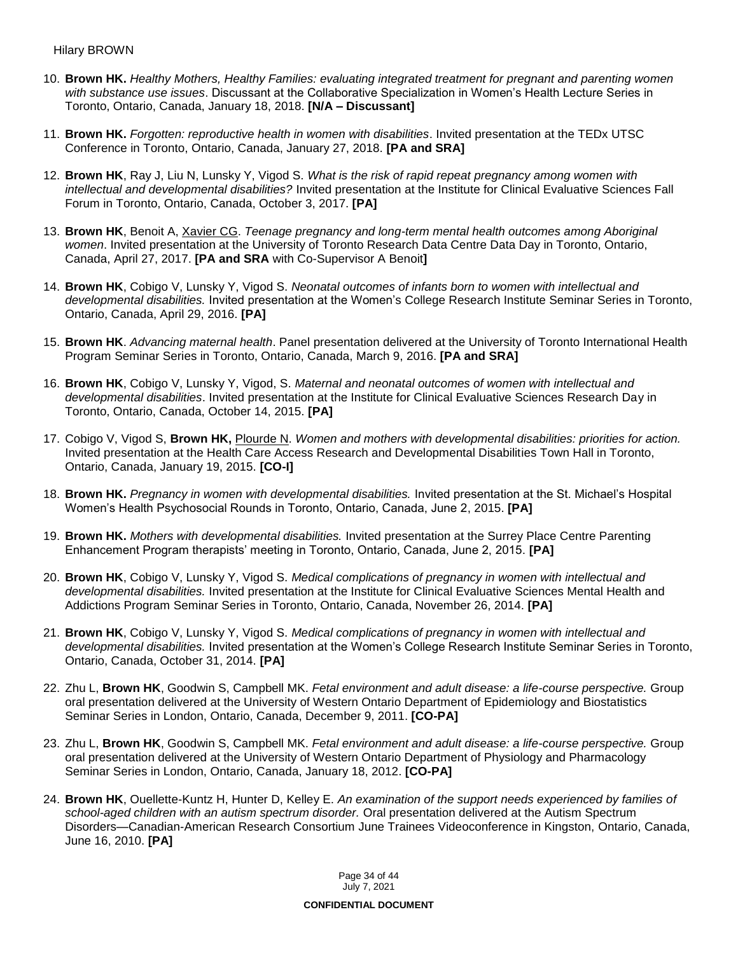- 10. **Brown HK.** *Healthy Mothers, Healthy Families: evaluating integrated treatment for pregnant and parenting women with substance use issues*. Discussant at the Collaborative Specialization in Women's Health Lecture Series in Toronto, Ontario, Canada, January 18, 2018. **[N/A – Discussant]**
- 11. **Brown HK.** *Forgotten: reproductive health in women with disabilities*. Invited presentation at the TEDx UTSC Conference in Toronto, Ontario, Canada, January 27, 2018. **[PA and SRA]**
- 12. **Brown HK**, Ray J, Liu N, Lunsky Y, Vigod S. *What is the risk of rapid repeat pregnancy among women with intellectual and developmental disabilities?* Invited presentation at the Institute for Clinical Evaluative Sciences Fall Forum in Toronto, Ontario, Canada, October 3, 2017. **[PA]**
- 13. **Brown HK**, Benoit A, Xavier CG. *Teenage pregnancy and long-term mental health outcomes among Aboriginal women*. Invited presentation at the University of Toronto Research Data Centre Data Day in Toronto, Ontario, Canada, April 27, 2017. **[PA and SRA** with Co-Supervisor A Benoit**]**
- 14. **Brown HK**, Cobigo V, Lunsky Y, Vigod S. *Neonatal outcomes of infants born to women with intellectual and developmental disabilities.* Invited presentation at the Women's College Research Institute Seminar Series in Toronto, Ontario, Canada, April 29, 2016. **[PA]**
- 15. **Brown HK**. *Advancing maternal health*. Panel presentation delivered at the University of Toronto International Health Program Seminar Series in Toronto, Ontario, Canada, March 9, 2016. **[PA and SRA]**
- 16. **Brown HK**, Cobigo V, Lunsky Y, Vigod, S. *Maternal and neonatal outcomes of women with intellectual and developmental disabilities*. Invited presentation at the Institute for Clinical Evaluative Sciences Research Day in Toronto, Ontario, Canada, October 14, 2015. **[PA]**
- 17. Cobigo V, Vigod S, **Brown HK,** Plourde N. *Women and mothers with developmental disabilities: priorities for action.*  Invited presentation at the Health Care Access Research and Developmental Disabilities Town Hall in Toronto, Ontario, Canada, January 19, 2015. **[CO-I]**
- 18. **Brown HK.** *Pregnancy in women with developmental disabilities.* Invited presentation at the St. Michael's Hospital Women's Health Psychosocial Rounds in Toronto, Ontario, Canada, June 2, 2015. **[PA]**
- 19. **Brown HK.** *Mothers with developmental disabilities.* Invited presentation at the Surrey Place Centre Parenting Enhancement Program therapists' meeting in Toronto, Ontario, Canada, June 2, 2015. **[PA]**
- 20. **Brown HK**, Cobigo V, Lunsky Y, Vigod S. *Medical complications of pregnancy in women with intellectual and developmental disabilities.* Invited presentation at the Institute for Clinical Evaluative Sciences Mental Health and Addictions Program Seminar Series in Toronto, Ontario, Canada, November 26, 2014. **[PA]**
- 21. **Brown HK**, Cobigo V, Lunsky Y, Vigod S. *Medical complications of pregnancy in women with intellectual and developmental disabilities.* Invited presentation at the Women's College Research Institute Seminar Series in Toronto, Ontario, Canada, October 31, 2014. **[PA]**
- 22. Zhu L, **Brown HK**, Goodwin S, Campbell MK. *Fetal environment and adult disease: a life-course perspective.* Group oral presentation delivered at the University of Western Ontario Department of Epidemiology and Biostatistics Seminar Series in London, Ontario, Canada, December 9, 2011. **[CO-PA]**
- 23. Zhu L, **Brown HK**, Goodwin S, Campbell MK. *Fetal environment and adult disease: a life-course perspective.* Group oral presentation delivered at the University of Western Ontario Department of Physiology and Pharmacology Seminar Series in London, Ontario, Canada, January 18, 2012. **[CO-PA]**
- 24. **Brown HK**, Ouellette-Kuntz H, Hunter D, Kelley E. *An examination of the support needs experienced by families of school-aged children with an autism spectrum disorder.* Oral presentation delivered at the Autism Spectrum Disorders—Canadian-American Research Consortium June Trainees Videoconference in Kingston, Ontario, Canada, June 16, 2010. **[PA]**

Page 34 of 44 July 7, 2021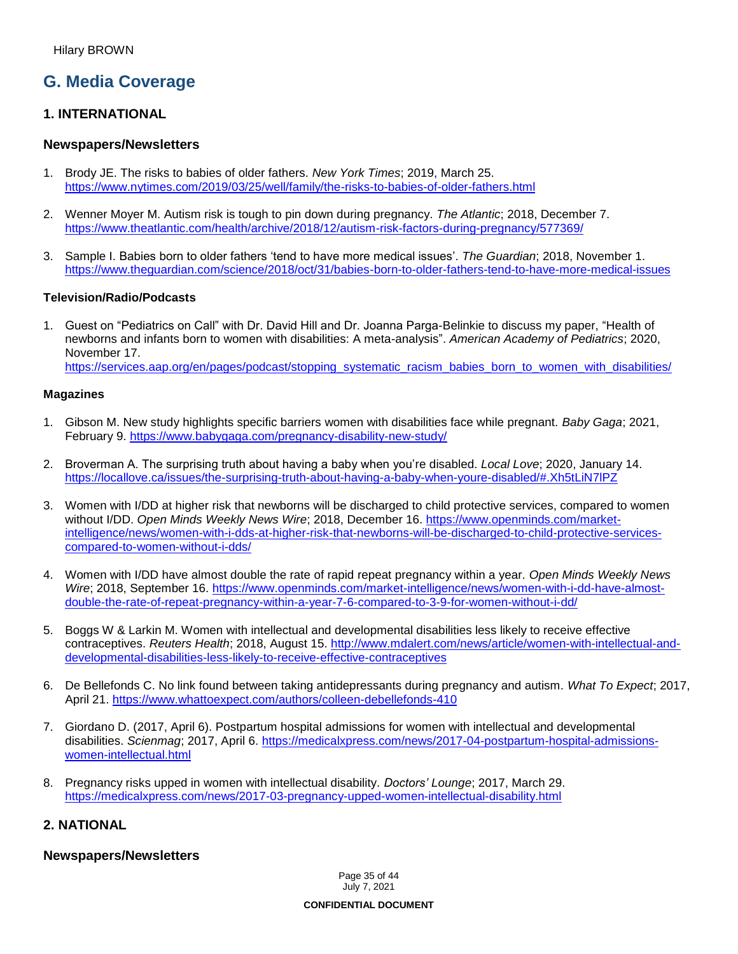# **G. Media Coverage**

### **1. INTERNATIONAL**

### **Newspapers/Newsletters**

- 1. Brody JE. The risks to babies of older fathers. *New York Times*; 2019, March 25. <https://www.nytimes.com/2019/03/25/well/family/the-risks-to-babies-of-older-fathers.html>
- 2. Wenner Moyer M. Autism risk is tough to pin down during pregnancy. *The Atlantic*; 2018, December 7. <https://www.theatlantic.com/health/archive/2018/12/autism-risk-factors-during-pregnancy/577369/>
- 3. Sample I. Babies born to older fathers 'tend to have more medical issues'. *The Guardian*; 2018, November 1. <https://www.theguardian.com/science/2018/oct/31/babies-born-to-older-fathers-tend-to-have-more-medical-issues>

### **Television/Radio/Podcasts**

1. Guest on "Pediatrics on Call" with Dr. David Hill and Dr. Joanna Parga-Belinkie to discuss my paper, "Health of newborns and infants born to women with disabilities: A meta-analysis". *American Academy of Pediatrics*; 2020, November 17.

[https://services.aap.org/en/pages/podcast/stopping\\_systematic\\_racism\\_babies\\_born\\_to\\_women\\_with\\_disabilities/](https://services.aap.org/en/pages/podcast/stopping_systematic_racism_babies_born_to_women_with_disabilities/)

#### **Magazines**

- 1. Gibson M. New study highlights specific barriers women with disabilities face while pregnant. *Baby Gaga*; 2021, February 9.<https://www.babygaga.com/pregnancy-disability-new-study/>
- 2. Broverman A. The surprising truth about having a baby when you're disabled. *Local Love*; 2020, January 14. <https://locallove.ca/issues/the-surprising-truth-about-having-a-baby-when-youre-disabled/#.Xh5tLiN7lPZ>
- 3. Women with I/DD at higher risk that newborns will be discharged to child protective services, compared to women without I/DD. *Open Minds Weekly News Wire*; 2018, December 16. [https://www.openminds.com/market](https://www.openminds.com/market-intelligence/news/women-with-i-dds-at-higher-risk-that-newborns-will-be-discharged-to-child-protective-services-compared-to-women-without-i-dds/)[intelligence/news/women-with-i-dds-at-higher-risk-that-newborns-will-be-discharged-to-child-protective-services](https://www.openminds.com/market-intelligence/news/women-with-i-dds-at-higher-risk-that-newborns-will-be-discharged-to-child-protective-services-compared-to-women-without-i-dds/)[compared-to-women-without-i-dds/](https://www.openminds.com/market-intelligence/news/women-with-i-dds-at-higher-risk-that-newborns-will-be-discharged-to-child-protective-services-compared-to-women-without-i-dds/)
- 4. Women with I/DD have almost double the rate of rapid repeat pregnancy within a year. *Open Minds Weekly News Wire*; 2018, September 16. [https://www.openminds.com/market-intelligence/news/women-with-i-dd-have-almost](https://www.openminds.com/market-intelligence/news/women-with-i-dd-have-almost-double-the-rate-of-repeat-pregnancy-within-a-year-7-6-compared-to-3-9-for-women-without-i-dd/)[double-the-rate-of-repeat-pregnancy-within-a-year-7-6-compared-to-3-9-for-women-without-i-dd/](https://www.openminds.com/market-intelligence/news/women-with-i-dd-have-almost-double-the-rate-of-repeat-pregnancy-within-a-year-7-6-compared-to-3-9-for-women-without-i-dd/)
- 5. Boggs W & Larkin M. Women with intellectual and developmental disabilities less likely to receive effective contraceptives. *Reuters Health*; 2018, August 15. [http://www.mdalert.com/news/article/women-with-intellectual-and](http://www.mdalert.com/news/article/women-with-intellectual-and-developmental-disabilities-less-likely-to-receive-effective-contraceptives)[developmental-disabilities-less-likely-to-receive-effective-contraceptives](http://www.mdalert.com/news/article/women-with-intellectual-and-developmental-disabilities-less-likely-to-receive-effective-contraceptives)
- 6. De Bellefonds C. No link found between taking antidepressants during pregnancy and autism. *What To Expect*; 2017, April 21. <https://www.whattoexpect.com/authors/colleen-debellefonds-410>
- 7. Giordano D. (2017, April 6). Postpartum hospital admissions for women with intellectual and developmental disabilities. *Scienmag*; 2017, April 6. [https://medicalxpress.com/news/2017-04-postpartum-hospital-admissions](https://medicalxpress.com/news/2017-04-postpartum-hospital-admissions-women-intellectual.html)[women-intellectual.html](https://medicalxpress.com/news/2017-04-postpartum-hospital-admissions-women-intellectual.html)
- 8. Pregnancy risks upped in women with intellectual disability. *Doctors' Lounge*; 2017, March 29. <https://medicalxpress.com/news/2017-03-pregnancy-upped-women-intellectual-disability.html>

## **2. NATIONAL**

### **Newspapers/Newsletters**

Page 35 of 44 July 7, 2021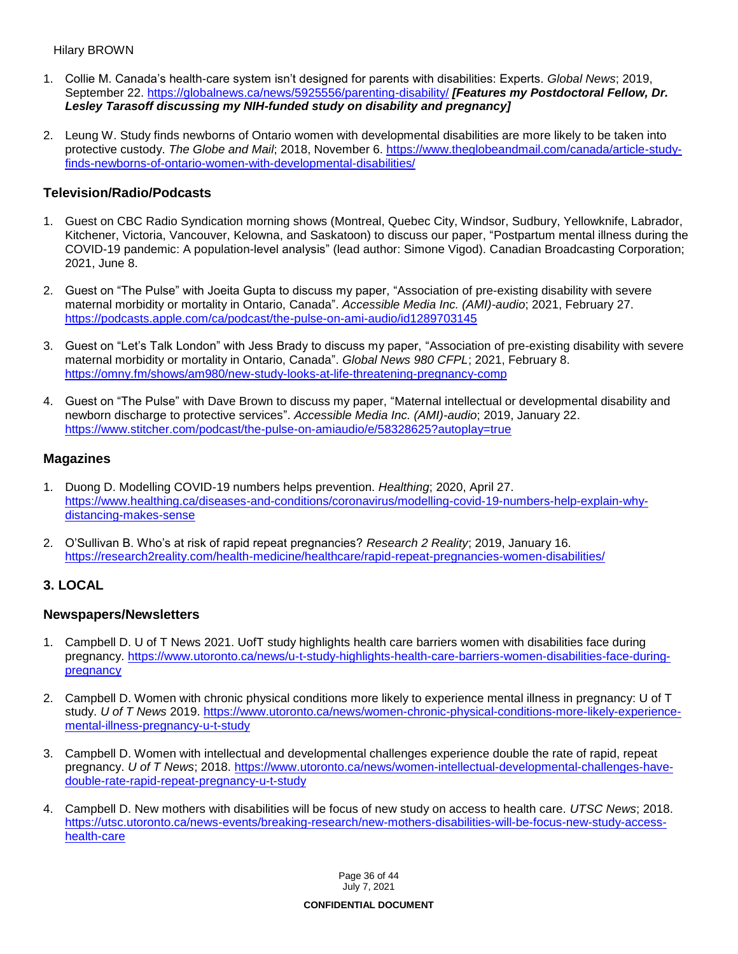### Hilary BROWN

- 1. Collie M. Canada's health-care system isn't designed for parents with disabilities: Experts. *Global News*; 2019, September 22.<https://globalnews.ca/news/5925556/parenting-disability/> *[Features my Postdoctoral Fellow, Dr. Lesley Tarasoff discussing my NIH-funded study on disability and pregnancy]*
- 2. Leung W. Study finds newborns of Ontario women with developmental disabilities are more likely to be taken into protective custody. *The Globe and Mail*; 2018, November 6. [https://www.theglobeandmail.com/canada/article-study](https://www.theglobeandmail.com/canada/article-study-finds-newborns-of-ontario-women-with-developmental-disabilities/)[finds-newborns-of-ontario-women-with-developmental-disabilities/](https://www.theglobeandmail.com/canada/article-study-finds-newborns-of-ontario-women-with-developmental-disabilities/)

## **Television/Radio/Podcasts**

- 1. Guest on CBC Radio Syndication morning shows (Montreal, Quebec City, Windsor, Sudbury, Yellowknife, Labrador, Kitchener, Victoria, Vancouver, Kelowna, and Saskatoon) to discuss our paper, "Postpartum mental illness during the COVID-19 pandemic: A population-level analysis" (lead author: Simone Vigod). Canadian Broadcasting Corporation; 2021, June 8.
- 2. Guest on "The Pulse" with Joeita Gupta to discuss my paper, "Association of pre-existing disability with severe maternal morbidity or mortality in Ontario, Canada". *Accessible Media Inc. (AMI)-audio*; 2021, February 27. <https://podcasts.apple.com/ca/podcast/the-pulse-on-ami-audio/id1289703145>
- 3. Guest on "Let's Talk London" with Jess Brady to discuss my paper, "Association of pre-existing disability with severe maternal morbidity or mortality in Ontario, Canada". *Global News 980 CFPL*; 2021, February 8. <https://omny.fm/shows/am980/new-study-looks-at-life-threatening-pregnancy-comp>
- 4. Guest on "The Pulse" with Dave Brown to discuss my paper, "Maternal intellectual or developmental disability and newborn discharge to protective services". *Accessible Media Inc. (AMI)-audio*; 2019, January 22. <https://www.stitcher.com/podcast/the-pulse-on-amiaudio/e/58328625?autoplay=true>

### **Magazines**

- 1. Duong D. Modelling COVID-19 numbers helps prevention. *Healthing*; 2020, April 27. [https://www.healthing.ca/diseases-and-conditions/coronavirus/modelling-covid-19-numbers-help-explain-why](https://www.healthing.ca/diseases-and-conditions/coronavirus/modelling-covid-19-numbers-help-explain-why-distancing-makes-sense)[distancing-makes-sense](https://www.healthing.ca/diseases-and-conditions/coronavirus/modelling-covid-19-numbers-help-explain-why-distancing-makes-sense)
- 2. O'Sullivan B. Who's at risk of rapid repeat pregnancies? *Research 2 Reality*; 2019, January 16. <https://research2reality.com/health-medicine/healthcare/rapid-repeat-pregnancies-women-disabilities/>

## **3. LOCAL**

### **Newspapers/Newsletters**

- 1. Campbell D. U of T News 2021. UofT study highlights health care barriers women with disabilities face during pregnancy. [https://www.utoronto.ca/news/u-t-study-highlights-health-care-barriers-women-disabilities-face-during](https://www.utoronto.ca/news/u-t-study-highlights-health-care-barriers-women-disabilities-face-during-pregnancy)[pregnancy](https://www.utoronto.ca/news/u-t-study-highlights-health-care-barriers-women-disabilities-face-during-pregnancy)
- 2. Campbell D. Women with chronic physical conditions more likely to experience mental illness in pregnancy: U of T study. *U of T News* 2019. [https://www.utoronto.ca/news/women-chronic-physical-conditions-more-likely-experience](https://www.utoronto.ca/news/women-chronic-physical-conditions-more-likely-experience-mental-illness-pregnancy-u-t-study)[mental-illness-pregnancy-u-t-study](https://www.utoronto.ca/news/women-chronic-physical-conditions-more-likely-experience-mental-illness-pregnancy-u-t-study)
- 3. Campbell D. Women with intellectual and developmental challenges experience double the rate of rapid, repeat pregnancy. *U of T News*; 2018. [https://www.utoronto.ca/news/women-intellectual-developmental-challenges-have](https://www.utoronto.ca/news/women-intellectual-developmental-challenges-have-double-rate-rapid-repeat-pregnancy-u-t-study)[double-rate-rapid-repeat-pregnancy-u-t-study](https://www.utoronto.ca/news/women-intellectual-developmental-challenges-have-double-rate-rapid-repeat-pregnancy-u-t-study)
- 4. Campbell D. New mothers with disabilities will be focus of new study on access to health care. *UTSC News*; 2018. [https://utsc.utoronto.ca/news-events/breaking-research/new-mothers-disabilities-will-be-focus-new-study-access](https://utsc.utoronto.ca/news-events/breaking-research/new-mothers-disabilities-will-be-focus-new-study-access-health-care)[health-care](https://utsc.utoronto.ca/news-events/breaking-research/new-mothers-disabilities-will-be-focus-new-study-access-health-care)

Page 36 of 44 July 7, 2021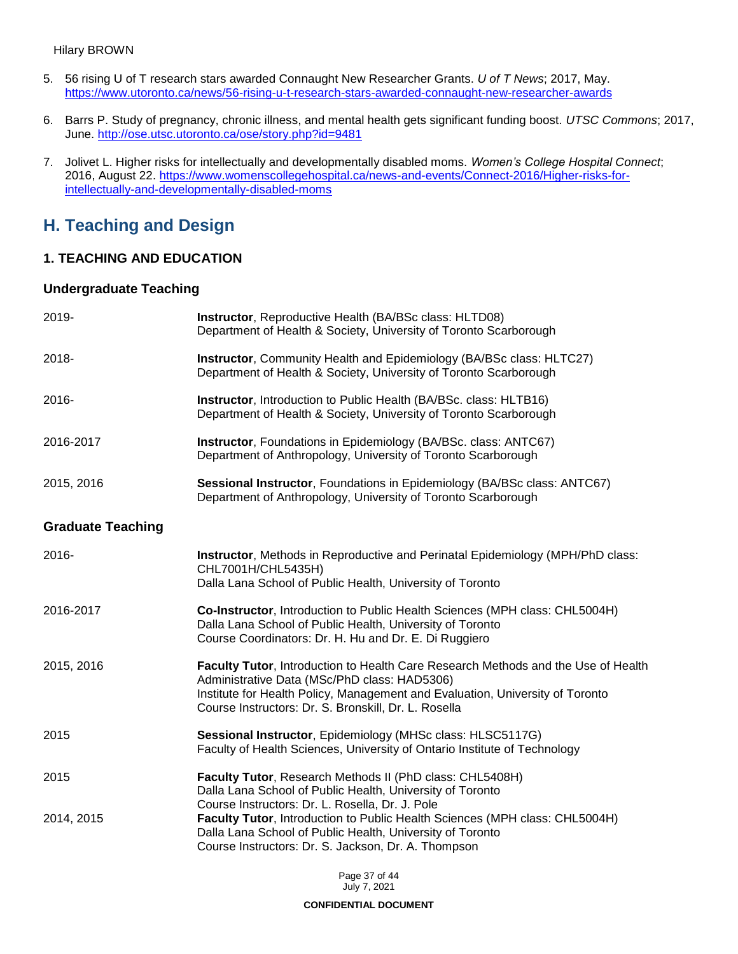- 5. 56 rising U of T research stars awarded Connaught New Researcher Grants. *U of T News*; 2017, May. <https://www.utoronto.ca/news/56-rising-u-t-research-stars-awarded-connaught-new-researcher-awards>
- 6. Barrs P. Study of pregnancy, chronic illness, and mental health gets significant funding boost. *UTSC Commons*; 2017, June. <http://ose.utsc.utoronto.ca/ose/story.php?id=9481>
- 7. Jolivet L. Higher risks for intellectually and developmentally disabled moms. *Women's College Hospital Connect*; 2016, August 22. [https://www.womenscollegehospital.ca/news-and-events/Connect-2016/Higher-risks-for](https://www.womenscollegehospital.ca/news-and-events/Connect-2016/Higher-risks-for-intellectually-and-developmentally-disabled-moms)[intellectually-and-developmentally-disabled-moms](https://www.womenscollegehospital.ca/news-and-events/Connect-2016/Higher-risks-for-intellectually-and-developmentally-disabled-moms)

# **H. Teaching and Design**

# **1. TEACHING AND EDUCATION**

## **Undergraduate Teaching**

| 2019-                    | Instructor, Reproductive Health (BA/BSc class: HLTD08)<br>Department of Health & Society, University of Toronto Scarborough                                                                                                                                                |
|--------------------------|----------------------------------------------------------------------------------------------------------------------------------------------------------------------------------------------------------------------------------------------------------------------------|
| 2018-                    | Instructor, Community Health and Epidemiology (BA/BSc class: HLTC27)<br>Department of Health & Society, University of Toronto Scarborough                                                                                                                                  |
| 2016-                    | Instructor, Introduction to Public Health (BA/BSc. class: HLTB16)<br>Department of Health & Society, University of Toronto Scarborough                                                                                                                                     |
| 2016-2017                | Instructor, Foundations in Epidemiology (BA/BSc. class: ANTC67)<br>Department of Anthropology, University of Toronto Scarborough                                                                                                                                           |
| 2015, 2016               | Sessional Instructor, Foundations in Epidemiology (BA/BSc class: ANTC67)<br>Department of Anthropology, University of Toronto Scarborough                                                                                                                                  |
| <b>Graduate Teaching</b> |                                                                                                                                                                                                                                                                            |
| 2016-                    | Instructor, Methods in Reproductive and Perinatal Epidemiology (MPH/PhD class:<br>CHL7001H/CHL5435H)<br>Dalla Lana School of Public Health, University of Toronto                                                                                                          |
| 2016-2017                | Co-Instructor, Introduction to Public Health Sciences (MPH class: CHL5004H)<br>Dalla Lana School of Public Health, University of Toronto<br>Course Coordinators: Dr. H. Hu and Dr. E. Di Ruggiero                                                                          |
| 2015, 2016               | Faculty Tutor, Introduction to Health Care Research Methods and the Use of Health<br>Administrative Data (MSc/PhD class: HAD5306)<br>Institute for Health Policy, Management and Evaluation, University of Toronto<br>Course Instructors: Dr. S. Bronskill, Dr. L. Rosella |
| 2015                     | Sessional Instructor, Epidemiology (MHSc class: HLSC5117G)<br>Faculty of Health Sciences, University of Ontario Institute of Technology                                                                                                                                    |
| 2015                     | Faculty Tutor, Research Methods II (PhD class: CHL5408H)<br>Dalla Lana School of Public Health, University of Toronto<br>Course Instructors: Dr. L. Rosella, Dr. J. Pole                                                                                                   |
| 2014, 2015               | Faculty Tutor, Introduction to Public Health Sciences (MPH class: CHL5004H)<br>Dalla Lana School of Public Health, University of Toronto<br>Course Instructors: Dr. S. Jackson, Dr. A. Thompson                                                                            |

Page 37 of 44 July 7, 2021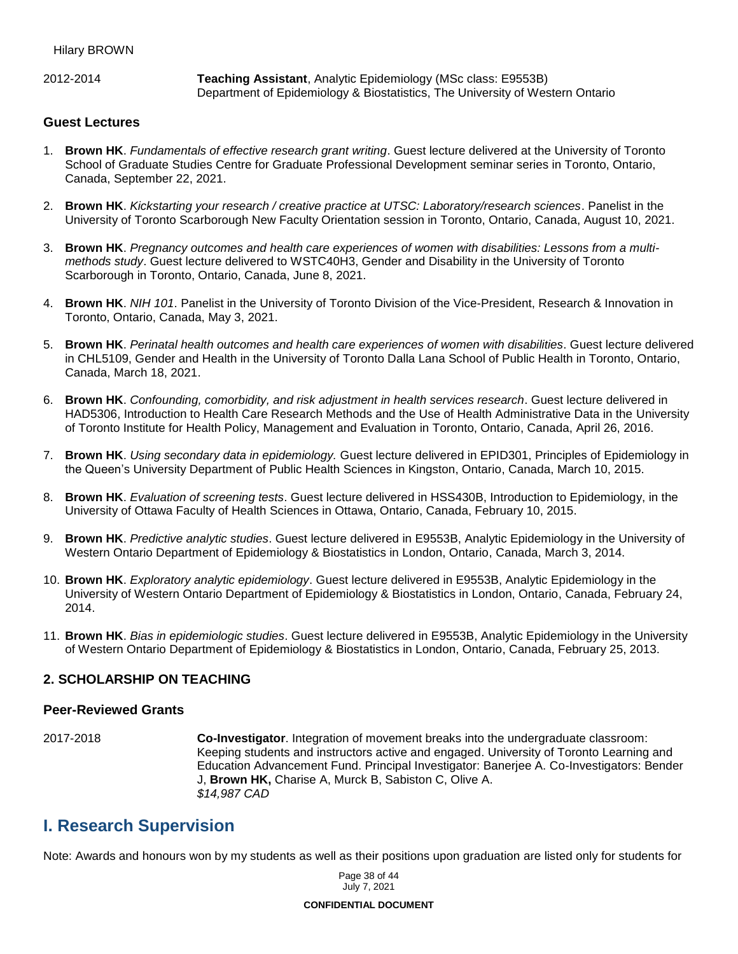2012-2014 **Teaching Assistant**, Analytic Epidemiology (MSc class: E9553B) Department of Epidemiology & Biostatistics, The University of Western Ontario

### **Guest Lectures**

- 1. **Brown HK**. *Fundamentals of effective research grant writing*. Guest lecture delivered at the University of Toronto School of Graduate Studies Centre for Graduate Professional Development seminar series in Toronto, Ontario, Canada, September 22, 2021.
- 2. **Brown HK**. *Kickstarting your research / creative practice at UTSC: Laboratory/research sciences*. Panelist in the University of Toronto Scarborough New Faculty Orientation session in Toronto, Ontario, Canada, August 10, 2021.
- 3. **Brown HK**. *Pregnancy outcomes and health care experiences of women with disabilities: Lessons from a multimethods study*. Guest lecture delivered to WSTC40H3, Gender and Disability in the University of Toronto Scarborough in Toronto, Ontario, Canada, June 8, 2021.
- 4. **Brown HK**. *NIH 101*. Panelist in the University of Toronto Division of the Vice-President, Research & Innovation in Toronto, Ontario, Canada, May 3, 2021.
- 5. **Brown HK**. *Perinatal health outcomes and health care experiences of women with disabilities*. Guest lecture delivered in CHL5109, Gender and Health in the University of Toronto Dalla Lana School of Public Health in Toronto, Ontario, Canada, March 18, 2021.
- 6. **Brown HK**. *Confounding, comorbidity, and risk adjustment in health services research*. Guest lecture delivered in HAD5306, Introduction to Health Care Research Methods and the Use of Health Administrative Data in the University of Toronto Institute for Health Policy, Management and Evaluation in Toronto, Ontario, Canada, April 26, 2016.
- 7. **Brown HK**. *Using secondary data in epidemiology.* Guest lecture delivered in EPID301, Principles of Epidemiology in the Queen's University Department of Public Health Sciences in Kingston, Ontario, Canada, March 10, 2015.
- 8. **Brown HK**. *Evaluation of screening tests*. Guest lecture delivered in HSS430B, Introduction to Epidemiology, in the University of Ottawa Faculty of Health Sciences in Ottawa, Ontario, Canada, February 10, 2015.
- 9. **Brown HK**. *Predictive analytic studies*. Guest lecture delivered in E9553B, Analytic Epidemiology in the University of Western Ontario Department of Epidemiology & Biostatistics in London, Ontario, Canada, March 3, 2014.
- 10. **Brown HK**. *Exploratory analytic epidemiology*. Guest lecture delivered in E9553B, Analytic Epidemiology in the University of Western Ontario Department of Epidemiology & Biostatistics in London, Ontario, Canada, February 24, 2014.
- 11. **Brown HK**. *Bias in epidemiologic studies*. Guest lecture delivered in E9553B, Analytic Epidemiology in the University of Western Ontario Department of Epidemiology & Biostatistics in London, Ontario, Canada, February 25, 2013.

### **2. SCHOLARSHIP ON TEACHING**

#### **Peer-Reviewed Grants**

2017-2018 **Co-Investigator**. Integration of movement breaks into the undergraduate classroom: Keeping students and instructors active and engaged. University of Toronto Learning and Education Advancement Fund. Principal Investigator: Banerjee A. Co-Investigators: Bender J, **Brown HK,** Charise A, Murck B, Sabiston C, Olive A. *\$14,987 CAD*

# **I. Research Supervision**

Note: Awards and honours won by my students as well as their positions upon graduation are listed only for students for

Page 38 of 44 July 7, 2021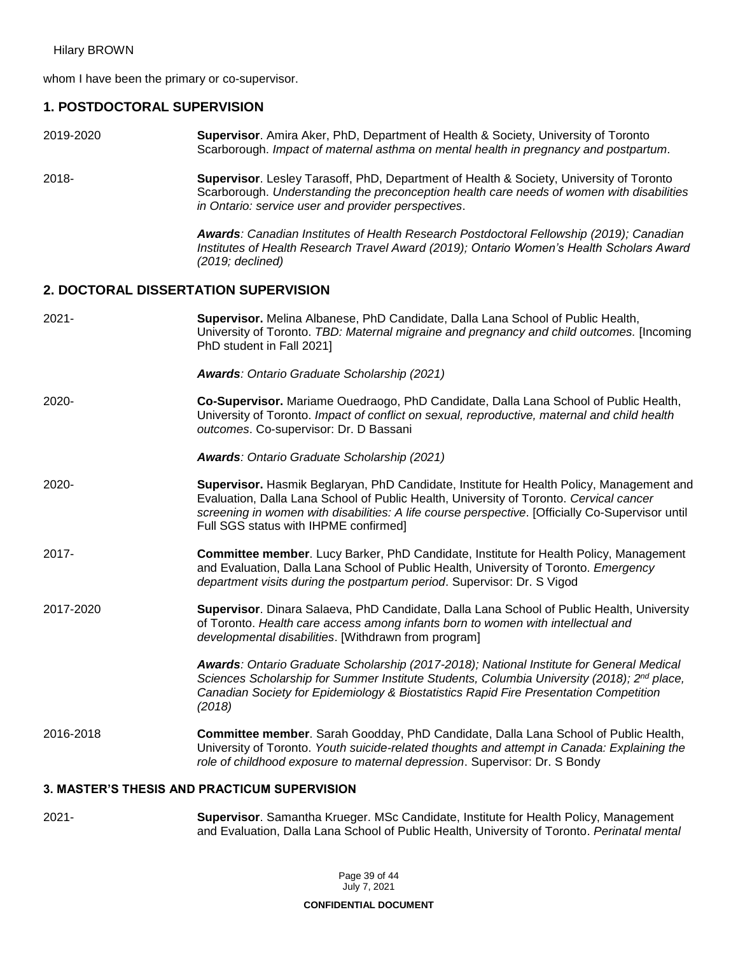whom I have been the primary or co-supervisor.

# **1. POSTDOCTORAL SUPERVISION**

- 2019-2020 **Supervisor**. Amira Aker, PhD, Department of Health & Society, University of Toronto Scarborough. *Impact of maternal asthma on mental health in pregnancy and postpartum.*
- 2018- **Supervisor**. Lesley Tarasoff, PhD, Department of Health & Society, University of Toronto Scarborough. *Understanding the preconception health care needs of women with disabilities in Ontario: service user and provider perspectives*.

*Awards: Canadian Institutes of Health Research Postdoctoral Fellowship (2019); Canadian Institutes of Health Research Travel Award (2019); Ontario Women's Health Scholars Award (2019; declined)*

### **2. DOCTORAL DISSERTATION SUPERVISION**

| $2021 -$  | Supervisor. Melina Albanese, PhD Candidate, Dalla Lana School of Public Health,<br>University of Toronto. TBD: Maternal migraine and pregnancy and child outcomes. [Incoming]<br>PhD student in Fall 2021]                                                                                                                      |
|-----------|---------------------------------------------------------------------------------------------------------------------------------------------------------------------------------------------------------------------------------------------------------------------------------------------------------------------------------|
|           | <b>Awards: Ontario Graduate Scholarship (2021)</b>                                                                                                                                                                                                                                                                              |
| $2020 -$  | Co-Supervisor. Mariame Ouedraogo, PhD Candidate, Dalla Lana School of Public Health,<br>University of Toronto. Impact of conflict on sexual, reproductive, maternal and child health<br>outcomes. Co-supervisor: Dr. D Bassani                                                                                                  |
|           | Awards: Ontario Graduate Scholarship (2021)                                                                                                                                                                                                                                                                                     |
| 2020-     | Supervisor. Hasmik Beglaryan, PhD Candidate, Institute for Health Policy, Management and<br>Evaluation, Dalla Lana School of Public Health, University of Toronto. Cervical cancer<br>screening in women with disabilities: A life course perspective. [Officially Co-Supervisor until<br>Full SGS status with IHPME confirmed] |
| 2017-     | <b>Committee member.</b> Lucy Barker, PhD Candidate, Institute for Health Policy, Management<br>and Evaluation, Dalla Lana School of Public Health, University of Toronto. Emergency<br>department visits during the postpartum period. Supervisor: Dr. S Vigod                                                                 |
| 2017-2020 | Supervisor. Dinara Salaeva, PhD Candidate, Dalla Lana School of Public Health, University<br>of Toronto. Health care access among infants born to women with intellectual and<br>developmental disabilities. [Withdrawn from program]                                                                                           |
|           | Awards: Ontario Graduate Scholarship (2017-2018); National Institute for General Medical<br>Sciences Scholarship for Summer Institute Students, Columbia University (2018); 2 <sup>nd</sup> place,<br>Canadian Society for Epidemiology & Biostatistics Rapid Fire Presentation Competition<br>(2018)                           |
| 2016-2018 | Committee member. Sarah Goodday, PhD Candidate, Dalla Lana School of Public Health,<br>University of Toronto. Youth suicide-related thoughts and attempt in Canada: Explaining the<br>role of childhood exposure to maternal depression. Supervisor: Dr. S Bondy                                                                |

### **3. MASTER'S THESIS AND PRACTICUM SUPERVISION**

2021- **Supervisor**. Samantha Krueger. MSc Candidate, Institute for Health Policy, Management and Evaluation, Dalla Lana School of Public Health, University of Toronto. *Perinatal mental* 

> Page 39 of 44 July 7, 2021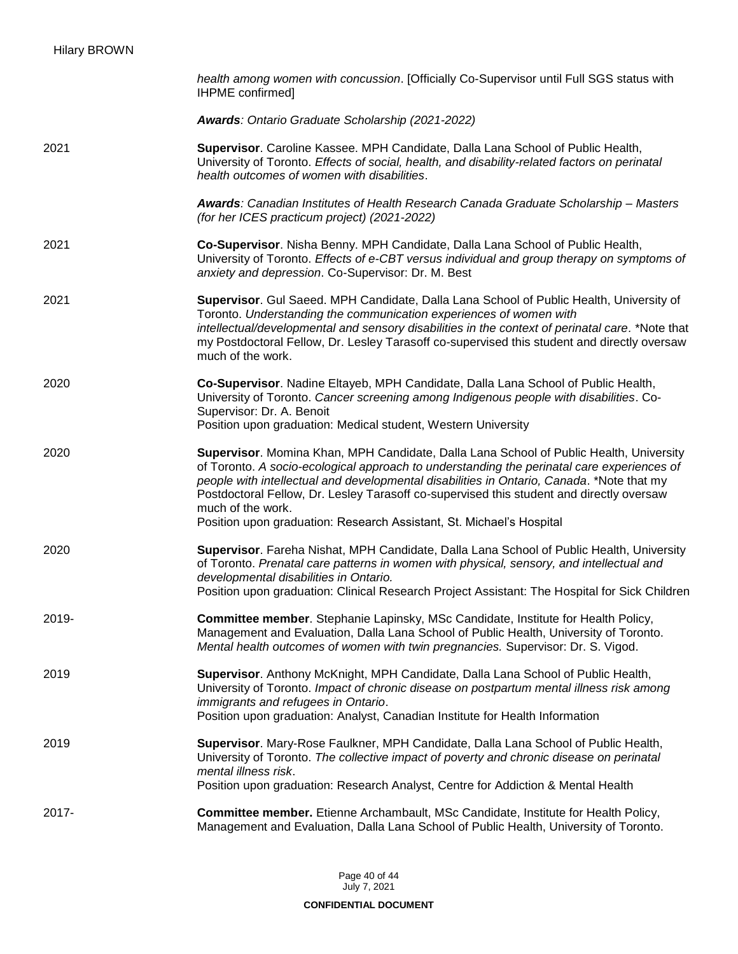|       | health among women with concussion. [Officially Co-Supervisor until Full SGS status with<br>IHPME confirmed]                                                                                                                                                                                                                                                                                                                                                               |
|-------|----------------------------------------------------------------------------------------------------------------------------------------------------------------------------------------------------------------------------------------------------------------------------------------------------------------------------------------------------------------------------------------------------------------------------------------------------------------------------|
|       | Awards: Ontario Graduate Scholarship (2021-2022)                                                                                                                                                                                                                                                                                                                                                                                                                           |
| 2021  | Supervisor. Caroline Kassee. MPH Candidate, Dalla Lana School of Public Health,<br>University of Toronto. Effects of social, health, and disability-related factors on perinatal<br>health outcomes of women with disabilities.                                                                                                                                                                                                                                            |
|       | Awards: Canadian Institutes of Health Research Canada Graduate Scholarship - Masters<br>(for her ICES practicum project) (2021-2022)                                                                                                                                                                                                                                                                                                                                       |
| 2021  | Co-Supervisor. Nisha Benny. MPH Candidate, Dalla Lana School of Public Health,<br>University of Toronto. Effects of e-CBT versus individual and group therapy on symptoms of<br>anxiety and depression. Co-Supervisor: Dr. M. Best                                                                                                                                                                                                                                         |
| 2021  | Supervisor. Gul Saeed. MPH Candidate, Dalla Lana School of Public Health, University of<br>Toronto. Understanding the communication experiences of women with<br>intellectual/developmental and sensory disabilities in the context of perinatal care. *Note that<br>my Postdoctoral Fellow, Dr. Lesley Tarasoff co-supervised this student and directly oversaw<br>much of the work.                                                                                      |
| 2020  | Co-Supervisor. Nadine Eltayeb, MPH Candidate, Dalla Lana School of Public Health,<br>University of Toronto. Cancer screening among Indigenous people with disabilities. Co-<br>Supervisor: Dr. A. Benoit<br>Position upon graduation: Medical student, Western University                                                                                                                                                                                                  |
| 2020  | Supervisor. Momina Khan, MPH Candidate, Dalla Lana School of Public Health, University<br>of Toronto. A socio-ecological approach to understanding the perinatal care experiences of<br>people with intellectual and developmental disabilities in Ontario, Canada. *Note that my<br>Postdoctoral Fellow, Dr. Lesley Tarasoff co-supervised this student and directly oversaw<br>much of the work.<br>Position upon graduation: Research Assistant, St. Michael's Hospital |
| 2020  | Supervisor. Fareha Nishat, MPH Candidate, Dalla Lana School of Public Health, University<br>of Toronto. Prenatal care patterns in women with physical, sensory, and intellectual and<br>developmental disabilities in Ontario.<br>Position upon graduation: Clinical Research Project Assistant: The Hospital for Sick Children                                                                                                                                            |
| 2019- | Committee member. Stephanie Lapinsky, MSc Candidate, Institute for Health Policy,<br>Management and Evaluation, Dalla Lana School of Public Health, University of Toronto.<br>Mental health outcomes of women with twin pregnancies. Supervisor: Dr. S. Vigod.                                                                                                                                                                                                             |
| 2019  | Supervisor. Anthony McKnight, MPH Candidate, Dalla Lana School of Public Health,<br>University of Toronto. Impact of chronic disease on postpartum mental illness risk among<br>immigrants and refugees in Ontario.<br>Position upon graduation: Analyst, Canadian Institute for Health Information                                                                                                                                                                        |
| 2019  | Supervisor. Mary-Rose Faulkner, MPH Candidate, Dalla Lana School of Public Health,<br>University of Toronto. The collective impact of poverty and chronic disease on perinatal<br>mental illness risk.<br>Position upon graduation: Research Analyst, Centre for Addiction & Mental Health                                                                                                                                                                                 |
| 2017- | Committee member. Etienne Archambault, MSc Candidate, Institute for Health Policy,<br>Management and Evaluation, Dalla Lana School of Public Health, University of Toronto.                                                                                                                                                                                                                                                                                                |

Page 40 of 44 July 7, 2021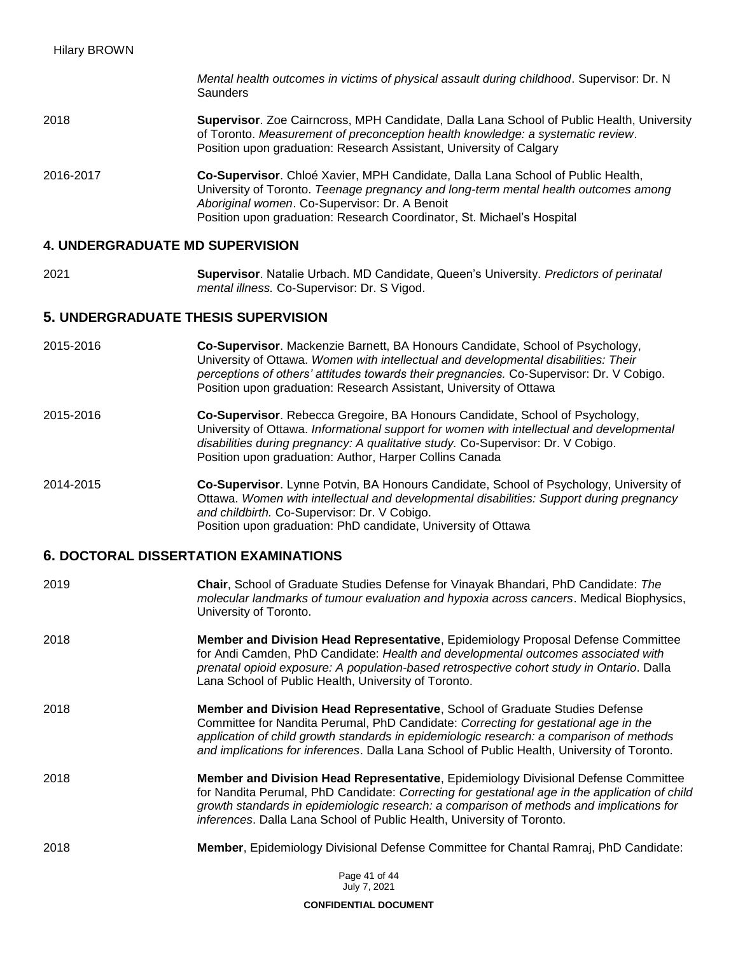*Mental health outcomes in victims of physical assault during childhood*. Supervisor: Dr. N **Saunders** 

- 2018 **Supervisor**. Zoe Cairncross, MPH Candidate, Dalla Lana School of Public Health, University of Toronto. *Measurement of preconception health knowledge: a systematic review*. Position upon graduation: Research Assistant, University of Calgary
- 2016-2017 **Co-Supervisor**. Chloé Xavier, MPH Candidate, Dalla Lana School of Public Health, University of Toronto. *Teenage pregnancy and long-term mental health outcomes among Aboriginal women*. Co-Supervisor: Dr. A Benoit Position upon graduation: Research Coordinator, St. Michael's Hospital

### **4. UNDERGRADUATE MD SUPERVISION**

2021 **Supervisor**. Natalie Urbach. MD Candidate, Queen's University. *Predictors of perinatal mental illness.* Co-Supervisor: Dr. S Vigod.

### **5. UNDERGRADUATE THESIS SUPERVISION**

- 2015-2016 **Co-Supervisor**. Mackenzie Barnett, BA Honours Candidate, School of Psychology, University of Ottawa. *Women with intellectual and developmental disabilities: Their perceptions of others' attitudes towards their pregnancies.* Co-Supervisor: Dr. V Cobigo. Position upon graduation: Research Assistant, University of Ottawa
- 2015-2016 **Co-Supervisor**. Rebecca Gregoire, BA Honours Candidate, School of Psychology, University of Ottawa. *Informational support for women with intellectual and developmental disabilities during pregnancy: A qualitative study.* Co-Supervisor: Dr. V Cobigo. Position upon graduation: Author, Harper Collins Canada
- 2014-2015 **Co-Supervisor**. Lynne Potvin, BA Honours Candidate, School of Psychology, University of Ottawa. *Women with intellectual and developmental disabilities: Support during pregnancy and childbirth.* Co-Supervisor: Dr. V Cobigo. Position upon graduation: PhD candidate, University of Ottawa

### **6. DOCTORAL DISSERTATION EXAMINATIONS**

| 2019 | <b>Chair, School of Graduate Studies Defense for Vinayak Bhandari, PhD Candidate: The</b><br>molecular landmarks of tumour evaluation and hypoxia across cancers. Medical Biophysics,<br>University of Toronto.                                                                                                                                                      |
|------|----------------------------------------------------------------------------------------------------------------------------------------------------------------------------------------------------------------------------------------------------------------------------------------------------------------------------------------------------------------------|
| 2018 | Member and Division Head Representative, Epidemiology Proposal Defense Committee<br>for Andi Camden, PhD Candidate: Health and developmental outcomes associated with<br>prenatal opioid exposure: A population-based retrospective cohort study in Ontario. Dalla<br>Lana School of Public Health, University of Toronto.                                           |
| 2018 | <b>Member and Division Head Representative, School of Graduate Studies Defense</b><br>Committee for Nandita Perumal, PhD Candidate: Correcting for gestational age in the<br>application of child growth standards in epidemiologic research: a comparison of methods<br>and implications for inferences. Dalla Lana School of Public Health, University of Toronto. |
| 2018 | Member and Division Head Representative, Epidemiology Divisional Defense Committee<br>for Nandita Perumal, PhD Candidate: Correcting for gestational age in the application of child<br>growth standards in epidemiologic research: a comparison of methods and implications for<br>inferences. Dalla Lana School of Public Health, University of Toronto.           |
| 2018 | <b>Member, Epidemiology Divisional Defense Committee for Chantal Ramraj, PhD Candidate:</b>                                                                                                                                                                                                                                                                          |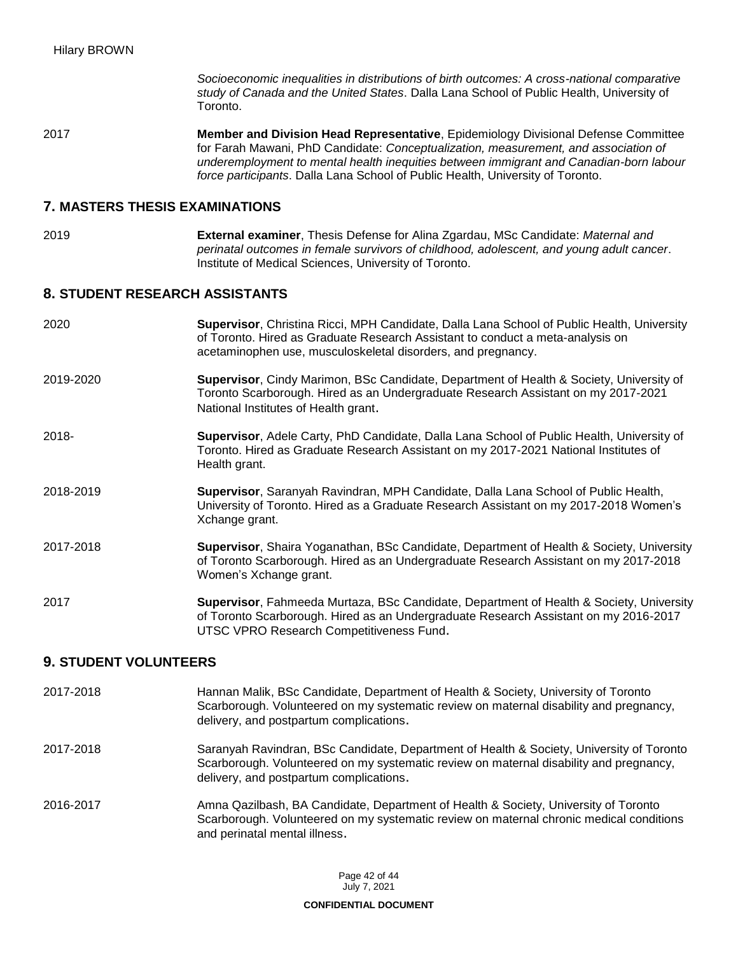*Socioeconomic inequalities in distributions of birth outcomes: A cross-national comparative study of Canada and the United States*. Dalla Lana School of Public Health, University of Toronto.

2017 **Member and Division Head Representative**, Epidemiology Divisional Defense Committee for Farah Mawani, PhD Candidate: *Conceptualization, measurement, and association of underemployment to mental health inequities between immigrant and Canadian-born labour force participants*. Dalla Lana School of Public Health, University of Toronto.

### **7. MASTERS THESIS EXAMINATIONS**

2019 **External examiner**, Thesis Defense for Alina Zgardau, MSc Candidate: *Maternal and perinatal outcomes in female survivors of childhood, adolescent, and young adult cancer*. Institute of Medical Sciences, University of Toronto.

### **8. STUDENT RESEARCH ASSISTANTS**

- 2020 **Supervisor**, Christina Ricci, MPH Candidate, Dalla Lana School of Public Health, University of Toronto. Hired as Graduate Research Assistant to conduct a meta-analysis on acetaminophen use, musculoskeletal disorders, and pregnancy. 2019-2020 **Supervisor**, Cindy Marimon, BSc Candidate, Department of Health & Society, University of Toronto Scarborough. Hired as an Undergraduate Research Assistant on my 2017-2021 National Institutes of Health grant. 2018- **Supervisor**, Adele Carty, PhD Candidate, Dalla Lana School of Public Health, University of Toronto. Hired as Graduate Research Assistant on my 2017-2021 National Institutes of Health grant. 2018-2019 **Supervisor**, Saranyah Ravindran, MPH Candidate, Dalla Lana School of Public Health,
- University of Toronto. Hired as a Graduate Research Assistant on my 2017-2018 Women's Xchange grant.
- 2017-2018 **Supervisor**, Shaira Yoganathan, BSc Candidate, Department of Health & Society, University of Toronto Scarborough. Hired as an Undergraduate Research Assistant on my 2017-2018 Women's Xchange grant.
- 2017 **Supervisor**, Fahmeeda Murtaza, BSc Candidate, Department of Health & Society, University of Toronto Scarborough. Hired as an Undergraduate Research Assistant on my 2016-2017 UTSC VPRO Research Competitiveness Fund.

### **9. STUDENT VOLUNTEERS**

- 2017-2018 Hannan Malik, BSc Candidate, Department of Health & Society, University of Toronto Scarborough. Volunteered on my systematic review on maternal disability and pregnancy, delivery, and postpartum complications.
- 2017-2018 Saranyah Ravindran, BSc Candidate, Department of Health & Society, University of Toronto Scarborough. Volunteered on my systematic review on maternal disability and pregnancy, delivery, and postpartum complications.
- 2016-2017 Amna Qazilbash, BA Candidate, Department of Health & Society, University of Toronto Scarborough. Volunteered on my systematic review on maternal chronic medical conditions and perinatal mental illness.

Page 42 of 44 July 7, 2021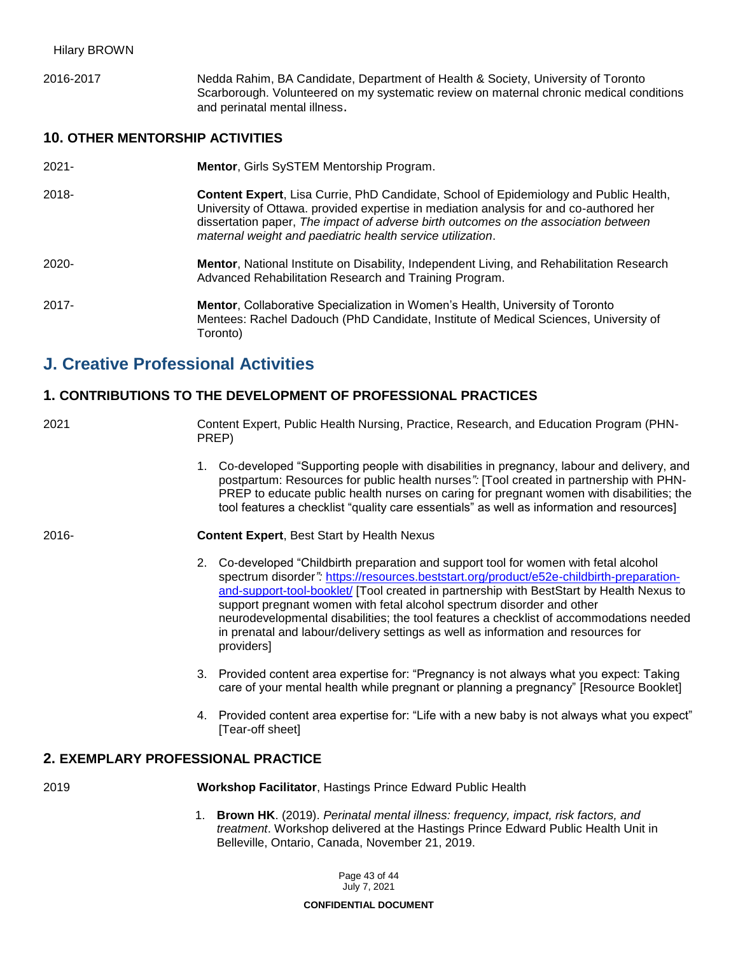2016-2017 Nedda Rahim, BA Candidate, Department of Health & Society, University of Toronto Scarborough. Volunteered on my systematic review on maternal chronic medical conditions and perinatal mental illness.

## **10. OTHER MENTORSHIP ACTIVITIES**

| $2021 -$ | <b>Mentor, Girls SySTEM Mentorship Program.</b>                                                                                                                                                                                                                                                                                             |
|----------|---------------------------------------------------------------------------------------------------------------------------------------------------------------------------------------------------------------------------------------------------------------------------------------------------------------------------------------------|
| $2018 -$ | <b>Content Expert, Lisa Currie, PhD Candidate, School of Epidemiology and Public Health,</b><br>University of Ottawa. provided expertise in mediation analysis for and co-authored her<br>dissertation paper, The impact of adverse birth outcomes on the association between<br>maternal weight and paediatric health service utilization. |
| $2020 -$ | Mentor, National Institute on Disability, Independent Living, and Rehabilitation Research<br>Advanced Rehabilitation Research and Training Program.                                                                                                                                                                                         |
| $2017 -$ | Mentor, Collaborative Specialization in Women's Health, University of Toronto<br>Mentees: Rachel Dadouch (PhD Candidate, Institute of Medical Sciences, University of<br>Toronto)                                                                                                                                                           |

# **J. Creative Professional Activities**

### **1. CONTRIBUTIONS TO THE DEVELOPMENT OF PROFESSIONAL PRACTICES**

2021 Content Expert, Public Health Nursing, Practice, Research, and Education Program (PHN-PREP)

> 1. Co-developed "Supporting people with disabilities in pregnancy, labour and delivery, and postpartum: Resources for public health nurses*":* [Tool created in partnership with PHN-PREP to educate public health nurses on caring for pregnant women with disabilities; the tool features a checklist "quality care essentials" as well as information and resources]

#### 2016- **Content Expert**, Best Start by Health Nexus

- 2. Co-developed "Childbirth preparation and support tool for women with fetal alcohol spectrum disorder*":* [https://resources.beststart.org/product/e52e-childbirth-preparation](https://resources.beststart.org/product/e52e-childbirth-preparation-and-support-tool-booklet/)[and-support-tool-booklet/](https://resources.beststart.org/product/e52e-childbirth-preparation-and-support-tool-booklet/) [Tool created in partnership with BestStart by Health Nexus to support pregnant women with fetal alcohol spectrum disorder and other neurodevelopmental disabilities; the tool features a checklist of accommodations needed in prenatal and labour/delivery settings as well as information and resources for providers]
- 3. Provided content area expertise for: "Pregnancy is not always what you expect: Taking care of your mental health while pregnant or planning a pregnancy" [Resource Booklet]
- 4. Provided content area expertise for: "Life with a new baby is not always what you expect" [Tear-off sheet]

### **2. EXEMPLARY PROFESSIONAL PRACTICE**

2019 **Workshop Facilitator**, Hastings Prince Edward Public Health

1. **Brown HK**. (2019). *Perinatal mental illness: frequency, impact, risk factors, and treatment*. Workshop delivered at the Hastings Prince Edward Public Health Unit in Belleville, Ontario, Canada, November 21, 2019.

> Page 43 of 44 July 7, 2021